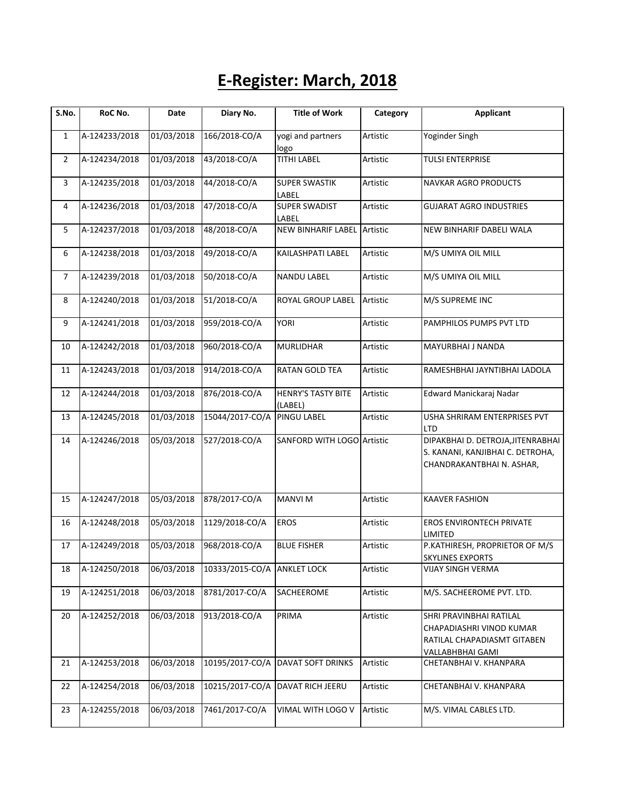## **E-Register: March, 2018**

| S.No.          | RoC No.       | Date       | Diary No.       | <b>Title of Work</b>                 | Category | <b>Applicant</b>                                                                                       |
|----------------|---------------|------------|-----------------|--------------------------------------|----------|--------------------------------------------------------------------------------------------------------|
| $\mathbf{1}$   | A-124233/2018 | 01/03/2018 | 166/2018-CO/A   | yogi and partners<br>logo            | Artistic | Yoginder Singh                                                                                         |
| $\overline{2}$ | A-124234/2018 | 01/03/2018 | 43/2018-CO/A    | <b>TITHI LABEL</b>                   | Artistic | <b>TULSI ENTERPRISE</b>                                                                                |
| 3              | A-124235/2018 | 01/03/2018 | 44/2018-CO/A    | <b>SUPER SWASTIK</b><br>LABEL        | Artistic | NAVKAR AGRO PRODUCTS                                                                                   |
| 4              | A-124236/2018 | 01/03/2018 | 47/2018-CO/A    | <b>SUPER SWADIST</b><br>LABEL        | Artistic | <b>GUJARAT AGRO INDUSTRIES</b>                                                                         |
| 5              | A-124237/2018 | 01/03/2018 | 48/2018-CO/A    | <b>NEW BINHARIF LABEL Artistic</b>   |          | NEW BINHARIF DABELI WALA                                                                               |
| 6              | A-124238/2018 | 01/03/2018 | 49/2018-CO/A    | KAILASHPATI LABEL                    | Artistic | M/S UMIYA OIL MILL                                                                                     |
| $\overline{7}$ | A-124239/2018 | 01/03/2018 | 50/2018-CO/A    | <b>NANDU LABEL</b>                   | Artistic | M/S UMIYA OIL MILL                                                                                     |
| 8              | A-124240/2018 | 01/03/2018 | 51/2018-CO/A    | ROYAL GROUP LABEL                    | Artistic | M/S SUPREME INC                                                                                        |
| 9              | A-124241/2018 | 01/03/2018 | 959/2018-CO/A   | <b>YORI</b>                          | Artistic | PAMPHILOS PUMPS PVT LTD                                                                                |
| 10             | A-124242/2018 | 01/03/2018 | 960/2018-CO/A   | <b>MURLIDHAR</b>                     | Artistic | MAYURBHAI J NANDA                                                                                      |
| 11             | A-124243/2018 | 01/03/2018 | 914/2018-CO/A   | <b>RATAN GOLD TEA</b>                | Artistic | RAMESHBHAI JAYNTIBHAI LADOLA                                                                           |
| 12             | A-124244/2018 | 01/03/2018 | 876/2018-CO/A   | <b>HENRY'S TASTY BITE</b><br>(LABEL) | Artistic | Edward Manickaraj Nadar                                                                                |
| 13             | A-124245/2018 | 01/03/2018 | 15044/2017-CO/A | <b>PINGU LABEL</b>                   | Artistic | USHA SHRIRAM ENTERPRISES PVT<br>LTD                                                                    |
| 14             | A-124246/2018 | 05/03/2018 | 527/2018-CO/A   | SANFORD WITH LOGO Artistic           |          | DIPAKBHAI D. DETROJA, JITENRABHAI<br>S. KANANI, KANJIBHAI C. DETROHA,<br>CHANDRAKANTBHAI N. ASHAR,     |
| 15             | A-124247/2018 | 05/03/2018 | 878/2017-CO/A   | <b>MANVI M</b>                       | Artistic | <b>KAAVER FASHION</b>                                                                                  |
| 16             | A-124248/2018 | 05/03/2018 | 1129/2018-CO/A  | <b>EROS</b>                          | Artistic | EROS ENVIRONTECH PRIVATE<br>LIMITED                                                                    |
| 17             | A-124249/2018 | 05/03/2018 | 968/2018-CO/A   | <b>BLUE FISHER</b>                   | Artistic | P.KATHIRESH, PROPRIETOR OF M/S<br><b>SKYLINES EXPORTS</b>                                              |
| 18             | A-124250/2018 | 06/03/2018 | 10333/2015-CO/A | <b>ANKLET LOCK</b>                   | Artistic | VIJAY SINGH VERMA                                                                                      |
| 19             | A-124251/2018 | 06/03/2018 | 8781/2017-CO/A  | SACHEEROME                           | Artistic | M/S. SACHEEROME PVT. LTD.                                                                              |
| 20             | A-124252/2018 | 06/03/2018 | 913/2018-CO/A   | PRIMA                                | Artistic | SHRI PRAVINBHAI RATILAL<br>CHAPADIASHRI VINOD KUMAR<br>RATILAL CHAPADIASMT GITABEN<br>VALLABHBHAI GAMI |
| 21             | A-124253/2018 | 06/03/2018 | 10195/2017-CO/A | DAVAT SOFT DRINKS                    | Artistic | CHETANBHAI V. KHANPARA                                                                                 |
| 22             | A-124254/2018 | 06/03/2018 | 10215/2017-CO/A | DAVAT RICH JEERU                     | Artistic | CHETANBHAI V. KHANPARA                                                                                 |
| 23             | A-124255/2018 | 06/03/2018 | 7461/2017-CO/A  | VIMAL WITH LOGO V                    | Artistic | M/S. VIMAL CABLES LTD.                                                                                 |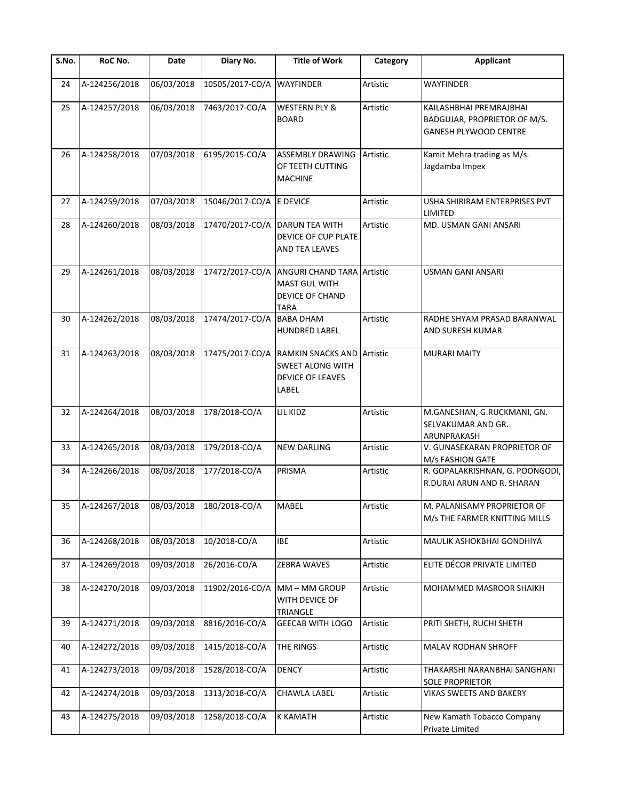| S.No. | RoC No.                                   | Date       | Diary No.                 | <b>Title of Work</b>                                                                             | Category | <b>Applicant</b>                                                                 |
|-------|-------------------------------------------|------------|---------------------------|--------------------------------------------------------------------------------------------------|----------|----------------------------------------------------------------------------------|
| 24    | A-124256/2018                             | 06/03/2018 | 10505/2017-CO/A           | <b>WAYFINDER</b>                                                                                 | Artistic | <b>WAYFINDER</b>                                                                 |
| 25    | A-124257/2018                             | 06/03/2018 | 7463/2017-CO/A            | <b>WESTERN PLY &amp;</b><br><b>BOARD</b>                                                         | Artistic | KAILASHBHAI PREMRAJBHAI<br>BADGUJAR, PROPRIETOR OF M/S.<br>GANESH PLYWOOD CENTRE |
| 26    | A-124258/2018                             | 07/03/2018 | 6195/2015-CO/A            | <b>ASSEMBLY DRAWING</b><br>OF TEETH CUTTING<br><b>MACHINE</b>                                    | Artistic | Kamit Mehra trading as M/s.<br>Jagdamba Impex                                    |
| 27    | A-124259/2018                             | 07/03/2018 | 15046/2017-CO/A E DEVICE  |                                                                                                  | Artistic | USHA SHIRIRAM ENTERPRISES PVT<br><b>LIMITED</b>                                  |
| 28    | A-124260/2018                             | 08/03/2018 | 17470/2017-CO/A           | DARUN TEA WITH<br>DEVICE OF CUP PLATE<br>AND TEA LEAVES                                          | Artistic | MD. USMAN GANI ANSARI                                                            |
| 29    | A-124261/2018                             | 08/03/2018 | 17472/2017-CO/A           | <b>ANGURI CHAND TARA Artistic</b><br>MAST GUL WITH<br>DEVICE OF CHAND<br><b>TARA</b>             |          | <b>USMAN GANI ANSARI</b>                                                         |
| 30    | A-124262/2018                             | 08/03/2018 | 17474/2017-CO/A BABA DHAM | <b>HUNDRED LABEL</b>                                                                             | Artistic | RADHE SHYAM PRASAD BARANWAL<br>AND SURESH KUMAR                                  |
| 31    | A-124263/2018                             | 08/03/2018 | 17475/2017-CO/A           | <b>RAMKIN SNACKS AND Artistic</b><br><b>SWEET ALONG WITH</b><br><b>DEVICE OF LEAVES</b><br>LABEL |          | <b>MURARI MAITY</b>                                                              |
| 32    | A-124264/2018                             | 08/03/2018 | 178/2018-CO/A             | LIL KIDZ                                                                                         | Artistic | M.GANESHAN, G.RUCKMANI, GN.<br>SELVAKUMAR AND GR.<br>ARUNPRAKASH                 |
| 33    | A-124265/2018                             | 08/03/2018 | 179/2018-CO/A             | <b>NEW DARLING</b>                                                                               | Artistic | V. GUNASEKARAN PROPRIETOR OF<br>M/s FASHION GATE                                 |
| 34    | A-124266/2018                             | 08/03/2018 | 177/2018-CO/A             | PRISMA                                                                                           | Artistic | R. GOPALAKRISHNAN, G. POONGODI,<br>R.DURAI ARUN AND R. SHARAN                    |
|       | 35 A-124267/2018 08/03/2018 180/2018-CO/A |            |                           | MABEL                                                                                            | Artistic | M. PALANISAMY PROPRIETOR OF<br>M/s THE FARMER KNITTING MILLS                     |
| 36    | A-124268/2018                             | 08/03/2018 | 10/2018-CO/A              | <b>IBE</b>                                                                                       | Artistic | MAULIK ASHOKBHAI GONDHIYA                                                        |
| 37    | A-124269/2018                             | 09/03/2018 | 26/2016-CO/A              | ZEBRA WAVES                                                                                      | Artistic | ELITE DÉCOR PRIVATE LIMITED                                                      |
| 38    | A-124270/2018                             | 09/03/2018 | 11902/2016-CO/A           | MM-MM GROUP<br>WITH DEVICE OF<br>TRIANGLE                                                        | Artistic | MOHAMMED MASROOR SHAIKH                                                          |
| 39    | A-124271/2018                             | 09/03/2018 | 8816/2016-CO/A            | <b>GEECAB WITH LOGO</b>                                                                          | Artistic | PRITI SHETH, RUCHI SHETH                                                         |
| 40    | A-124272/2018                             | 09/03/2018 | 1415/2018-CO/A            | THE RINGS                                                                                        | Artistic | MALAV RODHAN SHROFF                                                              |
| 41    | A-124273/2018                             | 09/03/2018 | 1528/2018-CO/A            | <b>DENCY</b>                                                                                     | Artistic | THAKARSHI NARANBHAI SANGHANI<br><b>SOLE PROPRIETOR</b>                           |
| 42    | A-124274/2018                             | 09/03/2018 | 1313/2018-CO/A            | CHAWLA LABEL                                                                                     | Artistic | VIKAS SWEETS AND BAKERY                                                          |
| 43    | A-124275/2018                             | 09/03/2018 | 1258/2018-CO/A            | <b>K KAMATH</b>                                                                                  | Artistic | New Kamath Tobacco Company<br>Private Limited                                    |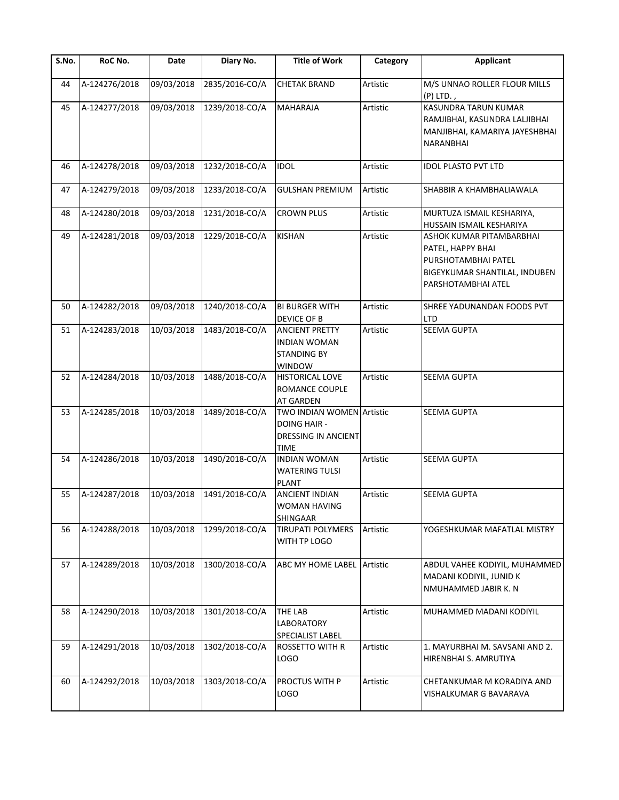| S.No. | RoC No.       | Date       | Diary No.      | <b>Title of Work</b>                                                                          | Category | <b>Applicant</b>                                                                                                            |
|-------|---------------|------------|----------------|-----------------------------------------------------------------------------------------------|----------|-----------------------------------------------------------------------------------------------------------------------------|
| 44    | A-124276/2018 | 09/03/2018 | 2835/2016-CO/A | <b>CHETAK BRAND</b>                                                                           | Artistic | M/S UNNAO ROLLER FLOUR MILLS<br>(P) LTD.,                                                                                   |
| 45    | A-124277/2018 | 09/03/2018 | 1239/2018-CO/A | <b>MAHARAJA</b>                                                                               | Artistic | <b>KASUNDRA TARUN KUMAR</b><br>RAMJIBHAI, KASUNDRA LALJIBHAI<br>MANJIBHAI, KAMARIYA JAYESHBHAI<br>NARANBHAI                 |
| 46    | A-124278/2018 | 09/03/2018 | 1232/2018-CO/A | <b>IDOL</b>                                                                                   | Artistic | <b>IDOL PLASTO PVT LTD</b>                                                                                                  |
| 47    | A-124279/2018 | 09/03/2018 | 1233/2018-CO/A | <b>GULSHAN PREMIUM</b>                                                                        | Artistic | SHABBIR A KHAMBHALIAWALA                                                                                                    |
| 48    | A-124280/2018 | 09/03/2018 | 1231/2018-CO/A | <b>CROWN PLUS</b>                                                                             | Artistic | MURTUZA ISMAIL KESHARIYA,<br>HUSSAIN ISMAIL KESHARIYA                                                                       |
| 49    | A-124281/2018 | 09/03/2018 | 1229/2018-CO/A | <b>KISHAN</b>                                                                                 | Artistic | ASHOK KUMAR PITAMBARBHAI<br>PATEL, HAPPY BHAI<br>PURSHOTAMBHAI PATEL<br>BIGEYKUMAR SHANTILAL, INDUBEN<br>PARSHOTAMBHAI ATEL |
| 50    | A-124282/2018 | 09/03/2018 | 1240/2018-CO/A | <b>BI BURGER WITH</b><br>DEVICE OF B                                                          | Artistic | SHREE YADUNANDAN FOODS PVT<br>LTD                                                                                           |
| 51    | A-124283/2018 | 10/03/2018 | 1483/2018-CO/A | <b>ANCIENT PRETTY</b><br><b>INDIAN WOMAN</b><br><b>STANDING BY</b><br>WINDOW                  | Artistic | <b>SEEMA GUPTA</b>                                                                                                          |
| 52    | A-124284/2018 | 10/03/2018 | 1488/2018-CO/A | <b>HISTORICAL LOVE</b><br>ROMANCE COUPLE<br><b>AT GARDEN</b>                                  | Artistic | SEEMA GUPTA                                                                                                                 |
| 53    | A-124285/2018 | 10/03/2018 | 1489/2018-CO/A | TWO INDIAN WOMEN Artistic<br><b>DOING HAIR -</b><br><b>DRESSING IN ANCIENT</b><br><b>TIME</b> |          | <b>SEEMA GUPTA</b>                                                                                                          |
| 54    | A-124286/2018 | 10/03/2018 | 1490/2018-CO/A | <b>INDIAN WOMAN</b><br><b>WATERING TULSI</b><br><b>PLANT</b>                                  | Artistic | <b>SEEMA GUPTA</b>                                                                                                          |
| 55    | A-124287/2018 | 10/03/2018 | 1491/2018-CO/A | <b>ANCIENT INDIAN</b><br>WOMAN HAVING<br><b>SHINGAAR</b>                                      | Artistic | <b>SEEMA GUPTA</b>                                                                                                          |
| 56    | A-124288/2018 | 10/03/2018 | 1299/2018-CO/A | <b>TIRUPATI POLYMERS</b><br>WITH TP LOGO                                                      | Artistic | YOGESHKUMAR MAFATLAL MISTRY                                                                                                 |
| 57    | A-124289/2018 | 10/03/2018 | 1300/2018-CO/A | ABC MY HOME LABEL Artistic                                                                    |          | ABDUL VAHEE KODIYIL, MUHAMMED<br>MADANI KODIYIL, JUNID K<br>NMUHAMMED JABIR K. N                                            |
| 58    | A-124290/2018 | 10/03/2018 | 1301/2018-CO/A | <b>THE LAB</b><br>LABORATORY<br>SPECIALIST LABEL                                              | Artistic | MUHAMMED MADANI KODIYIL                                                                                                     |
| 59    | A-124291/2018 | 10/03/2018 | 1302/2018-CO/A | <b>ROSSETTO WITH R</b><br><b>LOGO</b>                                                         | Artistic | 1. MAYURBHAI M. SAVSANI AND 2.<br>HIRENBHAI S. AMRUTIYA                                                                     |
| 60    | A-124292/2018 | 10/03/2018 | 1303/2018-CO/A | PROCTUS WITH P<br>LOGO                                                                        | Artistic | CHETANKUMAR M KORADIYA AND<br>VISHALKUMAR G BAVARAVA                                                                        |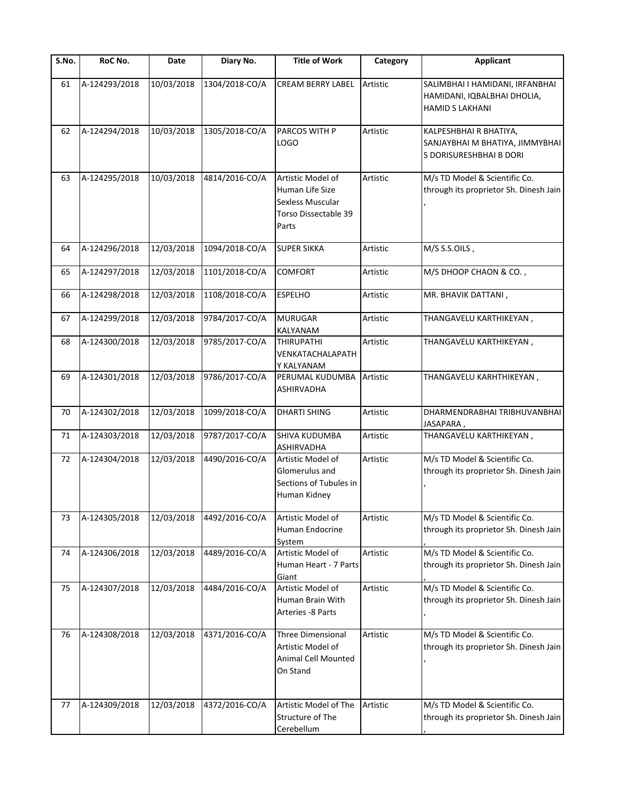| S.No. | RoC No.       | Date       | Diary No.      | <b>Title of Work</b>                                                                             | Category | <b>Applicant</b>                                                                         |
|-------|---------------|------------|----------------|--------------------------------------------------------------------------------------------------|----------|------------------------------------------------------------------------------------------|
| 61    | A-124293/2018 | 10/03/2018 | 1304/2018-CO/A | <b>CREAM BERRY LABEL</b>                                                                         | Artistic | SALIMBHAI I HAMIDANI, IRFANBHAI<br>HAMIDANI, IQBALBHAI DHOLIA,<br><b>HAMID S LAKHANI</b> |
| 62    | A-124294/2018 | 10/03/2018 | 1305/2018-CO/A | <b>PARCOS WITH P</b><br>LOGO                                                                     | Artistic | KALPESHBHAI R BHATIYA,<br>SANJAYBHAI M BHATIYA, JIMMYBHAI<br>S DORISURESHBHAI B DORI     |
| 63    | A-124295/2018 | 10/03/2018 | 4814/2016-CO/A | Artistic Model of<br>Human Life Size<br>Sexless Muscular<br><b>Torso Dissectable 39</b><br>Parts | Artistic | M/s TD Model & Scientific Co.<br>through its proprietor Sh. Dinesh Jain                  |
| 64    | A-124296/2018 | 12/03/2018 | 1094/2018-CO/A | <b>SUPER SIKKA</b>                                                                               | Artistic | M/S S.S.OILS,                                                                            |
| 65    | A-124297/2018 | 12/03/2018 | 1101/2018-CO/A | <b>COMFORT</b>                                                                                   | Artistic | M/S DHOOP CHAON & CO.,                                                                   |
| 66    | A-124298/2018 | 12/03/2018 | 1108/2018-CO/A | <b>ESPELHO</b>                                                                                   | Artistic | MR. BHAVIK DATTANI,                                                                      |
| 67    | A-124299/2018 | 12/03/2018 | 9784/2017-CO/A | <b>MURUGAR</b><br>KALYANAM                                                                       | Artistic | THANGAVELU KARTHIKEYAN,                                                                  |
| 68    | A-124300/2018 | 12/03/2018 | 9785/2017-CO/A | <b>THIRUPATHI</b><br>VENKATACHALAPATH<br>Y KALYANAM                                              | Artistic | THANGAVELU KARTHIKEYAN,                                                                  |
| 69    | A-124301/2018 | 12/03/2018 | 9786/2017-CO/A | PERUMAL KUDUMBA<br><b>ASHIRVADHA</b>                                                             | Artistic | THANGAVELU KARHTHIKEYAN,                                                                 |
| 70    | A-124302/2018 | 12/03/2018 | 1099/2018-CO/A | <b>DHARTI SHING</b>                                                                              | Artistic | DHARMENDRABHAI TRIBHUVANBHAI<br>JASAPARA,                                                |
| 71    | A-124303/2018 | 12/03/2018 | 9787/2017-CO/A | SHIVA KUDUMBA<br><b>ASHIRVADHA</b>                                                               | Artistic | THANGAVELU KARTHIKEYAN,                                                                  |
| 72    | A-124304/2018 | 12/03/2018 | 4490/2016-CO/A | Artistic Model of<br>Glomerulus and<br>Sections of Tubules in<br>Human Kidney                    | Artistic | M/s TD Model & Scientific Co.<br>through its proprietor Sh. Dinesh Jain                  |
| 73    | A-124305/2018 | 12/03/2018 | 4492/2016-CO/A | Artistic Model of<br>Human Endocrine<br>System                                                   | Artistic | M/s TD Model & Scientific Co.<br>through its proprietor Sh. Dinesh Jain                  |
| 74    | A-124306/2018 | 12/03/2018 | 4489/2016-CO/A | Artistic Model of<br>Human Heart - 7 Parts<br>Giant                                              | Artistic | M/s TD Model & Scientific Co.<br>through its proprietor Sh. Dinesh Jain                  |
| 75    | A-124307/2018 | 12/03/2018 | 4484/2016-CO/A | Artistic Model of<br>Human Brain With<br>Arteries -8 Parts                                       | Artistic | M/s TD Model & Scientific Co.<br>through its proprietor Sh. Dinesh Jain                  |
| 76    | A-124308/2018 | 12/03/2018 | 4371/2016-CO/A | Three Dimensional<br>Artistic Model of<br>Animal Cell Mounted<br>On Stand                        | Artistic | M/s TD Model & Scientific Co.<br>through its proprietor Sh. Dinesh Jain                  |
| 77    | A-124309/2018 | 12/03/2018 | 4372/2016-CO/A | Artistic Model of The<br>Structure of The<br>Cerebellum                                          | Artistic | M/s TD Model & Scientific Co.<br>through its proprietor Sh. Dinesh Jain                  |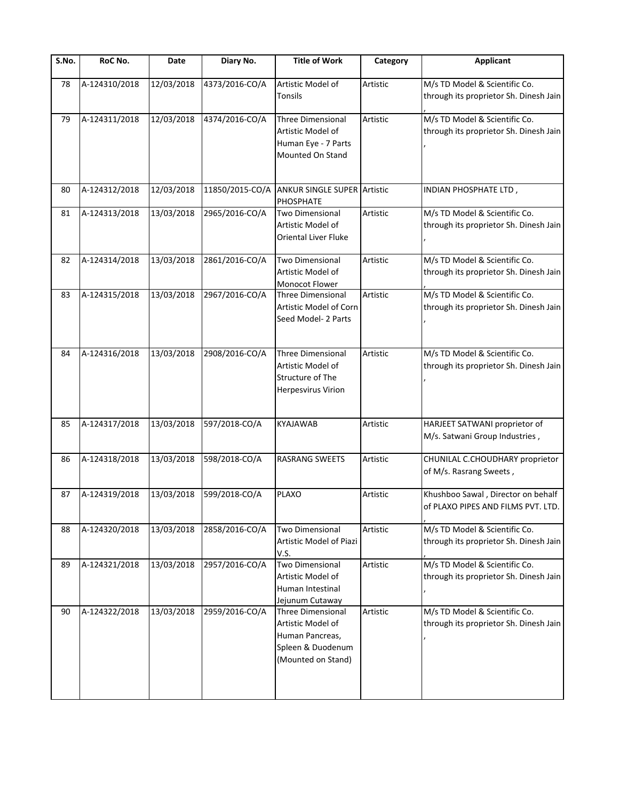| S.No. | RoC No.       | Date       | Diary No.       | <b>Title of Work</b>                                                                                        | Category | <b>Applicant</b>                                                         |
|-------|---------------|------------|-----------------|-------------------------------------------------------------------------------------------------------------|----------|--------------------------------------------------------------------------|
| 78    | A-124310/2018 | 12/03/2018 | 4373/2016-CO/A  | Artistic Model of<br>Tonsils                                                                                | Artistic | M/s TD Model & Scientific Co.<br>through its proprietor Sh. Dinesh Jain  |
| 79    | A-124311/2018 | 12/03/2018 | 4374/2016-CO/A  | <b>Three Dimensional</b><br>Artistic Model of<br>Human Eye - 7 Parts<br>Mounted On Stand                    | Artistic | M/s TD Model & Scientific Co.<br>through its proprietor Sh. Dinesh Jain  |
| 80    | A-124312/2018 | 12/03/2018 | 11850/2015-CO/A | <b>ANKUR SINGLE SUPER Artistic</b><br>PHOSPHATE                                                             |          | INDIAN PHOSPHATE LTD,                                                    |
| 81    | A-124313/2018 | 13/03/2018 | 2965/2016-CO/A  | <b>Two Dimensional</b><br>Artistic Model of<br><b>Oriental Liver Fluke</b>                                  | Artistic | M/s TD Model & Scientific Co.<br>through its proprietor Sh. Dinesh Jain  |
| 82    | A-124314/2018 | 13/03/2018 | 2861/2016-CO/A  | <b>Two Dimensional</b><br>Artistic Model of<br>Monocot Flower                                               | Artistic | M/s TD Model & Scientific Co.<br>through its proprietor Sh. Dinesh Jain  |
| 83    | A-124315/2018 | 13/03/2018 | 2967/2016-CO/A  | <b>Three Dimensional</b><br>Artistic Model of Corn<br>Seed Model- 2 Parts                                   | Artistic | M/s TD Model & Scientific Co.<br>through its proprietor Sh. Dinesh Jain  |
| 84    | A-124316/2018 | 13/03/2018 | 2908/2016-CO/A  | <b>Three Dimensional</b><br>Artistic Model of<br>Structure of The<br><b>Herpesvirus Virion</b>              | Artistic | M/s TD Model & Scientific Co.<br>through its proprietor Sh. Dinesh Jain  |
| 85    | A-124317/2018 | 13/03/2018 | 597/2018-CO/A   | <b>KYAJAWAB</b>                                                                                             | Artistic | HARJEET SATWANI proprietor of<br>M/s. Satwani Group Industries,          |
| 86    | A-124318/2018 | 13/03/2018 | 598/2018-CO/A   | RASRANG SWEETS                                                                                              | Artistic | CHUNILAL C.CHOUDHARY proprietor<br>of M/s. Rasrang Sweets,               |
| 87    | A-124319/2018 | 13/03/2018 | 599/2018-CO/A   | <b>PLAXO</b>                                                                                                | Artistic | Khushboo Sawal, Director on behalf<br>of PLAXO PIPES AND FILMS PVT. LTD. |
| 88    | A-124320/2018 | 13/03/2018 | 2858/2016-CO/A  | <b>Two Dimensional</b><br>Artistic Model of Piazi<br>V.S.                                                   | Artistic | M/s TD Model & Scientific Co.<br>through its proprietor Sh. Dinesh Jain  |
| 89    | A-124321/2018 | 13/03/2018 | 2957/2016-CO/A  | Two Dimensional<br>Artistic Model of<br>Human Intestinal<br>Jejunum Cutaway                                 | Artistic | M/s TD Model & Scientific Co.<br>through its proprietor Sh. Dinesh Jain  |
| 90    | A-124322/2018 | 13/03/2018 | 2959/2016-CO/A  | <b>Three Dimensional</b><br>Artistic Model of<br>Human Pancreas,<br>Spleen & Duodenum<br>(Mounted on Stand) | Artistic | M/s TD Model & Scientific Co.<br>through its proprietor Sh. Dinesh Jain  |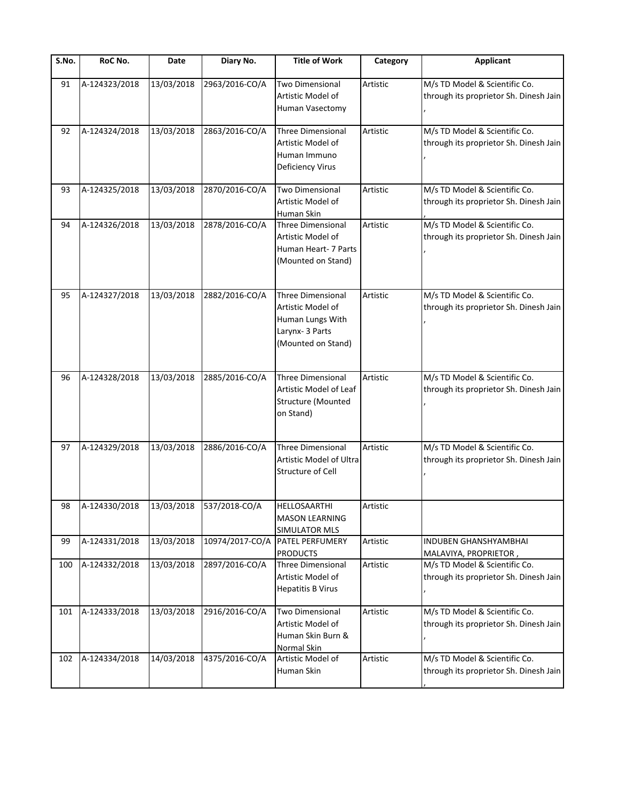| S.No. | RoC No.       | Date                    | Diary No.                | <b>Title of Work</b>                                                                                       | Category | <b>Applicant</b>                                                        |
|-------|---------------|-------------------------|--------------------------|------------------------------------------------------------------------------------------------------------|----------|-------------------------------------------------------------------------|
| 91    | A-124323/2018 | 13/03/2018              | 2963/2016-CO/A           | <b>Two Dimensional</b><br>Artistic Model of<br>Human Vasectomy                                             | Artistic | M/s TD Model & Scientific Co.<br>through its proprietor Sh. Dinesh Jain |
| 92    | A-124324/2018 | 13/03/2018              | 2863/2016-CO/A           | <b>Three Dimensional</b><br>Artistic Model of<br>Human Immuno<br>Deficiency Virus                          | Artistic | M/s TD Model & Scientific Co.<br>through its proprietor Sh. Dinesh Jain |
| 93    | A-124325/2018 | $\overline{13}/03/2018$ | 2870/2016-CO/A           | <b>Two Dimensional</b><br>Artistic Model of<br>Human Skin                                                  | Artistic | M/s TD Model & Scientific Co.<br>through its proprietor Sh. Dinesh Jain |
| 94    | A-124326/2018 | 13/03/2018              | 2878/2016-CO/A           | <b>Three Dimensional</b><br>Artistic Model of<br>Human Heart- 7 Parts<br>(Mounted on Stand)                | Artistic | M/s TD Model & Scientific Co.<br>through its proprietor Sh. Dinesh Jain |
| 95    | A-124327/2018 | 13/03/2018              | 2882/2016-CO/A           | <b>Three Dimensional</b><br>Artistic Model of<br>Human Lungs With<br>Larynx- 3 Parts<br>(Mounted on Stand) | Artistic | M/s TD Model & Scientific Co.<br>through its proprietor Sh. Dinesh Jain |
| 96    | A-124328/2018 | 13/03/2018              | 2885/2016-CO/A           | <b>Three Dimensional</b><br>Artistic Model of Leaf<br>Structure (Mounted<br>on Stand)                      | Artistic | M/s TD Model & Scientific Co.<br>through its proprietor Sh. Dinesh Jain |
| 97    | A-124329/2018 | 13/03/2018              | 2886/2016-CO/A           | <b>Three Dimensional</b><br>Artistic Model of Ultra<br><b>Structure of Cell</b>                            | Artistic | M/s TD Model & Scientific Co.<br>through its proprietor Sh. Dinesh Jain |
| 98    | A-124330/2018 |                         | 13/03/2018 537/2018-CO/A | HELLOSAARTHI<br><b>MASON LEARNING</b><br>SIMULATOR MLS                                                     | Artistic |                                                                         |
| 99    | A-124331/2018 | 13/03/2018              | 10974/2017-CO/A          | PATEL PERFUMERY<br><b>PRODUCTS</b>                                                                         | Artistic | INDUBEN GHANSHYAMBHAI<br>MALAVIYA, PROPRIETOR,                          |
| 100   | A-124332/2018 | 13/03/2018              | 2897/2016-CO/A           | <b>Three Dimensional</b><br>Artistic Model of<br><b>Hepatitis B Virus</b>                                  | Artistic | M/s TD Model & Scientific Co.<br>through its proprietor Sh. Dinesh Jain |
| 101   | A-124333/2018 | 13/03/2018              | 2916/2016-CO/A           | <b>Two Dimensional</b><br>Artistic Model of<br>Human Skin Burn &<br>Normal Skin                            | Artistic | M/s TD Model & Scientific Co.<br>through its proprietor Sh. Dinesh Jain |
| 102   | A-124334/2018 | 14/03/2018              | 4375/2016-CO/A           | Artistic Model of<br>Human Skin                                                                            | Artistic | M/s TD Model & Scientific Co.<br>through its proprietor Sh. Dinesh Jain |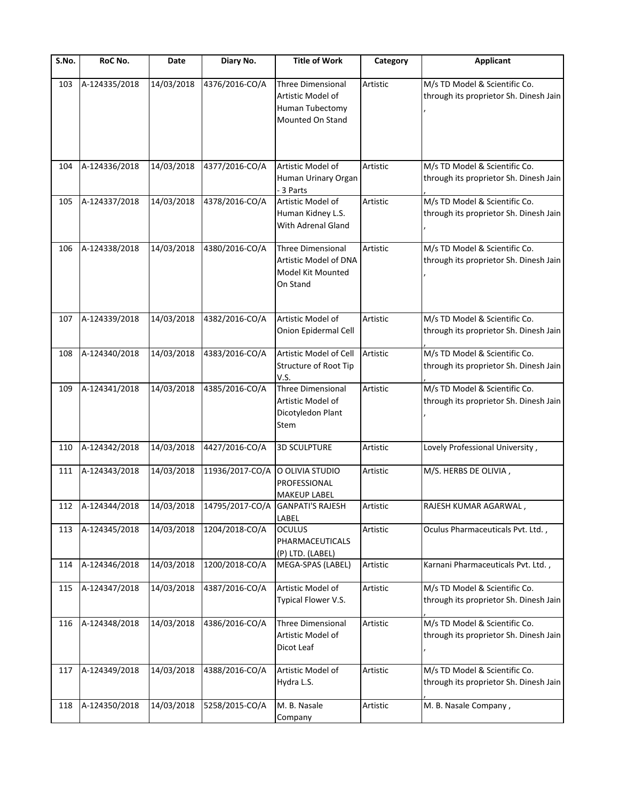| S.No. | RoC No.           | Date       | Diary No.       | <b>Title of Work</b>                                                                 | Category | <b>Applicant</b>                                                        |
|-------|-------------------|------------|-----------------|--------------------------------------------------------------------------------------|----------|-------------------------------------------------------------------------|
| 103   | A-124335/2018     | 14/03/2018 | 4376/2016-CO/A  | <b>Three Dimensional</b><br>Artistic Model of<br>Human Tubectomy<br>Mounted On Stand | Artistic | M/s TD Model & Scientific Co.<br>through its proprietor Sh. Dinesh Jain |
| 104   | A-124336/2018     | 14/03/2018 | 4377/2016-CO/A  | Artistic Model of<br>Human Urinary Organ<br>- 3 Parts                                | Artistic | M/s TD Model & Scientific Co.<br>through its proprietor Sh. Dinesh Jain |
| 105   | A-124337/2018     | 14/03/2018 | 4378/2016-CO/A  | Artistic Model of<br>Human Kidney L.S.<br>With Adrenal Gland                         | Artistic | M/s TD Model & Scientific Co.<br>through its proprietor Sh. Dinesh Jain |
| 106   | A-124338/2018     | 14/03/2018 | 4380/2016-CO/A  | <b>Three Dimensional</b><br>Artistic Model of DNA<br>Model Kit Mounted<br>On Stand   | Artistic | M/s TD Model & Scientific Co.<br>through its proprietor Sh. Dinesh Jain |
| 107   | A-124339/2018     | 14/03/2018 | 4382/2016-CO/A  | Artistic Model of<br>Onion Epidermal Cell                                            | Artistic | M/s TD Model & Scientific Co.<br>through its proprietor Sh. Dinesh Jain |
| 108   | A-124340/2018     | 14/03/2018 | 4383/2016-CO/A  | Artistic Model of Cell<br>Structure of Root Tip<br>V.S.                              | Artistic | M/s TD Model & Scientific Co.<br>through its proprietor Sh. Dinesh Jain |
| 109   | A-124341/2018     | 14/03/2018 | 4385/2016-CO/A  | <b>Three Dimensional</b><br>Artistic Model of<br>Dicotyledon Plant<br>Stem           | Artistic | M/s TD Model & Scientific Co.<br>through its proprietor Sh. Dinesh Jain |
| 110   | A-124342/2018     | 14/03/2018 | 4427/2016-CO/A  | <b>3D SCULPTURE</b>                                                                  | Artistic | Lovely Professional University,                                         |
| 111   | A-124343/2018     | 14/03/2018 | 11936/2017-CO/A | O OLIVIA STUDIO<br>PROFESSIONAL<br><b>MAKEUP LABEL</b>                               | Artistic | M/S. HERBS DE OLIVIA,                                                   |
|       | 112 A-124344/2018 | 14/03/2018 | 14795/2017-CO/A | <b>GANPATI'S RAJESH</b><br>LABEL                                                     | Artistic | RAJESH KUMAR AGARWAL,                                                   |
| 113   | A-124345/2018     | 14/03/2018 | 1204/2018-CO/A  | <b>OCULUS</b><br>PHARMACEUTICALS<br>(P) LTD. (LABEL)                                 | Artistic | Oculus Pharmaceuticals Pvt. Ltd.,                                       |
| 114   | A-124346/2018     | 14/03/2018 | 1200/2018-CO/A  | MEGA-SPAS (LABEL)                                                                    | Artistic | Karnani Pharmaceuticals Pvt. Ltd.,                                      |
| 115   | A-124347/2018     | 14/03/2018 | 4387/2016-CO/A  | Artistic Model of<br>Typical Flower V.S.                                             | Artistic | M/s TD Model & Scientific Co.<br>through its proprietor Sh. Dinesh Jain |
| 116   | A-124348/2018     | 14/03/2018 | 4386/2016-CO/A  | <b>Three Dimensional</b><br>Artistic Model of<br>Dicot Leaf                          | Artistic | M/s TD Model & Scientific Co.<br>through its proprietor Sh. Dinesh Jain |
| 117   | A-124349/2018     | 14/03/2018 | 4388/2016-CO/A  | Artistic Model of<br>Hydra L.S.                                                      | Artistic | M/s TD Model & Scientific Co.<br>through its proprietor Sh. Dinesh Jain |
| 118   | A-124350/2018     | 14/03/2018 | 5258/2015-CO/A  | M. B. Nasale<br>Company                                                              | Artistic | M. B. Nasale Company,                                                   |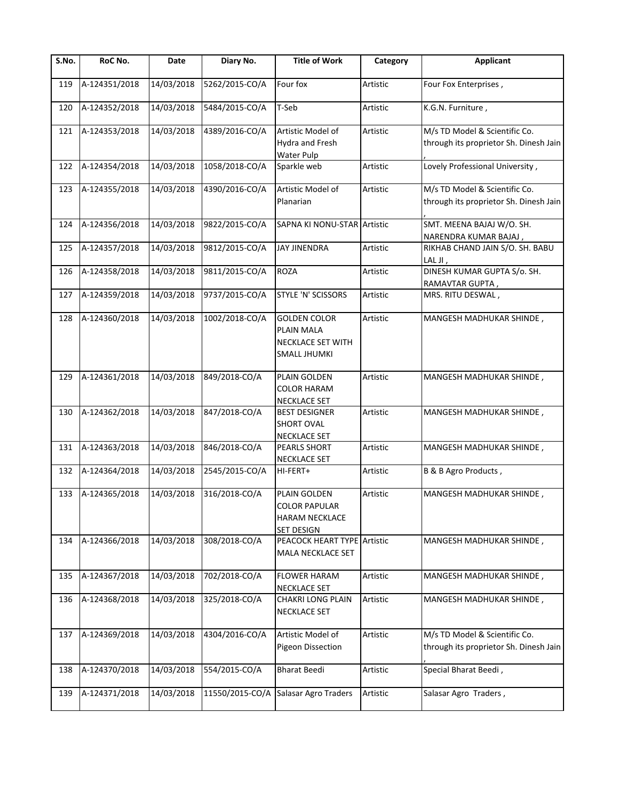| S.No. | RoC No.       | Date       | Diary No.       | <b>Title of Work</b>                                                                 | Category | <b>Applicant</b>                                                        |
|-------|---------------|------------|-----------------|--------------------------------------------------------------------------------------|----------|-------------------------------------------------------------------------|
| 119   | A-124351/2018 | 14/03/2018 | 5262/2015-CO/A  | Four fox                                                                             | Artistic | Four Fox Enterprises,                                                   |
| 120   | A-124352/2018 | 14/03/2018 | 5484/2015-CO/A  | T-Seb                                                                                | Artistic | K.G.N. Furniture,                                                       |
| 121   | A-124353/2018 | 14/03/2018 | 4389/2016-CO/A  | Artistic Model of<br>Hydra and Fresh<br>Water Pulp                                   | Artistic | M/s TD Model & Scientific Co.<br>through its proprietor Sh. Dinesh Jain |
| 122   | A-124354/2018 | 14/03/2018 | 1058/2018-CO/A  | Sparkle web                                                                          | Artistic | Lovely Professional University,                                         |
| 123   | A-124355/2018 | 14/03/2018 | 4390/2016-CO/A  | Artistic Model of<br>Planarian                                                       | Artistic | M/s TD Model & Scientific Co.<br>through its proprietor Sh. Dinesh Jain |
| 124   | A-124356/2018 | 14/03/2018 | 9822/2015-CO/A  | SAPNA KI NONU-STAR Artistic                                                          |          | SMT. MEENA BAJAJ W/O. SH.<br>NARENDRA KUMAR BAJAJ,                      |
| 125   | A-124357/2018 | 14/03/2018 | 9812/2015-CO/A  | <b>JAY JINENDRA</b>                                                                  | Artistic | RIKHAB CHAND JAIN S/O. SH. BABU<br>LAL JI,                              |
| 126   | A-124358/2018 | 14/03/2018 | 9811/2015-CO/A  | <b>ROZA</b>                                                                          | Artistic | DINESH KUMAR GUPTA S/o. SH.<br>RAMAVTAR GUPTA,                          |
| 127   | A-124359/2018 | 14/03/2018 | 9737/2015-CO/A  | STYLE 'N' SCISSORS                                                                   | Artistic | MRS. RITU DESWAL,                                                       |
| 128   | A-124360/2018 | 14/03/2018 | 1002/2018-CO/A  | <b>GOLDEN COLOR</b><br>PLAIN MALA<br><b>NECKLACE SET WITH</b><br><b>SMALL JHUMKI</b> | Artistic | MANGESH MADHUKAR SHINDE,                                                |
| 129   | A-124361/2018 | 14/03/2018 | 849/2018-CO/A   | PLAIN GOLDEN<br><b>COLOR HARAM</b><br>NECKLACE SET                                   | Artistic | MANGESH MADHUKAR SHINDE,                                                |
| 130   | A-124362/2018 | 14/03/2018 | 847/2018-CO/A   | <b>BEST DESIGNER</b><br><b>SHORT OVAL</b><br><b>NECKLACE SET</b>                     | Artistic | MANGESH MADHUKAR SHINDE,                                                |
| 131   | A-124363/2018 | 14/03/2018 | 846/2018-CO/A   | PEARLS SHORT<br><b>NECKLACE SET</b>                                                  | Artistic | MANGESH MADHUKAR SHINDE,                                                |
| 132   | A-124364/2018 | 14/03/2018 | 2545/2015-CO/A  | HI-FERT+                                                                             | Artistic | B & B Agro Products,                                                    |
| 133   | A-124365/2018 | 14/03/2018 | 316/2018-CO/A   | PLAIN GOLDEN<br><b>COLOR PAPULAR</b><br><b>HARAM NECKLACE</b><br><b>SET DESIGN</b>   | Artistic | MANGESH MADHUKAR SHINDE,                                                |
| 134   | A-124366/2018 | 14/03/2018 | 308/2018-CO/A   | PEACOCK HEART TYPE Artistic<br>MALA NECKLACE SET                                     |          | MANGESH MADHUKAR SHINDE,                                                |
| 135   | A-124367/2018 | 14/03/2018 | 702/2018-CO/A   | <b>FLOWER HARAM</b><br><b>NECKLACE SET</b>                                           | Artistic | MANGESH MADHUKAR SHINDE,                                                |
| 136   | A-124368/2018 | 14/03/2018 | 325/2018-CO/A   | <b>CHAKRI LONG PLAIN</b><br><b>NECKLACE SET</b>                                      | Artistic | MANGESH MADHUKAR SHINDE,                                                |
| 137   | A-124369/2018 | 14/03/2018 | 4304/2016-CO/A  | Artistic Model of<br><b>Pigeon Dissection</b>                                        | Artistic | M/s TD Model & Scientific Co.<br>through its proprietor Sh. Dinesh Jain |
| 138   | A-124370/2018 | 14/03/2018 | 554/2015-CO/A   | <b>Bharat Beedi</b>                                                                  | Artistic | Special Bharat Beedi,                                                   |
| 139   | A-124371/2018 | 14/03/2018 | 11550/2015-CO/A | Salasar Agro Traders                                                                 | Artistic | Salasar Agro Traders,                                                   |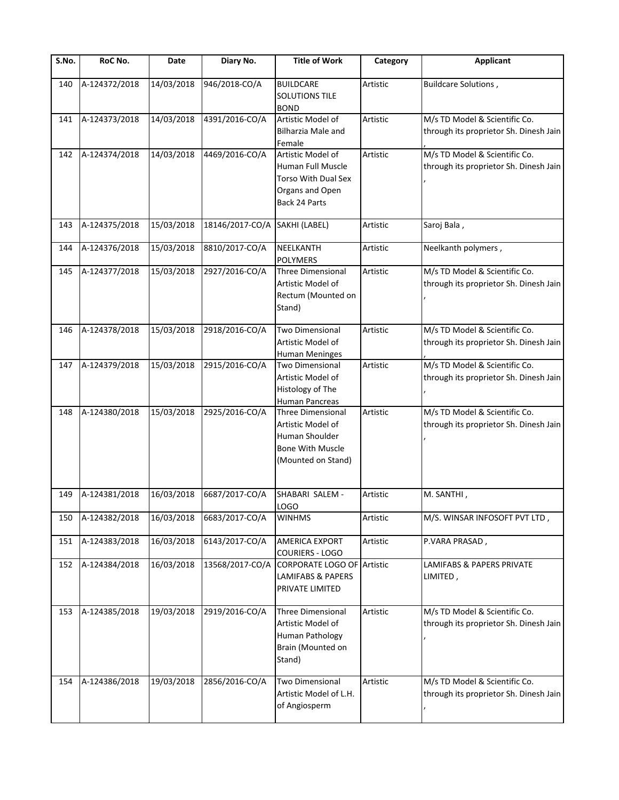| S.No. | RoC No.       | Date       | Diary No.       | <b>Title of Work</b>                                                                                             | Category | <b>Applicant</b>                                                        |
|-------|---------------|------------|-----------------|------------------------------------------------------------------------------------------------------------------|----------|-------------------------------------------------------------------------|
| 140   | A-124372/2018 | 14/03/2018 | 946/2018-CO/A   | <b>BUILDCARE</b><br><b>SOLUTIONS TILE</b><br><b>BOND</b>                                                         | Artistic | Buildcare Solutions,                                                    |
| 141   | A-124373/2018 | 14/03/2018 | 4391/2016-CO/A  | Artistic Model of<br><b>Bilharzia Male and</b><br>Female                                                         | Artistic | M/s TD Model & Scientific Co.<br>through its proprietor Sh. Dinesh Jain |
| 142   | A-124374/2018 | 14/03/2018 | 4469/2016-CO/A  | Artistic Model of<br>Human Full Muscle<br>Torso With Dual Sex<br>Organs and Open<br>Back 24 Parts                | Artistic | M/s TD Model & Scientific Co.<br>through its proprietor Sh. Dinesh Jain |
| 143   | A-124375/2018 | 15/03/2018 | 18146/2017-CO/A | SAKHI (LABEL)                                                                                                    | Artistic | Saroj Bala,                                                             |
| 144   | A-124376/2018 | 15/03/2018 | 8810/2017-CO/A  | NEELKANTH<br><b>POLYMERS</b>                                                                                     | Artistic | Neelkanth polymers,                                                     |
| 145   | A-124377/2018 | 15/03/2018 | 2927/2016-CO/A  | Three Dimensional<br>Artistic Model of<br>Rectum (Mounted on<br>Stand)                                           | Artistic | M/s TD Model & Scientific Co.<br>through its proprietor Sh. Dinesh Jain |
| 146   | A-124378/2018 | 15/03/2018 | 2918/2016-CO/A  | <b>Two Dimensional</b><br>Artistic Model of<br><b>Human Meninges</b>                                             | Artistic | M/s TD Model & Scientific Co.<br>through its proprietor Sh. Dinesh Jain |
| 147   | A-124379/2018 | 15/03/2018 | 2915/2016-CO/A  | Two Dimensional<br>Artistic Model of<br>Histology of The<br><b>Human Pancreas</b>                                | Artistic | M/s TD Model & Scientific Co.<br>through its proprietor Sh. Dinesh Jain |
| 148   | A-124380/2018 | 15/03/2018 | 2925/2016-CO/A  | <b>Three Dimensional</b><br>Artistic Model of<br>Human Shoulder<br><b>Bone With Muscle</b><br>(Mounted on Stand) | Artistic | M/s TD Model & Scientific Co.<br>through its proprietor Sh. Dinesh Jain |
| 149   | A-124381/2018 | 16/03/2018 | 6687/2017-CO/A  | SHABARI SALEM -<br>LOGO                                                                                          | Artistic | M. SANTHI,                                                              |
| 150   | A-124382/2018 | 16/03/2018 | 6683/2017-CO/A  | <b>WINHMS</b>                                                                                                    | Artistic | M/S. WINSAR INFOSOFT PVT LTD,                                           |
| 151   | A-124383/2018 | 16/03/2018 | 6143/2017-CO/A  | <b>AMERICA EXPORT</b><br><b>COURIERS - LOGO</b>                                                                  | Artistic | P.VARA PRASAD,                                                          |
| 152   | A-124384/2018 | 16/03/2018 | 13568/2017-CO/A | CORPORATE LOGO OF Artistic<br><b>LAMIFABS &amp; PAPERS</b><br>PRIVATE LIMITED                                    |          | LAMIFABS & PAPERS PRIVATE<br>LIMITED,                                   |
| 153   | A-124385/2018 | 19/03/2018 | 2919/2016-CO/A  | Three Dimensional<br>Artistic Model of<br>Human Pathology<br>Brain (Mounted on<br>Stand)                         | Artistic | M/s TD Model & Scientific Co.<br>through its proprietor Sh. Dinesh Jain |
| 154   | A-124386/2018 | 19/03/2018 | 2856/2016-CO/A  | Two Dimensional<br>Artistic Model of L.H.<br>of Angiosperm                                                       | Artistic | M/s TD Model & Scientific Co.<br>through its proprietor Sh. Dinesh Jain |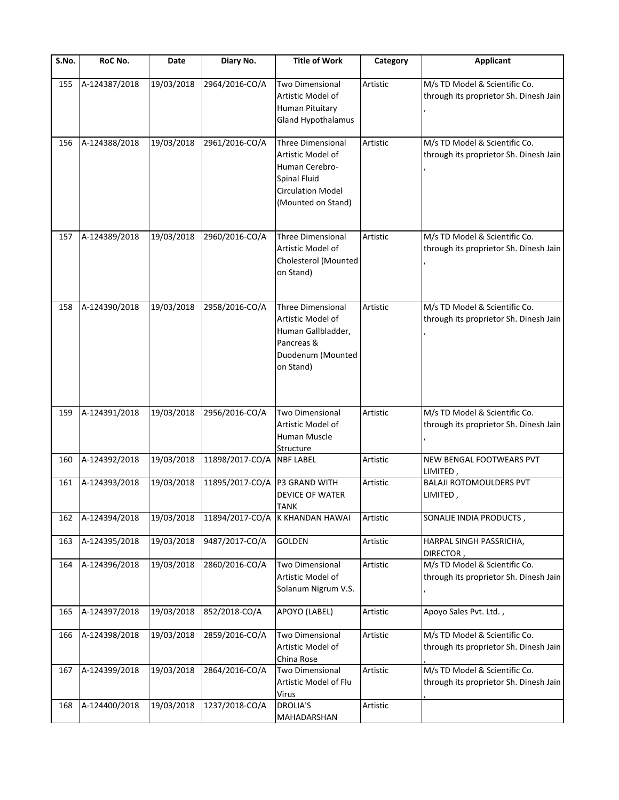| S.No. | RoC No.       | Date       | Diary No.       | <b>Title of Work</b>                                                                                                              | Category | <b>Applicant</b>                                                        |
|-------|---------------|------------|-----------------|-----------------------------------------------------------------------------------------------------------------------------------|----------|-------------------------------------------------------------------------|
| 155   | A-124387/2018 | 19/03/2018 | 2964/2016-CO/A  | <b>Two Dimensional</b><br>Artistic Model of<br><b>Human Pituitary</b><br>Gland Hypothalamus                                       | Artistic | M/s TD Model & Scientific Co.<br>through its proprietor Sh. Dinesh Jain |
| 156   | A-124388/2018 | 19/03/2018 | 2961/2016-CO/A  | Three Dimensional<br>Artistic Model of<br>Human Cerebro-<br><b>Spinal Fluid</b><br><b>Circulation Model</b><br>(Mounted on Stand) | Artistic | M/s TD Model & Scientific Co.<br>through its proprietor Sh. Dinesh Jain |
| 157   | A-124389/2018 | 19/03/2018 | 2960/2016-CO/A  | <b>Three Dimensional</b><br>Artistic Model of<br>Cholesterol (Mounted<br>on Stand)                                                | Artistic | M/s TD Model & Scientific Co.<br>through its proprietor Sh. Dinesh Jain |
| 158   | A-124390/2018 | 19/03/2018 | 2958/2016-CO/A  | Three Dimensional<br>Artistic Model of<br>Human Gallbladder,<br>Pancreas &<br>Duodenum (Mounted<br>on Stand)                      | Artistic | M/s TD Model & Scientific Co.<br>through its proprietor Sh. Dinesh Jain |
| 159   | A-124391/2018 | 19/03/2018 | 2956/2016-CO/A  | <b>Two Dimensional</b><br>Artistic Model of<br>Human Muscle                                                                       | Artistic | M/s TD Model & Scientific Co.<br>through its proprietor Sh. Dinesh Jain |
| 160   | A-124392/2018 | 19/03/2018 | 11898/2017-CO/A | Structure<br><b>NBF LABEL</b>                                                                                                     | Artistic | NEW BENGAL FOOTWEARS PVT<br>LIMITED                                     |
| 161   | A-124393/2018 | 19/03/2018 | 11895/2017-CO/A | P3 GRAND WITH<br><b>DEVICE OF WATER</b><br><b>TANK</b>                                                                            | Artistic | <b>BALAJI ROTOMOULDERS PVT</b><br>LIMITED,                              |
| 162   | A-124394/2018 | 19/03/2018 | 11894/2017-CO/A | K KHANDAN HAWAI                                                                                                                   | Artistic | SONALIE INDIA PRODUCTS,                                                 |
| 163   | A-124395/2018 | 19/03/2018 | 9487/2017-CO/A  | <b>GOLDEN</b>                                                                                                                     | Artistic | HARPAL SINGH PASSRICHA,<br>DIRECTOR,                                    |
| 164   | A-124396/2018 | 19/03/2018 | 2860/2016-CO/A  | <b>Two Dimensional</b><br>Artistic Model of<br>Solanum Nigrum V.S.                                                                | Artistic | M/s TD Model & Scientific Co.<br>through its proprietor Sh. Dinesh Jain |
| 165   | A-124397/2018 | 19/03/2018 | 852/2018-CO/A   | APOYO (LABEL)                                                                                                                     | Artistic | Apoyo Sales Pvt. Ltd.,                                                  |
| 166   | A-124398/2018 | 19/03/2018 | 2859/2016-CO/A  | Two Dimensional<br>Artistic Model of<br>China Rose                                                                                | Artistic | M/s TD Model & Scientific Co.<br>through its proprietor Sh. Dinesh Jain |
| 167   | A-124399/2018 | 19/03/2018 | 2864/2016-CO/A  | Two Dimensional<br>Artistic Model of Flu<br><b>Virus</b>                                                                          | Artistic | M/s TD Model & Scientific Co.<br>through its proprietor Sh. Dinesh Jain |
| 168   | A-124400/2018 | 19/03/2018 | 1237/2018-CO/A  | DROLIA'S<br>MAHADARSHAN                                                                                                           | Artistic |                                                                         |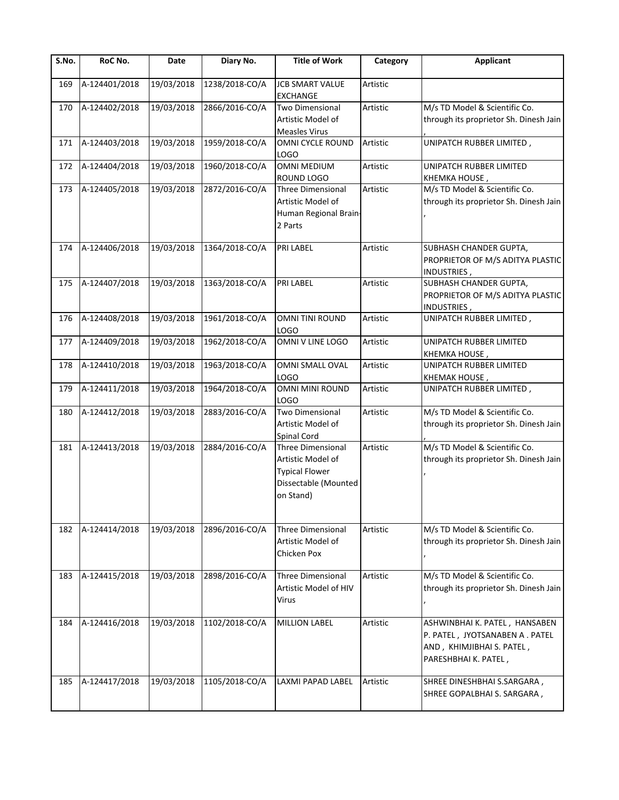| S.No. | RoC No.       | Date       | Diary No.      | <b>Title of Work</b>                                                                                        | Category | <b>Applicant</b>                                                                                                     |
|-------|---------------|------------|----------------|-------------------------------------------------------------------------------------------------------------|----------|----------------------------------------------------------------------------------------------------------------------|
| 169   | A-124401/2018 | 19/03/2018 | 1238/2018-CO/A | <b>JCB SMART VALUE</b><br><b>EXCHANGE</b>                                                                   | Artistic |                                                                                                                      |
| 170   | A-124402/2018 | 19/03/2018 | 2866/2016-CO/A | Two Dimensional<br>Artistic Model of<br><b>Measles Virus</b>                                                | Artistic | M/s TD Model & Scientific Co.<br>through its proprietor Sh. Dinesh Jain                                              |
| 171   | A-124403/2018 | 19/03/2018 | 1959/2018-CO/A | OMNI CYCLE ROUND<br>LOGO                                                                                    | Artistic | UNIPATCH RUBBER LIMITED,                                                                                             |
| 172   | A-124404/2018 | 19/03/2018 | 1960/2018-CO/A | <b>OMNI MEDIUM</b><br>ROUND LOGO                                                                            | Artistic | UNIPATCH RUBBER LIMITED<br>KHEMKA HOUSE,                                                                             |
| 173   | A-124405/2018 | 19/03/2018 | 2872/2016-CO/A | Three Dimensional<br>Artistic Model of<br>Human Regional Brain<br>2 Parts                                   | Artistic | M/s TD Model & Scientific Co.<br>through its proprietor Sh. Dinesh Jain                                              |
| 174   | A-124406/2018 | 19/03/2018 | 1364/2018-CO/A | PRI LABEL                                                                                                   | Artistic | SUBHASH CHANDER GUPTA,<br>PROPRIETOR OF M/S ADITYA PLASTIC<br>INDUSTRIES,                                            |
| 175   | A-124407/2018 | 19/03/2018 | 1363/2018-CO/A | PRI LABEL                                                                                                   | Artistic | SUBHASH CHANDER GUPTA,<br>PROPRIETOR OF M/S ADITYA PLASTIC<br>INDUSTRIES,                                            |
| 176   | A-124408/2018 | 19/03/2018 | 1961/2018-CO/A | <b>OMNI TINI ROUND</b><br>LOGO                                                                              | Artistic | UNIPATCH RUBBER LIMITED,                                                                                             |
| 177   | A-124409/2018 | 19/03/2018 | 1962/2018-CO/A | OMNI V LINE LOGO                                                                                            | Artistic | UNIPATCH RUBBER LIMITED<br>KHEMKA HOUSE,                                                                             |
| 178   | A-124410/2018 | 19/03/2018 | 1963/2018-CO/A | OMNI SMALL OVAL<br><b>LOGO</b>                                                                              | Artistic | UNIPATCH RUBBER LIMITED<br>KHEMAK HOUSE,                                                                             |
| 179   | A-124411/2018 | 19/03/2018 | 1964/2018-CO/A | <b>OMNI MINI ROUND</b><br>LOGO                                                                              | Artistic | UNIPATCH RUBBER LIMITED,                                                                                             |
| 180   | A-124412/2018 | 19/03/2018 | 2883/2016-CO/A | <b>Two Dimensional</b><br>Artistic Model of<br>Spinal Cord                                                  | Artistic | M/s TD Model & Scientific Co.<br>through its proprietor Sh. Dinesh Jain                                              |
| 181   | A-124413/2018 | 19/03/2018 | 2884/2016-CO/A | <b>Three Dimensional</b><br>Artistic Model of<br><b>Typical Flower</b><br>Dissectable (Mounted<br>on Stand) | Artistic | M/s TD Model & Scientific Co.<br>through its proprietor Sh. Dinesh Jain                                              |
| 182   | A-124414/2018 | 19/03/2018 | 2896/2016-CO/A | <b>Three Dimensional</b><br>Artistic Model of<br>Chicken Pox                                                | Artistic | M/s TD Model & Scientific Co.<br>through its proprietor Sh. Dinesh Jain                                              |
| 183   | A-124415/2018 | 19/03/2018 | 2898/2016-CO/A | <b>Three Dimensional</b><br>Artistic Model of HIV<br>Virus                                                  | Artistic | M/s TD Model & Scientific Co.<br>through its proprietor Sh. Dinesh Jain                                              |
| 184   | A-124416/2018 | 19/03/2018 | 1102/2018-CO/A | <b>MILLION LABEL</b>                                                                                        | Artistic | ASHWINBHAI K. PATEL, HANSABEN<br>P. PATEL, JYOTSANABEN A. PATEL<br>AND, KHIMJIBHAI S. PATEL,<br>PARESHBHAI K. PATEL, |
| 185   | A-124417/2018 | 19/03/2018 | 1105/2018-CO/A | LAXMI PAPAD LABEL                                                                                           | Artistic | SHREE DINESHBHAI S.SARGARA,<br>SHREE GOPALBHAI S. SARGARA,                                                           |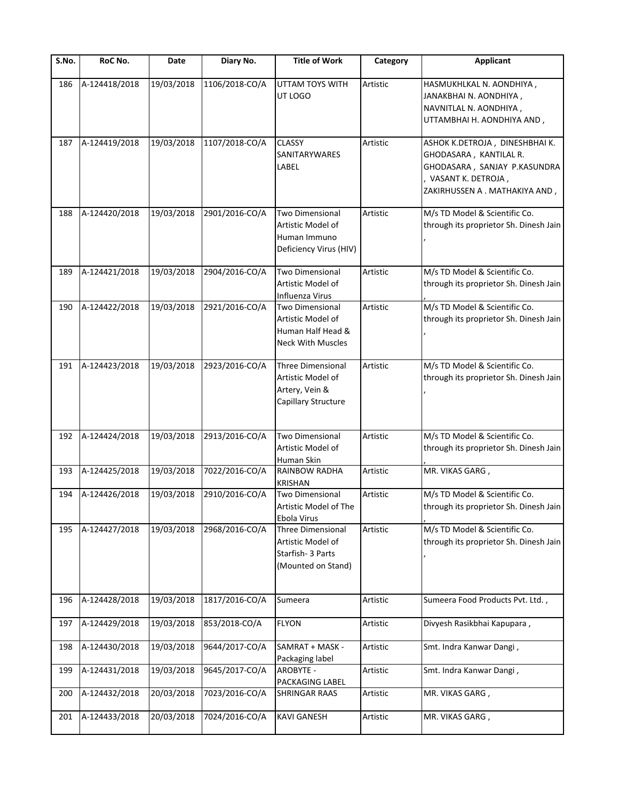| S.No. | RoC No.       | Date       | Diary No.      | <b>Title of Work</b>                                                                         | Category | <b>Applicant</b>                                                                                                                                 |
|-------|---------------|------------|----------------|----------------------------------------------------------------------------------------------|----------|--------------------------------------------------------------------------------------------------------------------------------------------------|
| 186   | A-124418/2018 | 19/03/2018 | 1106/2018-CO/A | UTTAM TOYS WITH<br>UT LOGO                                                                   | Artistic | HASMUKHLKAL N. AONDHIYA,<br>JANAKBHAI N. AONDHIYA,<br>NAVNITLAL N. AONDHIYA,<br>UTTAMBHAI H. AONDHIYA AND,                                       |
| 187   | A-124419/2018 | 19/03/2018 | 1107/2018-CO/A | <b>CLASSY</b><br>SANITARYWARES<br>LABEL                                                      | Artistic | ASHOK K.DETROJA, DINESHBHAI K.<br>GHODASARA, KANTILAL R.<br>GHODASARA, SANJAY P.KASUNDRA<br>VASANT K. DETROJA,<br>ZAKIRHUSSEN A . MATHAKIYA AND, |
| 188   | A-124420/2018 | 19/03/2018 | 2901/2016-CO/A | <b>Two Dimensional</b><br>Artistic Model of<br>Human Immuno<br>Deficiency Virus (HIV)        | Artistic | M/s TD Model & Scientific Co.<br>through its proprietor Sh. Dinesh Jain                                                                          |
| 189   | A-124421/2018 | 19/03/2018 | 2904/2016-CO/A | <b>Two Dimensional</b><br>Artistic Model of<br>Influenza Virus                               | Artistic | M/s TD Model & Scientific Co.<br>through its proprietor Sh. Dinesh Jain                                                                          |
| 190   | A-124422/2018 | 19/03/2018 | 2921/2016-CO/A | <b>Two Dimensional</b><br>Artistic Model of<br>Human Half Head &<br><b>Neck With Muscles</b> | Artistic | M/s TD Model & Scientific Co.<br>through its proprietor Sh. Dinesh Jain                                                                          |
| 191   | A-124423/2018 | 19/03/2018 | 2923/2016-CO/A | <b>Three Dimensional</b><br>Artistic Model of<br>Artery, Vein &<br>Capillary Structure       | Artistic | M/s TD Model & Scientific Co.<br>through its proprietor Sh. Dinesh Jain                                                                          |
| 192   | A-124424/2018 | 19/03/2018 | 2913/2016-CO/A | <b>Two Dimensional</b><br>Artistic Model of<br>Human Skin                                    | Artistic | M/s TD Model & Scientific Co.<br>through its proprietor Sh. Dinesh Jain                                                                          |
| 193   | A-124425/2018 | 19/03/2018 | 7022/2016-CO/A | RAINBOW RADHA<br><b>KRISHAN</b>                                                              | Artistic | MR. VIKAS GARG,                                                                                                                                  |
| 194   | A-124426/2018 | 19/03/2018 | 2910/2016-CO/A | Two Dimensional<br>Artistic Model of The<br>Ebola Virus                                      | Artistic | M/s TD Model & Scientific Co.<br>through its proprietor Sh. Dinesh Jain                                                                          |
| 195   | A-124427/2018 | 19/03/2018 | 2968/2016-CO/A | Three Dimensional<br>Artistic Model of<br>Starfish- 3 Parts<br>(Mounted on Stand)            | Artistic | M/s TD Model & Scientific Co.<br>through its proprietor Sh. Dinesh Jain                                                                          |
| 196   | A-124428/2018 | 19/03/2018 | 1817/2016-CO/A | Sumeera                                                                                      | Artistic | Sumeera Food Products Pvt. Ltd.,                                                                                                                 |
| 197   | A-124429/2018 | 19/03/2018 | 853/2018-CO/A  | <b>FLYON</b>                                                                                 | Artistic | Divyesh Rasikbhai Kapupara,                                                                                                                      |
| 198   | A-124430/2018 | 19/03/2018 | 9644/2017-CO/A | SAMRAT + MASK -<br>Packaging label                                                           | Artistic | Smt. Indra Kanwar Dangi,                                                                                                                         |
| 199   | A-124431/2018 | 19/03/2018 | 9645/2017-CO/A | <b>AROBYTE -</b><br>PACKAGING LABEL                                                          | Artistic | Smt. Indra Kanwar Dangi,                                                                                                                         |
| 200   | A-124432/2018 | 20/03/2018 | 7023/2016-CO/A | <b>SHRINGAR RAAS</b>                                                                         | Artistic | MR. VIKAS GARG,                                                                                                                                  |
| 201   | A-124433/2018 | 20/03/2018 | 7024/2016-CO/A | <b>KAVI GANESH</b>                                                                           | Artistic | MR. VIKAS GARG,                                                                                                                                  |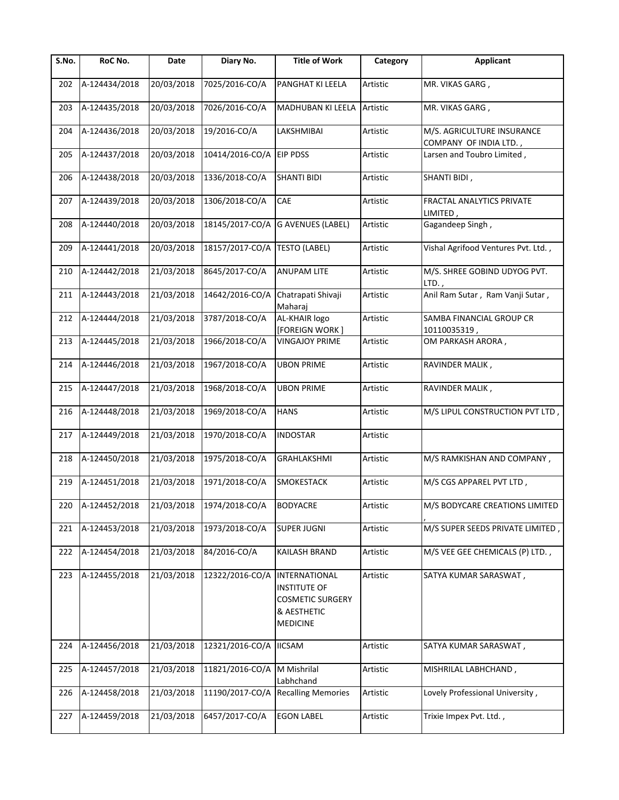| S.No. | RoC No.           | Date       | Diary No.       | <b>Title of Work</b>                                                                                     | Category | <b>Applicant</b>                                     |
|-------|-------------------|------------|-----------------|----------------------------------------------------------------------------------------------------------|----------|------------------------------------------------------|
| 202   | A-124434/2018     | 20/03/2018 | 7025/2016-CO/A  | PANGHAT KI LEELA                                                                                         | Artistic | MR. VIKAS GARG,                                      |
| 203   | A-124435/2018     | 20/03/2018 | 7026/2016-CO/A  | MADHUBAN KI LEELA                                                                                        | Artistic | MR. VIKAS GARG,                                      |
| 204   | A-124436/2018     | 20/03/2018 | 19/2016-CO/A    | LAKSHMIBAI                                                                                               | Artistic | M/S. AGRICULTURE INSURANCE<br>COMPANY OF INDIA LTD., |
| 205   | A-124437/2018     | 20/03/2018 | 10414/2016-CO/A | <b>EIP PDSS</b>                                                                                          | Artistic | Larsen and Toubro Limited,                           |
| 206   | A-124438/2018     | 20/03/2018 | 1336/2018-CO/A  | <b>SHANTI BIDI</b>                                                                                       | Artistic | SHANTI BIDI,                                         |
| 207   | A-124439/2018     | 20/03/2018 | 1306/2018-CO/A  | CAE                                                                                                      | Artistic | FRACTAL ANALYTICS PRIVATE<br>LIMITED,                |
| 208   | A-124440/2018     | 20/03/2018 | 18145/2017-CO/A | <b>G AVENUES (LABEL)</b>                                                                                 | Artistic | Gagandeep Singh,                                     |
| 209   | A-124441/2018     | 20/03/2018 | 18157/2017-CO/A | <b>TESTO (LABEL)</b>                                                                                     | Artistic | Vishal Agrifood Ventures Pvt. Ltd.,                  |
| 210   | A-124442/2018     | 21/03/2018 | 8645/2017-CO/A  | <b>ANUPAM LITE</b>                                                                                       | Artistic | M/S. SHREE GOBIND UDYOG PVT.<br>$LTD.$ ,             |
| 211   | A-124443/2018     | 21/03/2018 | 14642/2016-CO/A | Chatrapati Shivaji<br>Maharaj                                                                            | Artistic | Anil Ram Sutar, Ram Vanji Sutar,                     |
| 212   | A-124444/2018     | 21/03/2018 | 3787/2018-CO/A  | AL-KHAIR logo<br><b>[FOREIGN WORK]</b>                                                                   | Artistic | SAMBA FINANCIAL GROUP CR<br>10110035319,             |
| 213   | A-124445/2018     | 21/03/2018 | 1966/2018-CO/A  | <b>VINGAJOY PRIME</b>                                                                                    | Artistic | OM PARKASH ARORA,                                    |
| 214   | A-124446/2018     | 21/03/2018 | 1967/2018-CO/A  | <b>UBON PRIME</b>                                                                                        | Artistic | RAVINDER MALIK,                                      |
| 215   | A-124447/2018     | 21/03/2018 | 1968/2018-CO/A  | <b>UBON PRIME</b>                                                                                        | Artistic | RAVINDER MALIK,                                      |
| 216   | A-124448/2018     | 21/03/2018 | 1969/2018-CO/A  | <b>HANS</b>                                                                                              | Artistic | M/S LIPUL CONSTRUCTION PVT LTD,                      |
| 217   | A-124449/2018     | 21/03/2018 | 1970/2018-CO/A  | <b>INDOSTAR</b>                                                                                          | Artistic |                                                      |
| 218   | A-124450/2018     | 21/03/2018 | 1975/2018-CO/A  | <b>GRAHLAKSHMI</b>                                                                                       | Artistic | M/S RAMKISHAN AND COMPANY,                           |
| 219   | A-124451/2018     | 21/03/2018 | 1971/2018-CO/A  | <b>SMOKESTACK</b>                                                                                        | Artistic | M/S CGS APPAREL PVT LTD,                             |
|       | 220 A-124452/2018 | 21/03/2018 | 1974/2018-CO/A  | <b>BODYACRE</b>                                                                                          | Artistic | M/S BODYCARE CREATIONS LIMITED                       |
| 221   | A-124453/2018     | 21/03/2018 | 1973/2018-CO/A  | <b>SUPER JUGNI</b>                                                                                       | Artistic | M/S SUPER SEEDS PRIVATE LIMITED,                     |
| 222   | A-124454/2018     | 21/03/2018 | 84/2016-CO/A    | KAILASH BRAND                                                                                            | Artistic | M/S VEE GEE CHEMICALS (P) LTD.,                      |
| 223   | A-124455/2018     | 21/03/2018 | 12322/2016-CO/A | <b>INTERNATIONAL</b><br><b>INSTITUTE OF</b><br><b>COSMETIC SURGERY</b><br>& AESTHETIC<br><b>MEDICINE</b> | Artistic | SATYA KUMAR SARASWAT,                                |
| 224   | A-124456/2018     | 21/03/2018 | 12321/2016-CO/A | <b>IICSAM</b>                                                                                            | Artistic | SATYA KUMAR SARASWAT,                                |
| 225   | A-124457/2018     | 21/03/2018 | 11821/2016-CO/A | M Mishrilal<br>Labhchand                                                                                 | Artistic | MISHRILAL LABHCHAND,                                 |
| 226   | A-124458/2018     | 21/03/2018 | 11190/2017-CO/A | <b>Recalling Memories</b>                                                                                | Artistic | Lovely Professional University,                      |
| 227   | A-124459/2018     | 21/03/2018 | 6457/2017-CO/A  | <b>EGON LABEL</b>                                                                                        | Artistic | Trixie Impex Pvt. Ltd.,                              |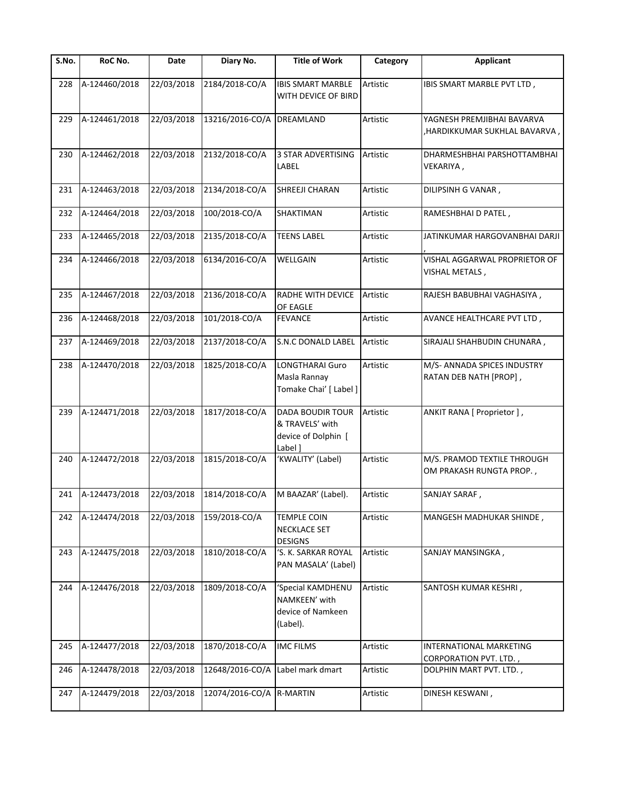| S.No. | RoC No.       | Date       | Diary No.                 | <b>Title of Work</b>                                                         | Category | Applicant                                                    |
|-------|---------------|------------|---------------------------|------------------------------------------------------------------------------|----------|--------------------------------------------------------------|
| 228   | A-124460/2018 | 22/03/2018 | 2184/2018-CO/A            | <b>IBIS SMART MARBLE</b><br>WITH DEVICE OF BIRD                              | Artistic | IBIS SMART MARBLE PVT LTD,                                   |
| 229   | A-124461/2018 | 22/03/2018 | 13216/2016-CO/A DREAMLAND |                                                                              | Artistic | YAGNESH PREMJIBHAI BAVARVA<br>, HARDIKKUMAR SUKHLAL BAVARVA, |
| 230   | A-124462/2018 | 22/03/2018 | 2132/2018-CO/A            | <b>3 STAR ADVERTISING</b><br>LABEL                                           | Artistic | DHARMESHBHAI PARSHOTTAMBHAI<br>VEKARIYA,                     |
| 231   | A-124463/2018 | 22/03/2018 | 2134/2018-CO/A            | SHREEJI CHARAN                                                               | Artistic | DILIPSINH G VANAR,                                           |
| 232   | A-124464/2018 | 22/03/2018 | 100/2018-CO/A             | SHAKTIMAN                                                                    | Artistic | RAMESHBHAI D PATEL,                                          |
| 233   | A-124465/2018 | 22/03/2018 | 2135/2018-CO/A            | <b>TEENS LABEL</b>                                                           | Artistic | JATINKUMAR HARGOVANBHAI DARJI                                |
| 234   | A-124466/2018 | 22/03/2018 | 6134/2016-CO/A            | WELLGAIN                                                                     | Artistic | VISHAL AGGARWAL PROPRIETOR OF<br>VISHAL METALS,              |
| 235   | A-124467/2018 | 22/03/2018 | 2136/2018-CO/A            | <b>RADHE WITH DEVICE</b><br>OF EAGLE                                         | Artistic | RAJESH BABUBHAI VAGHASIYA,                                   |
| 236   | A-124468/2018 | 22/03/2018 | 101/2018-CO/A             | <b>FEVANCE</b>                                                               | Artistic | AVANCE HEALTHCARE PVT LTD,                                   |
| 237   | A-124469/2018 | 22/03/2018 | 2137/2018-CO/A            | <b>S.N.C DONALD LABEL</b>                                                    | Artistic | SIRAJALI SHAHBUDIN CHUNARA,                                  |
| 238   | A-124470/2018 | 22/03/2018 | 1825/2018-CO/A            | <b>LONGTHARAI Guro</b><br>Masla Rannay<br>Tomake Chai' [ Label ]             | Artistic | M/S- ANNADA SPICES INDUSTRY<br>RATAN DEB NATH [PROP],        |
| 239   | A-124471/2018 | 22/03/2018 | 1817/2018-CO/A            | <b>DADA BOUDIR TOUR</b><br>& TRAVELS' with<br>device of Dolphin [<br>Label 1 | Artistic | ANKIT RANA [ Proprietor ],                                   |
| 240   | A-124472/2018 | 22/03/2018 | 1815/2018-CO/A            | 'KWALITY' (Label)                                                            | Artistic | M/S. PRAMOD TEXTILE THROUGH<br>OM PRAKASH RUNGTA PROP.,      |
| 241   | A-124473/2018 | 22/03/2018 | 1814/2018-CO/A            | M BAAZAR' (Label).                                                           | Artistic | SANJAY SARAF,                                                |
| 242   | A-124474/2018 | 22/03/2018 | 159/2018-CO/A             | <b>TEMPLE COIN</b><br><b>NECKLACE SET</b><br><b>DESIGNS</b>                  | Artistic | MANGESH MADHUKAR SHINDE,                                     |
| 243   | A-124475/2018 | 22/03/2018 | 1810/2018-CO/A            | 'S. K. SARKAR ROYAL<br>PAN MASALA' (Label)                                   | Artistic | SANJAY MANSINGKA,                                            |
| 244   | A-124476/2018 | 22/03/2018 | 1809/2018-CO/A            | 'Special KAMDHENU<br>NAMKEEN' with<br>device of Namkeen<br>(Label).          | Artistic | SANTOSH KUMAR KESHRI,                                        |
| 245   | A-124477/2018 | 22/03/2018 | 1870/2018-CO/A            | <b>IMC FILMS</b>                                                             | Artistic | INTERNATIONAL MARKETING<br>CORPORATION PVT. LTD.,            |
| 246   | A-124478/2018 | 22/03/2018 | 12648/2016-CO/A           | Label mark dmart                                                             | Artistic | DOLPHIN MART PVT. LTD.,                                      |
| 247   | A-124479/2018 | 22/03/2018 | 12074/2016-CO/A R-MARTIN  |                                                                              | Artistic | DINESH KESWANI,                                              |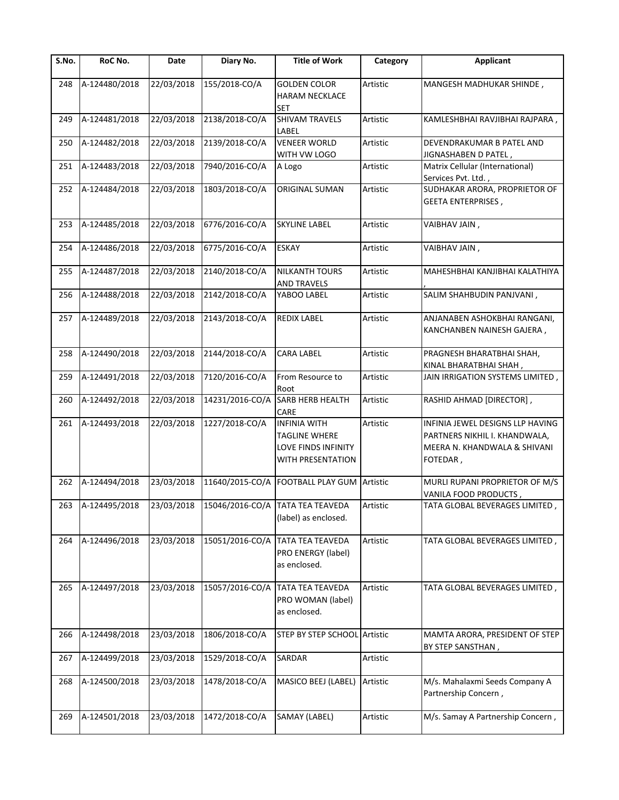| S.No. | RoC No.           | Date       | Diary No.       | <b>Title of Work</b>                                                             | Category | <b>Applicant</b>                                                                                              |
|-------|-------------------|------------|-----------------|----------------------------------------------------------------------------------|----------|---------------------------------------------------------------------------------------------------------------|
| 248   | A-124480/2018     | 22/03/2018 | 155/2018-CO/A   | <b>GOLDEN COLOR</b><br><b>HARAM NECKLACE</b><br>SET                              | Artistic | MANGESH MADHUKAR SHINDE,                                                                                      |
| 249   | A-124481/2018     | 22/03/2018 | 2138/2018-CO/A  | SHIVAM TRAVELS<br>LABEL                                                          | Artistic | KAMLESHBHAI RAVJIBHAI RAJPARA,                                                                                |
| 250   | A-124482/2018     | 22/03/2018 | 2139/2018-CO/A  | <b>VENEER WORLD</b><br>WITH VW LOGO                                              | Artistic | DEVENDRAKUMAR B PATEL AND<br>JIGNASHABEN D PATEL,                                                             |
| 251   | A-124483/2018     | 22/03/2018 | 7940/2016-CO/A  | A Logo                                                                           | Artistic | Matrix Cellular (International)<br>Services Pvt. Ltd.,                                                        |
| 252   | A-124484/2018     | 22/03/2018 | 1803/2018-CO/A  | ORIGINAL SUMAN                                                                   | Artistic | SUDHAKAR ARORA, PROPRIETOR OF<br><b>GEETA ENTERPRISES,</b>                                                    |
| 253   | A-124485/2018     | 22/03/2018 | 6776/2016-CO/A  | <b>SKYLINE LABEL</b>                                                             | Artistic | VAIBHAV JAIN,                                                                                                 |
| 254   | A-124486/2018     | 22/03/2018 | 6775/2016-CO/A  | <b>ESKAY</b>                                                                     | Artistic | VAIBHAV JAIN,                                                                                                 |
| 255   | A-124487/2018     | 22/03/2018 | 2140/2018-CO/A  | <b>NILKANTH TOURS</b><br><b>AND TRAVELS</b>                                      | Artistic | MAHESHBHAI KANJIBHAI KALATHIYA                                                                                |
| 256   | A-124488/2018     | 22/03/2018 | 2142/2018-CO/A  | YABOO LABEL                                                                      | Artistic | SALIM SHAHBUDIN PANJVANI,                                                                                     |
| 257   | A-124489/2018     | 22/03/2018 | 2143/2018-CO/A  | <b>REDIX LABEL</b>                                                               | Artistic | ANJANABEN ASHOKBHAI RANGANI,<br>KANCHANBEN NAINESH GAJERA,                                                    |
| 258   | A-124490/2018     | 22/03/2018 | 2144/2018-CO/A  | <b>CARA LABEL</b>                                                                | Artistic | PRAGNESH BHARATBHAI SHAH,<br>KINAL BHARATBHAI SHAH,                                                           |
| 259   | A-124491/2018     | 22/03/2018 | 7120/2016-CO/A  | From Resource to<br>Root                                                         | Artistic | JAIN IRRIGATION SYSTEMS LIMITED,                                                                              |
| 260   | A-124492/2018     | 22/03/2018 | 14231/2016-CO/A | <b>SARB HERB HEALTH</b><br>CARE                                                  | Artistic | RASHID AHMAD [DIRECTOR],                                                                                      |
| 261   | A-124493/2018     | 22/03/2018 | 1227/2018-CO/A  | <b>INFINIA WITH</b><br>TAGLINE WHERE<br>LOVE FINDS INFINITY<br>WITH PRESENTATION | Artistic | INFINIA JEWEL DESIGNS LLP HAVING<br>PARTNERS NIKHIL I. KHANDWALA,<br>MEERA N. KHANDWALA & SHIVANI<br>FOTEDAR, |
| 262   | A-124494/2018     | 23/03/2018 | 11640/2015-CO/A | <b>FOOTBALL PLAY GUM Artistic</b>                                                |          | MURLI RUPANI PROPRIETOR OF M/S<br>VANILA FOOD PRODUCTS,                                                       |
|       | 263 A-124495/2018 |            |                 | 23/03/2018 15046/2016-CO/A TATA TEA TEAVEDA<br>(label) as enclosed.              | Artistic | TATA GLOBAL BEVERAGES LIMITED,                                                                                |
| 264   | A-124496/2018     | 23/03/2018 | 15051/2016-CO/A | <b>TATA TEA TEAVEDA</b><br>PRO ENERGY (label)<br>as enclosed.                    | Artistic | TATA GLOBAL BEVERAGES LIMITED,                                                                                |
| 265   | A-124497/2018     | 23/03/2018 | 15057/2016-CO/A | <b>TATA TEA TEAVEDA</b><br>PRO WOMAN (label)<br>as enclosed.                     | Artistic | TATA GLOBAL BEVERAGES LIMITED,                                                                                |
| 266   | A-124498/2018     | 23/03/2018 | 1806/2018-CO/A  | STEP BY STEP SCHOOL Artistic                                                     |          | MAMTA ARORA, PRESIDENT OF STEP<br>BY STEP SANSTHAN,                                                           |
| 267   | A-124499/2018     | 23/03/2018 | 1529/2018-CO/A  | SARDAR                                                                           | Artistic |                                                                                                               |
| 268   | A-124500/2018     | 23/03/2018 | 1478/2018-CO/A  | MASICO BEEJ (LABEL)                                                              | Artistic | M/s. Mahalaxmi Seeds Company A<br>Partnership Concern,                                                        |
| 269   | A-124501/2018     | 23/03/2018 | 1472/2018-CO/A  | SAMAY (LABEL)                                                                    | Artistic | M/s. Samay A Partnership Concern,                                                                             |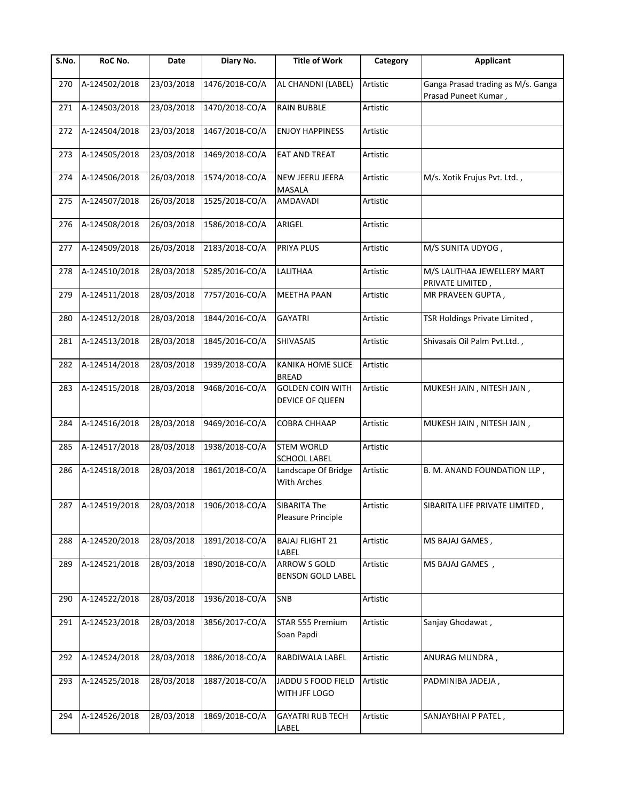| S.No. | RoC No.           | Date       | Diary No.      | <b>Title of Work</b>                            | Category | <b>Applicant</b>                                           |
|-------|-------------------|------------|----------------|-------------------------------------------------|----------|------------------------------------------------------------|
| 270   | A-124502/2018     | 23/03/2018 | 1476/2018-CO/A | AL CHANDNI (LABEL)                              | Artistic | Ganga Prasad trading as M/s. Ganga<br>Prasad Puneet Kumar, |
| 271   | A-124503/2018     | 23/03/2018 | 1470/2018-CO/A | <b>RAIN BUBBLE</b>                              | Artistic |                                                            |
| 272   | A-124504/2018     | 23/03/2018 | 1467/2018-CO/A | <b>ENJOY HAPPINESS</b>                          | Artistic |                                                            |
| 273   | A-124505/2018     | 23/03/2018 | 1469/2018-CO/A | EAT AND TREAT                                   | Artistic |                                                            |
| 274   | A-124506/2018     | 26/03/2018 | 1574/2018-CO/A | NEW JEERU JEERA<br>MASALA                       | Artistic | M/s. Xotik Frujus Pvt. Ltd.,                               |
| 275   | A-124507/2018     | 26/03/2018 | 1525/2018-CO/A | AMDAVADI                                        | Artistic |                                                            |
| 276   | A-124508/2018     | 26/03/2018 | 1586/2018-CO/A | ARIGEL                                          | Artistic |                                                            |
| 277   | A-124509/2018     | 26/03/2018 | 2183/2018-CO/A | PRIYA PLUS                                      | Artistic | M/S SUNITA UDYOG,                                          |
| 278   | A-124510/2018     | 28/03/2018 | 5285/2016-CO/A | LALITHAA                                        | Artistic | M/S LALITHAA JEWELLERY MART<br>PRIVATE LIMITED,            |
| 279   | A-124511/2018     | 28/03/2018 | 7757/2016-CO/A | <b>MEETHA PAAN</b>                              | Artistic | MR PRAVEEN GUPTA,                                          |
| 280   | A-124512/2018     | 28/03/2018 | 1844/2016-CO/A | <b>GAYATRI</b>                                  | Artistic | TSR Holdings Private Limited,                              |
| 281   | A-124513/2018     | 28/03/2018 | 1845/2016-CO/A | SHIVASAIS                                       | Artistic | Shivasais Oil Palm Pvt.Ltd.,                               |
| 282   | A-124514/2018     | 28/03/2018 | 1939/2018-CO/A | KANIKA HOME SLICE<br><b>BREAD</b>               | Artistic |                                                            |
| 283   | A-124515/2018     | 28/03/2018 | 9468/2016-CO/A | <b>GOLDEN COIN WITH</b><br>DEVICE OF QUEEN      | Artistic | MUKESH JAIN, NITESH JAIN,                                  |
| 284   | A-124516/2018     | 28/03/2018 | 9469/2016-CO/A | COBRA CHHAAP                                    | Artistic | MUKESH JAIN, NITESH JAIN,                                  |
| 285   | A-124517/2018     | 28/03/2018 | 1938/2018-CO/A | <b>STEM WORLD</b><br><b>SCHOOL LABEL</b>        | Artistic |                                                            |
| 286   | A-124518/2018     | 28/03/2018 | 1861/2018-CO/A | Landscape Of Bridge<br>With Arches              | Artistic | B. M. ANAND FOUNDATION LLP,                                |
|       | 287 A-124519/2018 | 28/03/2018 | 1906/2018-CO/A | <b>SIBARITA The</b><br>Pleasure Principle       | Artistic | SIBARITA LIFE PRIVATE LIMITED                              |
| 288   | A-124520/2018     | 28/03/2018 | 1891/2018-CO/A | <b>BAJAJ FLIGHT 21</b><br>LABEL                 | Artistic | MS BAJAJ GAMES,                                            |
| 289   | A-124521/2018     | 28/03/2018 | 1890/2018-CO/A | <b>ARROW S GOLD</b><br><b>BENSON GOLD LABEL</b> | Artistic | MS BAJAJ GAMES,                                            |
| 290   | A-124522/2018     | 28/03/2018 | 1936/2018-CO/A | SNB                                             | Artistic |                                                            |
| 291   | A-124523/2018     | 28/03/2018 | 3856/2017-CO/A | STAR 555 Premium<br>Soan Papdi                  | Artistic | Sanjay Ghodawat,                                           |
| 292   | A-124524/2018     | 28/03/2018 | 1886/2018-CO/A | RABDIWALA LABEL                                 | Artistic | ANURAG MUNDRA,                                             |
| 293   | A-124525/2018     | 28/03/2018 | 1887/2018-CO/A | JADDU S FOOD FIELD<br>WITH JFF LOGO             | Artistic | PADMINIBA JADEJA,                                          |
| 294   | A-124526/2018     | 28/03/2018 | 1869/2018-CO/A | <b>GAYATRI RUB TECH</b><br>LABEL                | Artistic | SANJAYBHAI P PATEL,                                        |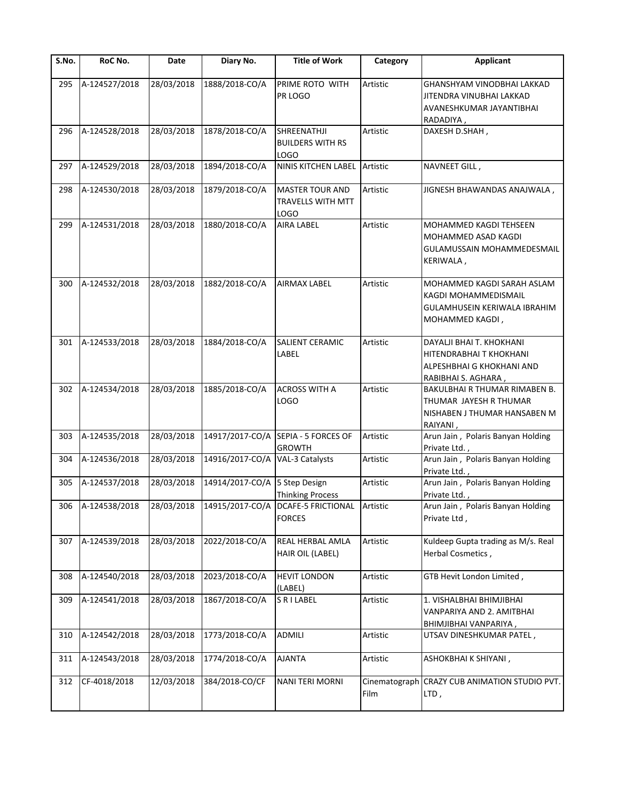| S.No. | RoC No.           | Date       | Diary No.                       | <b>Title of Work</b>                                           | Category | <b>Applicant</b>                                                                                        |
|-------|-------------------|------------|---------------------------------|----------------------------------------------------------------|----------|---------------------------------------------------------------------------------------------------------|
| 295   | A-124527/2018     | 28/03/2018 | 1888/2018-CO/A                  | PRIME ROTO WITH<br>PR LOGO                                     | Artistic | GHANSHYAM VINODBHAI LAKKAD<br>JITENDRA VINUBHAI LAKKAD<br>AVANESHKUMAR JAYANTIBHAI<br>RADADIYA,         |
| 296   | A-124528/2018     | 28/03/2018 | 1878/2018-CO/A                  | SHREENATHJI<br><b>BUILDERS WITH RS</b><br><b>LOGO</b>          | Artistic | DAXESH D.SHAH,                                                                                          |
| 297   | A-124529/2018     | 28/03/2018 | 1894/2018-CO/A                  | NINIS KITCHEN LABEL Artistic                                   |          | NAVNEET GILL,                                                                                           |
| 298   | A-124530/2018     | 28/03/2018 | 1879/2018-CO/A                  | <b>MASTER TOUR AND</b><br><b>TRAVELLS WITH MTT</b><br>LOGO     | Artistic | JIGNESH BHAWANDAS ANAJWALA,                                                                             |
| 299   | A-124531/2018     | 28/03/2018 | 1880/2018-CO/A                  | <b>AIRA LABEL</b>                                              | Artistic | MOHAMMED KAGDI TEHSEEN<br>MOHAMMED ASAD KAGDI<br>GULAMUSSAIN MOHAMMEDESMAIL<br>KERIWALA,                |
| 300   | A-124532/2018     | 28/03/2018 | 1882/2018-CO/A                  | <b>AIRMAX LABEL</b>                                            | Artistic | MOHAMMED KAGDI SARAH ASLAM<br>KAGDI MOHAMMEDISMAIL<br>GULAMHUSEIN KERIWALA IBRAHIM<br>MOHAMMED KAGDI,   |
| 301   | A-124533/2018     | 28/03/2018 | 1884/2018-CO/A                  | <b>SALIENT CERAMIC</b><br>LABEL                                | Artistic | DAYALJI BHAI T. KHOKHANI<br>HITENDRABHAI T KHOKHANI<br>ALPESHBHAI G KHOKHANI AND<br>RABIBHAI S. AGHARA, |
| 302   | A-124534/2018     | 28/03/2018 | 1885/2018-CO/A                  | <b>ACROSS WITH A</b><br>LOGO                                   | Artistic | BAKULBHAI R THUMAR RIMABEN B.<br>THUMAR JAYESH R THUMAR<br>NISHABEN J THUMAR HANSABEN M<br>RAIYANI,     |
| 303   | A-124535/2018     | 28/03/2018 |                                 | 14917/2017-CO/A SEPIA - 5 FORCES OF<br><b>GROWTH</b>           | Artistic | Arun Jain, Polaris Banyan Holding<br>Private Ltd.,                                                      |
| 304   | A-124536/2018     | 28/03/2018 | 14916/2017-CO/A VAL-3 Catalysts |                                                                | Artistic | Arun Jain, Polaris Banyan Holding<br>Private Ltd.,                                                      |
| 305   | A-124537/2018     | 28/03/2018 | 14914/2017-CO/A 5 Step Design   | <b>Thinking Process</b>                                        | Artistic | Arun Jain, Polaris Banyan Holding<br>Private Ltd.,                                                      |
|       | 306 A-124538/2018 |            |                                 | 28/03/2018 14915/2017-CO/A DCAFE-5 FRICTIONAL<br><b>FORCES</b> | Artistic | Arun Jain, Polaris Banyan Holding<br>Private Ltd,                                                       |
| 307   | A-124539/2018     | 28/03/2018 | 2022/2018-CO/A                  | <b>REAL HERBAL AMLA</b><br>HAIR OIL (LABEL)                    | Artistic | Kuldeep Gupta trading as M/s. Real<br>Herbal Cosmetics,                                                 |
| 308   | A-124540/2018     | 28/03/2018 | 2023/2018-CO/A                  | <b>HEVIT LONDON</b><br>(LABEL)                                 | Artistic | GTB Hevit London Limited,                                                                               |
| 309   | A-124541/2018     | 28/03/2018 | 1867/2018-CO/A                  | <b>SRILABEL</b>                                                | Artistic | 1. VISHALBHAI BHIMJIBHAI<br>VANPARIYA AND 2. AMITBHAI<br>BHIMJIBHAI VANPARIYA,                          |
| 310   | A-124542/2018     | 28/03/2018 | 1773/2018-CO/A                  | <b>ADMILI</b>                                                  | Artistic | UTSAV DINESHKUMAR PATEL,                                                                                |
| 311   | A-124543/2018     | 28/03/2018 | 1774/2018-CO/A                  | <b>AJANTA</b>                                                  | Artistic | ASHOKBHAI K SHIYANI,                                                                                    |
| 312   | CF-4018/2018      | 12/03/2018 | 384/2018-CO/CF                  | <b>NANI TERI MORNI</b>                                         | Film     | Cinematograph CRAZY CUB ANIMATION STUDIO PVT.<br>LTD,                                                   |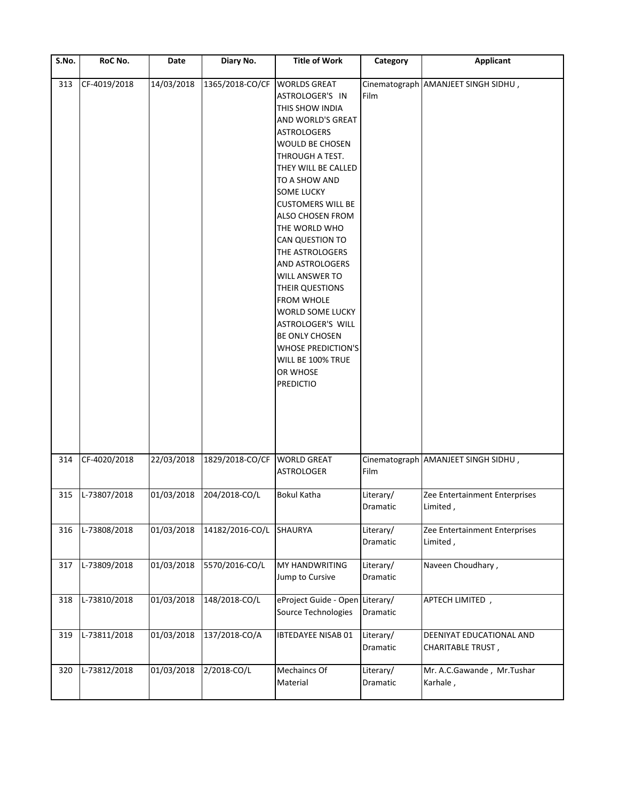| S.No. | RoC No.      | Date       | Diary No.                   | <b>Title of Work</b>                                                                                                                                                                                                                                                                                                                                                                                                                                                                                                                                                                      | Category                     | <b>Applicant</b>                                     |
|-------|--------------|------------|-----------------------------|-------------------------------------------------------------------------------------------------------------------------------------------------------------------------------------------------------------------------------------------------------------------------------------------------------------------------------------------------------------------------------------------------------------------------------------------------------------------------------------------------------------------------------------------------------------------------------------------|------------------------------|------------------------------------------------------|
| 313   | CF-4019/2018 | 14/03/2018 | 1365/2018-CO/CF             | <b>WORLDS GREAT</b><br>ASTROLOGER'S IN<br>THIS SHOW INDIA<br>AND WORLD'S GREAT<br><b>ASTROLOGERS</b><br><b>WOULD BE CHOSEN</b><br>THROUGH A TEST.<br>THEY WILL BE CALLED<br>TO A SHOW AND<br><b>SOME LUCKY</b><br><b>CUSTOMERS WILL BE</b><br><b>ALSO CHOSEN FROM</b><br>THE WORLD WHO<br><b>CAN QUESTION TO</b><br>THE ASTROLOGERS<br><b>AND ASTROLOGERS</b><br>WILL ANSWER TO<br><b>THEIR QUESTIONS</b><br><b>FROM WHOLE</b><br><b>WORLD SOME LUCKY</b><br>ASTROLOGER'S WILL<br><b>BE ONLY CHOSEN</b><br><b>WHOSE PREDICTION'S</b><br>WILL BE 100% TRUE<br>OR WHOSE<br><b>PREDICTIO</b> | Film                         | Cinematograph AMANJEET SINGH SIDHU,                  |
| 314   | CF-4020/2018 | 22/03/2018 | 1829/2018-CO/CF WORLD GREAT | <b>ASTROLOGER</b>                                                                                                                                                                                                                                                                                                                                                                                                                                                                                                                                                                         | Film                         | Cinematograph AMANJEET SINGH SIDHU,                  |
| 315   | L-73807/2018 | 01/03/2018 | 204/2018-CO/L               | <b>Bokul Katha</b>                                                                                                                                                                                                                                                                                                                                                                                                                                                                                                                                                                        | Literary/<br>Dramatic        | Zee Entertainment Enterprises<br>Limited,            |
| 316   | L-73808/2018 | 01/03/2018 | 14182/2016-CO/L SHAURYA     |                                                                                                                                                                                                                                                                                                                                                                                                                                                                                                                                                                                           | Literary/<br><b>Dramatic</b> | Zee Entertainment Enterprises<br>Limited,            |
| 317   | L-73809/2018 | 01/03/2018 | 5570/2016-CO/L              | MY HANDWRITING<br>Jump to Cursive                                                                                                                                                                                                                                                                                                                                                                                                                                                                                                                                                         | Literary/<br>Dramatic        | Naveen Choudhary,                                    |
| 318   | L-73810/2018 | 01/03/2018 | 148/2018-CO/L               | eProject Guide - Open Literary/<br>Source Technologies                                                                                                                                                                                                                                                                                                                                                                                                                                                                                                                                    | Dramatic                     | APTECH LIMITED,                                      |
| 319   | L-73811/2018 | 01/03/2018 | 137/2018-CO/A               | <b>IBTEDAYEE NISAB 01</b>                                                                                                                                                                                                                                                                                                                                                                                                                                                                                                                                                                 | Literary/<br>Dramatic        | DEENIYAT EDUCATIONAL AND<br><b>CHARITABLE TRUST,</b> |
| 320   | L-73812/2018 | 01/03/2018 | 2/2018-CO/L                 | Mechaincs Of<br>Material                                                                                                                                                                                                                                                                                                                                                                                                                                                                                                                                                                  | Literary/<br>Dramatic        | Mr. A.C.Gawande, Mr.Tushar<br>Karhale,               |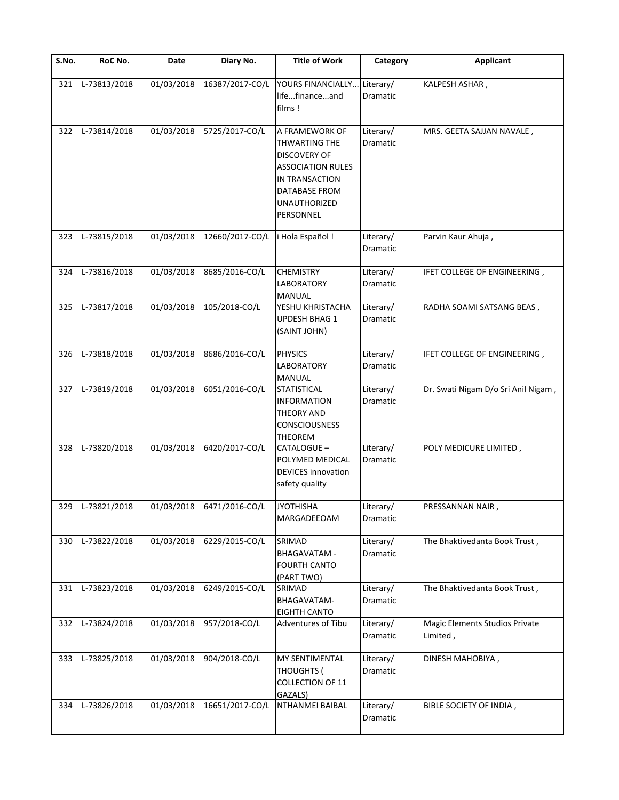| S.No. | RoC No.      | Date       | Diary No.                 | <b>Title of Work</b>                                                                                                                                      | Category                     | <b>Applicant</b>                           |
|-------|--------------|------------|---------------------------|-----------------------------------------------------------------------------------------------------------------------------------------------------------|------------------------------|--------------------------------------------|
| 321   | L-73813/2018 | 01/03/2018 | 16387/2017-CO/L           | YOURS FINANCIALLY<br>lifefinanceand<br>films!                                                                                                             | Literary/<br>Dramatic        | KALPESH ASHAR,                             |
| 322   | L-73814/2018 | 01/03/2018 | 5725/2017-CO/L            | A FRAMEWORK OF<br>THWARTING THE<br><b>DISCOVERY OF</b><br><b>ASSOCIATION RULES</b><br>IN TRANSACTION<br><b>DATABASE FROM</b><br>UNAUTHORIZED<br>PERSONNEL | Literary/<br>Dramatic        | MRS. GEETA SAJJAN NAVALE,                  |
| 323   | L-73815/2018 | 01/03/2018 | 12660/2017-CO/L           | i Hola Español !                                                                                                                                          | Literary/<br>Dramatic        | Parvin Kaur Ahuja,                         |
| 324   | L-73816/2018 | 01/03/2018 | 8685/2016-CO/L            | <b>CHEMISTRY</b><br><b>LABORATORY</b><br>MANUAL                                                                                                           | Literary/<br><b>Dramatic</b> | IFET COLLEGE OF ENGINEERING,               |
| 325   | L-73817/2018 | 01/03/2018 | 105/2018-CO/L             | YESHU KHRISTACHA<br>UPDESH BHAG 1<br>(SAINT JOHN)                                                                                                         | Literary/<br>Dramatic        | RADHA SOAMI SATSANG BEAS,                  |
| 326   | L-73818/2018 | 01/03/2018 | 8686/2016-CO/L            | <b>PHYSICS</b><br><b>LABORATORY</b><br><b>MANUAL</b>                                                                                                      | Literary/<br>Dramatic        | IFET COLLEGE OF ENGINEERING,               |
| 327   | L-73819/2018 | 01/03/2018 | 6051/2016-CO/L            | <b>STATISTICAL</b><br><b>INFORMATION</b><br>THEORY AND<br><b>CONSCIOUSNESS</b><br><b>THEOREM</b>                                                          | Literary/<br><b>Dramatic</b> | Dr. Swati Nigam D/o Sri Anil Nigam,        |
| 328   | L-73820/2018 | 01/03/2018 | 6420/2017-CO/L            | CATALOGUE-<br>POLYMED MEDICAL<br><b>DEVICES</b> innovation<br>safety quality                                                                              | Literary/<br>Dramatic        | POLY MEDICURE LIMITED,                     |
| 329   | L-73821/2018 |            | 01/03/2018 6471/2016-CO/L | <b>JYOTHISHA</b><br>MARGADEEOAM                                                                                                                           | Literary/<br>Dramatic        | PRESSANNAN NAIR,                           |
| 330   | L-73822/2018 | 01/03/2018 | 6229/2015-CO/L            | SRIMAD<br><b>BHAGAVATAM -</b><br><b>FOURTH CANTO</b><br>(PART TWO)                                                                                        | Literary/<br>Dramatic        | The Bhaktivedanta Book Trust,              |
| 331   | L-73823/2018 | 01/03/2018 | 6249/2015-CO/L            | SRIMAD<br>BHAGAVATAM-<br><b>EIGHTH CANTO</b>                                                                                                              | Literary/<br>Dramatic        | The Bhaktivedanta Book Trust,              |
| 332   | L-73824/2018 | 01/03/2018 | 957/2018-CO/L             | Adventures of Tibu                                                                                                                                        | Literary/<br>Dramatic        | Magic Elements Studios Private<br>Limited, |
| 333   | L-73825/2018 | 01/03/2018 | 904/2018-CO/L             | <b>MY SENTIMENTAL</b><br><b>THOUGHTS (</b><br>COLLECTION OF 11<br>GAZALS)                                                                                 | Literary/<br>Dramatic        | DINESH MAHOBIYA,                           |
| 334   | L-73826/2018 | 01/03/2018 | 16651/2017-CO/L           | NTHANMEI BAIBAL                                                                                                                                           | Literary/<br>Dramatic        | BIBLE SOCIETY OF INDIA,                    |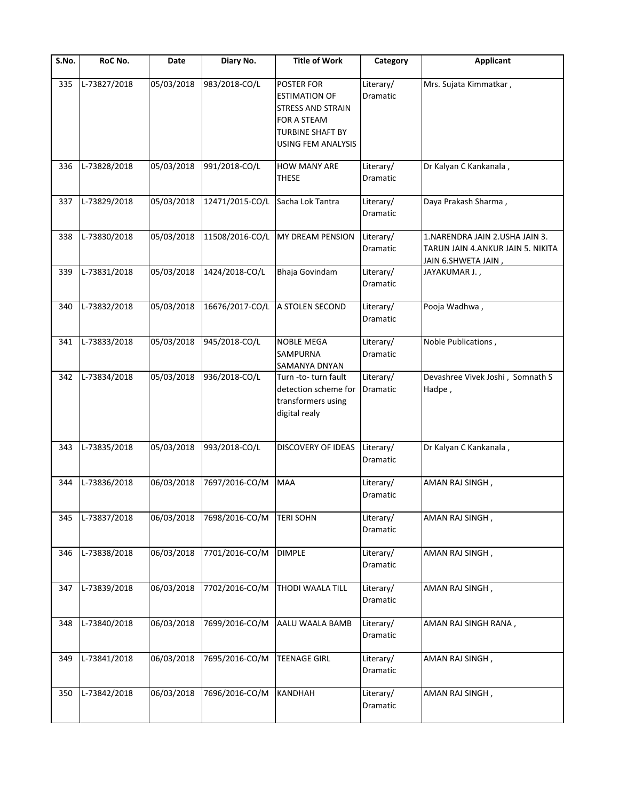| S.No. | RoC No.      | Date       | Diary No.       | <b>Title of Work</b>                                                                                                                         | Category              | <b>Applicant</b>                                                                            |
|-------|--------------|------------|-----------------|----------------------------------------------------------------------------------------------------------------------------------------------|-----------------------|---------------------------------------------------------------------------------------------|
| 335   | L-73827/2018 | 05/03/2018 | 983/2018-CO/L   | <b>POSTER FOR</b><br><b>ESTIMATION OF</b><br><b>STRESS AND STRAIN</b><br><b>FOR A STEAM</b><br><b>TURBINE SHAFT BY</b><br>USING FEM ANALYSIS | Literary/<br>Dramatic | Mrs. Sujata Kimmatkar,                                                                      |
| 336   | L-73828/2018 | 05/03/2018 | 991/2018-CO/L   | <b>HOW MANY ARE</b><br><b>THESE</b>                                                                                                          | Literary/<br>Dramatic | Dr Kalyan C Kankanala,                                                                      |
| 337   | L-73829/2018 | 05/03/2018 | 12471/2015-CO/L | Sacha Lok Tantra                                                                                                                             | Literary/<br>Dramatic | Daya Prakash Sharma,                                                                        |
| 338   | L-73830/2018 | 05/03/2018 | 11508/2016-CO/L | MY DREAM PENSION                                                                                                                             | Literary/<br>Dramatic | 1. NARENDRA JAIN 2. USHA JAIN 3.<br>TARUN JAIN 4.ANKUR JAIN 5. NIKITA<br>JAIN 6.SHWETA JAIN |
| 339   | L-73831/2018 | 05/03/2018 | 1424/2018-CO/L  | Bhaja Govindam                                                                                                                               | Literary/<br>Dramatic | JAYAKUMAR J.,                                                                               |
| 340   | L-73832/2018 | 05/03/2018 | 16676/2017-CO/L | A STOLEN SECOND                                                                                                                              | Literary/<br>Dramatic | Pooja Wadhwa,                                                                               |
| 341   | L-73833/2018 | 05/03/2018 | 945/2018-CO/L   | <b>NOBLE MEGA</b><br><b>SAMPURNA</b><br><b>SAMANYA DNYAN</b>                                                                                 | Literary/<br>Dramatic | Noble Publications,                                                                         |
| 342   | L-73834/2018 | 05/03/2018 | 936/2018-CO/L   | Turn -to- turn fault<br>detection scheme for<br>transformers using<br>digital realy                                                          | Literary/<br>Dramatic | Devashree Vivek Joshi, Somnath S<br>Hadpe,                                                  |
| 343   | L-73835/2018 | 05/03/2018 | 993/2018-CO/L   | <b>DISCOVERY OF IDEAS</b>                                                                                                                    | Literary/<br>Dramatic | Dr Kalyan C Kankanala,                                                                      |
| 344   | L-73836/2018 | 06/03/2018 | 7697/2016-CO/M  | <b>MAA</b>                                                                                                                                   | Literary/<br>Dramatic | AMAN RAJ SINGH,                                                                             |
| 345   | L-73837/2018 | 06/03/2018 | 7698/2016-CO/M  | <b>TERI SOHN</b>                                                                                                                             | Literary/<br>Dramatic | AMAN RAJ SINGH,                                                                             |
| 346   | L-73838/2018 | 06/03/2018 | 7701/2016-CO/M  | <b>DIMPLE</b>                                                                                                                                | Literary/<br>Dramatic | AMAN RAJ SINGH,                                                                             |
| 347   | L-73839/2018 | 06/03/2018 | 7702/2016-CO/M  | THODI WAALA TILL                                                                                                                             | Literary/<br>Dramatic | AMAN RAJ SINGH,                                                                             |
| 348   | L-73840/2018 | 06/03/2018 | 7699/2016-CO/M  | AALU WAALA BAMB                                                                                                                              | Literary/<br>Dramatic | AMAN RAJ SINGH RANA,                                                                        |
| 349   | L-73841/2018 | 06/03/2018 | 7695/2016-CO/M  | <b>TEENAGE GIRL</b>                                                                                                                          | Literary/<br>Dramatic | AMAN RAJ SINGH,                                                                             |
| 350   | L-73842/2018 | 06/03/2018 | 7696/2016-CO/M  | <b>KANDHAH</b>                                                                                                                               | Literary/<br>Dramatic | AMAN RAJ SINGH,                                                                             |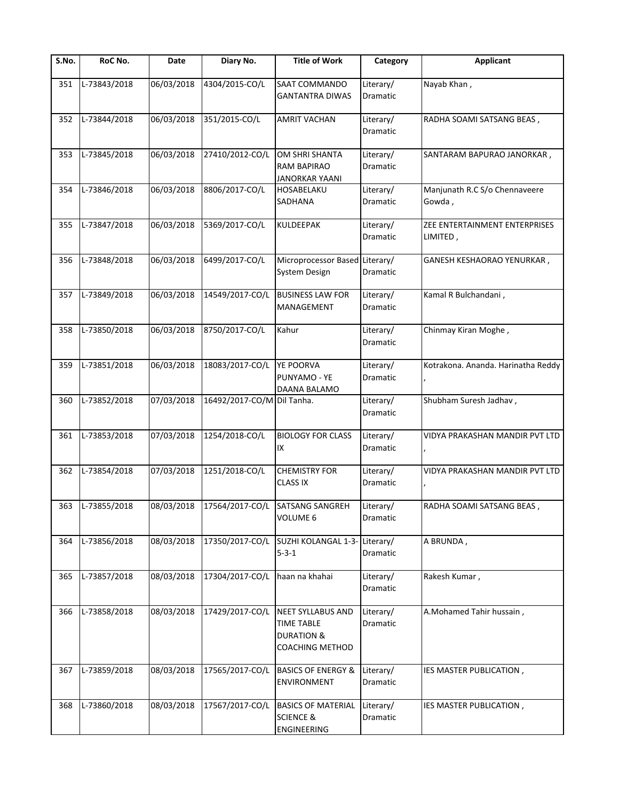| $\overline{\mathsf{S}}$ . No. | RoC No.          | Date       | Diary No.       | <b>Title of Work</b>                                                                      | Category                     | <b>Applicant</b>                          |
|-------------------------------|------------------|------------|-----------------|-------------------------------------------------------------------------------------------|------------------------------|-------------------------------------------|
| 351                           | L-73843/2018     | 06/03/2018 | 4304/2015-CO/L  | SAAT COMMANDO<br><b>GANTANTRA DIWAS</b>                                                   | Literary/<br>Dramatic        | Nayab Khan,                               |
| 352                           | L-73844/2018     | 06/03/2018 | 351/2015-CO/L   | <b>AMRIT VACHAN</b>                                                                       | Literary/<br>Dramatic        | RADHA SOAMI SATSANG BEAS,                 |
| 353                           | L-73845/2018     | 06/03/2018 | 27410/2012-CO/L | OM SHRI SHANTA<br>RAM BAPIRAO<br><b>JANORKAR YAANI</b>                                    | Literary/<br>Dramatic        | SANTARAM BAPURAO JANORKAR,                |
| 354                           | L-73846/2018     | 06/03/2018 | 8806/2017-CO/L  | HOSABELAKU<br>SADHANA                                                                     | Literary/<br><b>Dramatic</b> | Manjunath R.C S/o Chennaveere<br>Gowda,   |
| 355                           | L-73847/2018     | 06/03/2018 | 5369/2017-CO/L  | KULDEEPAK                                                                                 | Literary/<br>Dramatic        | ZEE ENTERTAINMENT ENTERPRISES<br>LIMITED, |
| 356                           | L-73848/2018     | 06/03/2018 | 6499/2017-CO/L  | Microprocessor Based Literary/<br>System Design                                           | Dramatic                     | GANESH KESHAORAO YENURKAR,                |
| 357                           | L-73849/2018     | 06/03/2018 | 14549/2017-CO/L | <b>BUSINESS LAW FOR</b><br>MANAGEMENT                                                     | Literary/<br>Dramatic        | Kamal R Bulchandani,                      |
| 358                           | L-73850/2018     | 06/03/2018 | 8750/2017-CO/L  | Kahur                                                                                     | Literary/<br>Dramatic        | Chinmay Kiran Moghe,                      |
| 359                           | L-73851/2018     | 06/03/2018 | 18083/2017-CO/L | YE POORVA<br>PUNYAMO - YE<br>DAANA BALAMO                                                 | Literary/<br>Dramatic        | Kotrakona. Ananda. Harinatha Reddy        |
| 360                           | L-73852/2018     | 07/03/2018 | 16492/2017-CO/M | Dil Tanha.                                                                                | Literary/<br>Dramatic        | Shubham Suresh Jadhav,                    |
| 361                           | L-73853/2018     | 07/03/2018 | 1254/2018-CO/L  | <b>BIOLOGY FOR CLASS</b><br>IX                                                            | Literary/<br>Dramatic        | VIDYA PRAKASHAN MANDIR PVT LTD            |
| 362                           | L-73854/2018     | 07/03/2018 | 1251/2018-CO/L  | <b>CHEMISTRY FOR</b><br><b>CLASS IX</b>                                                   | Literary/<br>Dramatic        | VIDYA PRAKASHAN MANDIR PVT LTD            |
|                               | 363 L-73855/2018 |            |                 | 08/03/2018 17564/2017-CO/L SATSANG SANGREH<br>VOLUME 6                                    | Literary/<br>Dramatic        | RADHA SOAMI SATSANG BEAS,                 |
| 364                           | L-73856/2018     | 08/03/2018 | 17350/2017-CO/L | SUZHI KOLANGAL 1-3-<br>$5 - 3 - 1$                                                        | Literary/<br>Dramatic        | A BRUNDA,                                 |
| 365                           | L-73857/2018     | 08/03/2018 | 17304/2017-CO/L | haan na khahai                                                                            | Literary/<br>Dramatic        | Rakesh Kumar,                             |
| 366                           | L-73858/2018     | 08/03/2018 | 17429/2017-CO/L | <b>NEET SYLLABUS AND</b><br><b>TIME TABLE</b><br><b>DURATION &amp;</b><br>COACHING METHOD | Literary/<br>Dramatic        | A.Mohamed Tahir hussain,                  |
| 367                           | L-73859/2018     | 08/03/2018 | 17565/2017-CO/L | <b>BASICS OF ENERGY &amp;</b><br>ENVIRONMENT                                              | Literary/<br>Dramatic        | IES MASTER PUBLICATION,                   |
| 368                           | L-73860/2018     | 08/03/2018 | 17567/2017-CO/L | <b>BASICS OF MATERIAL</b><br><b>SCIENCE &amp;</b><br>ENGINEERING                          | Literary/<br>Dramatic        | IES MASTER PUBLICATION,                   |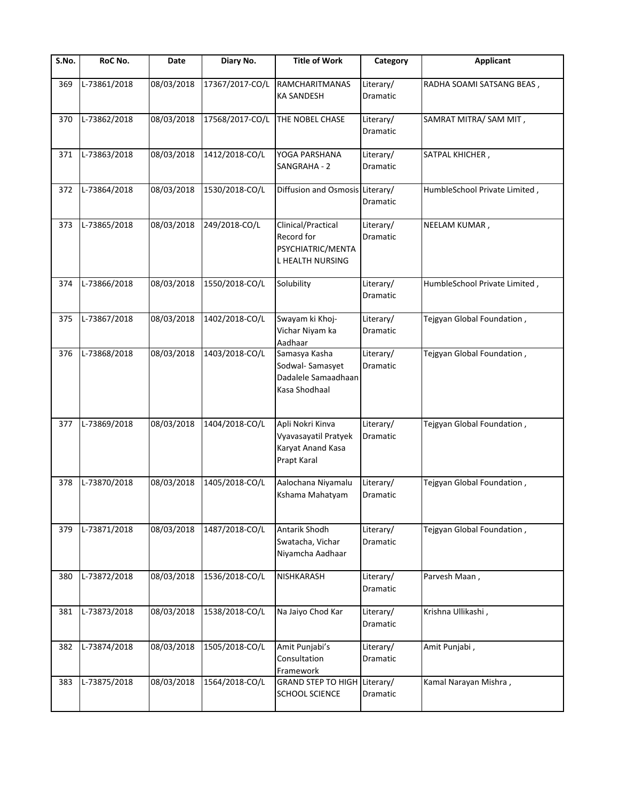| S.No. | RoC No.      | Date       | Diary No.       | <b>Title of Work</b>                                                         | Category              | <b>Applicant</b>              |
|-------|--------------|------------|-----------------|------------------------------------------------------------------------------|-----------------------|-------------------------------|
| 369   | L-73861/2018 | 08/03/2018 | 17367/2017-CO/L | <b>RAMCHARITMANAS</b><br>KA SANDESH                                          | Literary/<br>Dramatic | RADHA SOAMI SATSANG BEAS,     |
| 370   | L-73862/2018 | 08/03/2018 | 17568/2017-CO/L | THE NOBEL CHASE                                                              | Literary/<br>Dramatic | SAMRAT MITRA/ SAM MIT,        |
| 371   | L-73863/2018 | 08/03/2018 | 1412/2018-CO/L  | YOGA PARSHANA<br>SANGRAHA - 2                                                | Literary/<br>Dramatic | SATPAL KHICHER,               |
| 372   | L-73864/2018 | 08/03/2018 | 1530/2018-CO/L  | Diffusion and Osmosis Literary/                                              | Dramatic              | HumbleSchool Private Limited, |
| 373   | L-73865/2018 | 08/03/2018 | 249/2018-CO/L   | Clinical/Practical<br>Record for<br>PSYCHIATRIC/MENTA<br>L HEALTH NURSING    | Literary/<br>Dramatic | NEELAM KUMAR,                 |
| 374   | L-73866/2018 | 08/03/2018 | 1550/2018-CO/L  | Solubility                                                                   | Literary/<br>Dramatic | HumbleSchool Private Limited, |
| 375   | L-73867/2018 | 08/03/2018 | 1402/2018-CO/L  | Swayam ki Khoj-<br>Vichar Niyam ka<br>Aadhaar                                | Literary/<br>Dramatic | Tejgyan Global Foundation,    |
| 376   | L-73868/2018 | 08/03/2018 | 1403/2018-CO/L  | Samasya Kasha<br>Sodwal-Samasyet<br>Dadalele Samaadhaan<br>Kasa Shodhaal     | Literary/<br>Dramatic | Tejgyan Global Foundation,    |
| 377   | L-73869/2018 | 08/03/2018 | 1404/2018-CO/L  | Apli Nokri Kinva<br>Vyavasayatil Pratyek<br>Karyat Anand Kasa<br>Prapt Karal | Literary/<br>Dramatic | Tejgyan Global Foundation,    |
| 378   | L-73870/2018 | 08/03/2018 | 1405/2018-CO/L  | Aalochana Niyamalu<br>Kshama Mahatyam                                        | Literary/<br>Dramatic | Tejgyan Global Foundation,    |
| 379   | L-73871/2018 | 08/03/2018 | 1487/2018-CO/L  | Antarik Shodh<br>Swatacha, Vichar<br>Niyamcha Aadhaar                        | Literary/<br>Dramatic | Tejgyan Global Foundation,    |
| 380   | L-73872/2018 | 08/03/2018 | 1536/2018-CO/L  | NISHKARASH                                                                   | Literary/<br>Dramatic | Parvesh Maan,                 |
| 381   | L-73873/2018 | 08/03/2018 | 1538/2018-CO/L  | Na Jaiyo Chod Kar                                                            | Literary/<br>Dramatic | Krishna Ullikashi,            |
| 382   | L-73874/2018 | 08/03/2018 | 1505/2018-CO/L  | Amit Punjabi's<br>Consultation<br>Framework                                  | Literary/<br>Dramatic | Amit Punjabi,                 |
| 383   | L-73875/2018 | 08/03/2018 | 1564/2018-CO/L  | GRAND STEP TO HIGH Literary/<br>SCHOOL SCIENCE                               | Dramatic              | Kamal Narayan Mishra,         |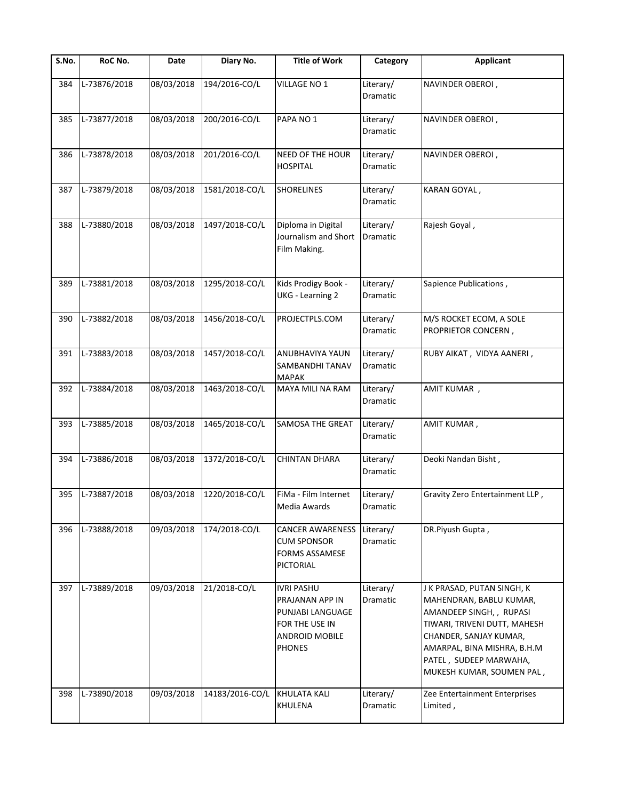| S.No. | RoC No.      | Date       | Diary No.       | <b>Title of Work</b>                                                                                                 | Category                     | <b>Applicant</b>                                                                                                                                                                                                                 |
|-------|--------------|------------|-----------------|----------------------------------------------------------------------------------------------------------------------|------------------------------|----------------------------------------------------------------------------------------------------------------------------------------------------------------------------------------------------------------------------------|
| 384   | L-73876/2018 | 08/03/2018 | 194/2016-CO/L   | VILLAGE NO 1                                                                                                         | Literary/<br>Dramatic        | NAVINDER OBEROI,                                                                                                                                                                                                                 |
| 385   | L-73877/2018 | 08/03/2018 | 200/2016-CO/L   | PAPA NO <sub>1</sub>                                                                                                 | Literary/<br>Dramatic        | NAVINDER OBEROI,                                                                                                                                                                                                                 |
| 386   | L-73878/2018 | 08/03/2018 | 201/2016-CO/L   | NEED OF THE HOUR<br><b>HOSPITAL</b>                                                                                  | Literary/<br><b>Dramatic</b> | NAVINDER OBEROI,                                                                                                                                                                                                                 |
| 387   | L-73879/2018 | 08/03/2018 | 1581/2018-CO/L  | <b>SHORELINES</b>                                                                                                    | Literary/<br><b>Dramatic</b> | KARAN GOYAL,                                                                                                                                                                                                                     |
| 388   | L-73880/2018 | 08/03/2018 | 1497/2018-CO/L  | Diploma in Digital<br>Journalism and Short<br>Film Making.                                                           | Literary/<br>Dramatic        | Rajesh Goyal,                                                                                                                                                                                                                    |
| 389   | L-73881/2018 | 08/03/2018 | 1295/2018-CO/L  | Kids Prodigy Book -<br><b>UKG</b> - Learning 2                                                                       | Literary/<br>Dramatic        | Sapience Publications,                                                                                                                                                                                                           |
| 390   | L-73882/2018 | 08/03/2018 | 1456/2018-CO/L  | PROJECTPLS.COM                                                                                                       | Literary/<br>Dramatic        | M/S ROCKET ECOM, A SOLE<br>PROPRIETOR CONCERN,                                                                                                                                                                                   |
| 391   | L-73883/2018 | 08/03/2018 | 1457/2018-CO/L  | <b>ANUBHAVIYA YAUN</b><br>SAMBANDHI TANAV<br><b>MAPAK</b>                                                            | Literary/<br>Dramatic        | RUBY AIKAT, VIDYA AANERI,                                                                                                                                                                                                        |
| 392   | L-73884/2018 | 08/03/2018 | 1463/2018-CO/L  | MAYA MILI NA RAM                                                                                                     | Literary/<br>Dramatic        | AMIT KUMAR,                                                                                                                                                                                                                      |
| 393   | L-73885/2018 | 08/03/2018 | 1465/2018-CO/L  | SAMOSA THE GREAT                                                                                                     | Literary/<br>Dramatic        | AMIT KUMAR,                                                                                                                                                                                                                      |
| 394   | L-73886/2018 | 08/03/2018 | 1372/2018-CO/L  | CHINTAN DHARA                                                                                                        | Literary/<br>Dramatic        | Deoki Nandan Bisht,                                                                                                                                                                                                              |
| 395   | L-73887/2018 | 08/03/2018 | 1220/2018-CO/L  | FiMa - Film Internet<br>Media Awards                                                                                 | Literary/<br>Dramatic        | Gravity Zero Entertainment LLP,                                                                                                                                                                                                  |
| 396   | L-73888/2018 | 09/03/2018 | 174/2018-CO/L   | <b>CANCER AWARENESS</b><br><b>CUM SPONSOR</b><br><b>FORMS ASSAMESE</b><br>PICTORIAL                                  | Literary/<br>Dramatic        | DR.Piyush Gupta,                                                                                                                                                                                                                 |
| 397   | L-73889/2018 | 09/03/2018 | 21/2018-CO/L    | <b>IVRI PASHU</b><br>PRAJANAN APP IN<br>PUNJABI LANGUAGE<br>FOR THE USE IN<br><b>ANDROID MOBILE</b><br><b>PHONES</b> | Literary/<br>Dramatic        | J K PRASAD, PUTAN SINGH, K<br>MAHENDRAN, BABLU KUMAR,<br>AMANDEEP SINGH,, RUPASI<br>TIWARI, TRIVENI DUTT, MAHESH<br>CHANDER, SANJAY KUMAR,<br>AMARPAL, BINA MISHRA, B.H.M<br>PATEL, SUDEEP MARWAHA,<br>MUKESH KUMAR, SOUMEN PAL, |
| 398   | L-73890/2018 | 09/03/2018 | 14183/2016-CO/L | <b>KHULATA KALI</b><br>KHULENA                                                                                       | Literary/<br>Dramatic        | Zee Entertainment Enterprises<br>Limited,                                                                                                                                                                                        |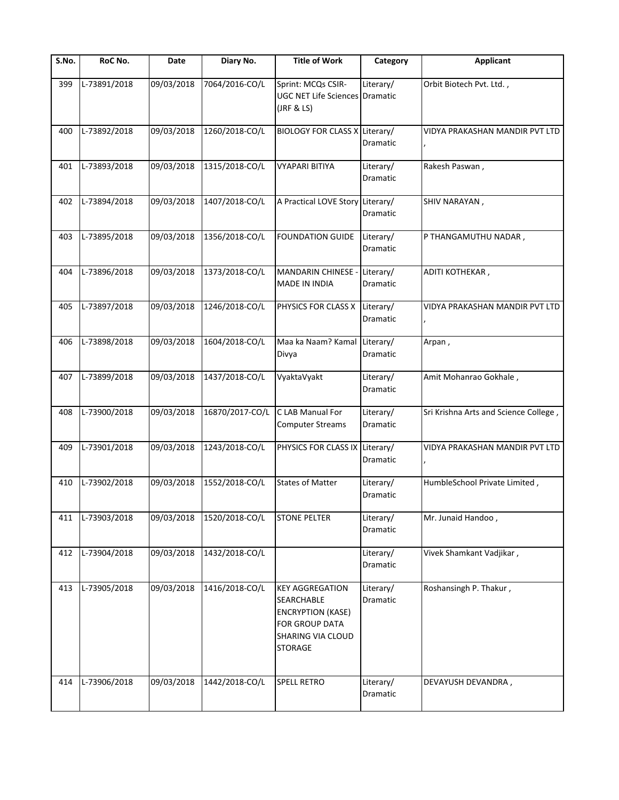| S.No. | RoC No.      | Date       | Diary No.       | <b>Title of Work</b>                                                                                                             | Category              | <b>Applicant</b>                      |
|-------|--------------|------------|-----------------|----------------------------------------------------------------------------------------------------------------------------------|-----------------------|---------------------------------------|
| 399   | L-73891/2018 | 09/03/2018 | 7064/2016-CO/L  | Sprint: MCQs CSIR-<br><b>UGC NET Life Sciences Dramatic</b><br>(JRF & LS)                                                        | Literary/             | Orbit Biotech Pvt. Ltd.,              |
| 400   | L-73892/2018 | 09/03/2018 | 1260/2018-CO/L  | BIOLOGY FOR CLASS X Literary/                                                                                                    | Dramatic              | VIDYA PRAKASHAN MANDIR PVT LTD        |
| 401   | L-73893/2018 | 09/03/2018 | 1315/2018-CO/L  | <b>VYAPARI BITIYA</b>                                                                                                            | Literary/<br>Dramatic | Rakesh Paswan,                        |
| 402   | L-73894/2018 | 09/03/2018 | 1407/2018-CO/L  | A Practical LOVE Story Literary/                                                                                                 | Dramatic              | SHIV NARAYAN,                         |
| 403   | L-73895/2018 | 09/03/2018 | 1356/2018-CO/L  | <b>FOUNDATION GUIDE</b>                                                                                                          | Literary/<br>Dramatic | P THANGAMUTHU NADAR,                  |
| 404   | L-73896/2018 | 09/03/2018 | 1373/2018-CO/L  | MANDARIN CHINESE -<br>MADE IN INDIA                                                                                              | Literary/<br>Dramatic | ADITI KOTHEKAR,                       |
| 405   | L-73897/2018 | 09/03/2018 | 1246/2018-CO/L  | PHYSICS FOR CLASS X Literary/                                                                                                    | Dramatic              | VIDYA PRAKASHAN MANDIR PVT LTD        |
| 406   | L-73898/2018 | 09/03/2018 | 1604/2018-CO/L  | Maa ka Naam? Kamal Literary/<br>Divya                                                                                            | Dramatic              | Arpan,                                |
| 407   | L-73899/2018 | 09/03/2018 | 1437/2018-CO/L  | VyaktaVyakt                                                                                                                      | Literary/<br>Dramatic | Amit Mohanrao Gokhale,                |
| 408   | L-73900/2018 | 09/03/2018 | 16870/2017-CO/L | C LAB Manual For<br><b>Computer Streams</b>                                                                                      | Literary/<br>Dramatic | Sri Krishna Arts and Science College, |
| 409   | L-73901/2018 | 09/03/2018 | 1243/2018-CO/L  | PHYSICS FOR CLASS IX                                                                                                             | Literary/<br>Dramatic | VIDYA PRAKASHAN MANDIR PVT LTD        |
| 410   | L-73902/2018 | 09/03/2018 | 1552/2018-CO/L  | <b>States of Matter</b>                                                                                                          | Literary/<br>Dramatic | HumbleSchool Private Limited,         |
| 411   | L-73903/2018 | 09/03/2018 | 1520/2018-CO/L  | <b>STONE PELTER</b>                                                                                                              | Literary/<br>Dramatic | Mr. Junaid Handoo,                    |
| 412   | L-73904/2018 | 09/03/2018 | 1432/2018-CO/L  |                                                                                                                                  | Literary/<br>Dramatic | Vivek Shamkant Vadjikar,              |
| 413   | L-73905/2018 | 09/03/2018 | 1416/2018-CO/L  | <b>KEY AGGREGATION</b><br><b>SEARCHABLE</b><br><b>ENCRYPTION (KASE)</b><br>FOR GROUP DATA<br>SHARING VIA CLOUD<br><b>STORAGE</b> | Literary/<br>Dramatic | Roshansingh P. Thakur,                |
| 414   | L-73906/2018 | 09/03/2018 | 1442/2018-CO/L  | <b>SPELL RETRO</b>                                                                                                               | Literary/<br>Dramatic | DEVAYUSH DEVANDRA,                    |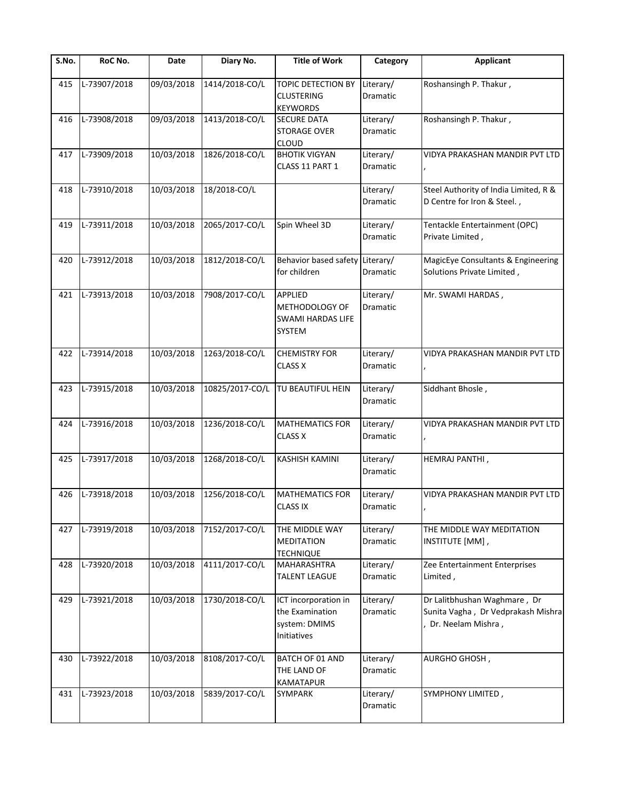| S.No. | RoC No.      | Date       | Diary No.       | <b>Title of Work</b>                                                          | Category                     | <b>Applicant</b>                                                                         |
|-------|--------------|------------|-----------------|-------------------------------------------------------------------------------|------------------------------|------------------------------------------------------------------------------------------|
| 415   | L-73907/2018 | 09/03/2018 | 1414/2018-CO/L  | TOPIC DETECTION BY<br><b>CLUSTERING</b><br><b>KEYWORDS</b>                    | Literary/<br>Dramatic        | Roshansingh P. Thakur,                                                                   |
| 416   | L-73908/2018 | 09/03/2018 | 1413/2018-CO/L  | <b>SECURE DATA</b><br><b>STORAGE OVER</b><br><b>CLOUD</b>                     | Literary/<br>Dramatic        | Roshansingh P. Thakur,                                                                   |
| 417   | L-73909/2018 | 10/03/2018 | 1826/2018-CO/L  | <b>BHOTIK VIGYAN</b><br>CLASS 11 PART 1                                       | Literary/<br><b>Dramatic</b> | VIDYA PRAKASHAN MANDIR PVT LTD                                                           |
| 418   | L-73910/2018 | 10/03/2018 | 18/2018-CO/L    |                                                                               | Literary/<br><b>Dramatic</b> | Steel Authority of India Limited, R &<br>D Centre for Iron & Steel.,                     |
| 419   | L-73911/2018 | 10/03/2018 | 2065/2017-CO/L  | Spin Wheel 3D                                                                 | Literary/<br><b>Dramatic</b> | Tentackle Entertainment (OPC)<br>Private Limited,                                        |
| 420   | L-73912/2018 | 10/03/2018 | 1812/2018-CO/L  | Behavior based safety<br>for children                                         | Literary/<br>Dramatic        | MagicEye Consultants & Engineering<br>Solutions Private Limited,                         |
| 421   | L-73913/2018 | 10/03/2018 | 7908/2017-CO/L  | <b>APPLIED</b><br>METHODOLOGY OF<br><b>SWAMI HARDAS LIFE</b><br><b>SYSTEM</b> | Literary/<br>Dramatic        | Mr. SWAMI HARDAS,                                                                        |
| 422   | L-73914/2018 | 10/03/2018 | 1263/2018-CO/L  | <b>CHEMISTRY FOR</b><br><b>CLASS X</b>                                        | Literary/<br><b>Dramatic</b> | VIDYA PRAKASHAN MANDIR PVT LTD                                                           |
| 423   | L-73915/2018 | 10/03/2018 | 10825/2017-CO/L | TU BEAUTIFUL HEIN                                                             | Literary/<br>Dramatic        | Siddhant Bhosle,                                                                         |
| 424   | L-73916/2018 | 10/03/2018 | 1236/2018-CO/L  | <b>MATHEMATICS FOR</b><br><b>CLASS X</b>                                      | Literary/<br>Dramatic        | VIDYA PRAKASHAN MANDIR PVT LTD                                                           |
| 425   | L-73917/2018 | 10/03/2018 | 1268/2018-CO/L  | <b>KASHISH KAMINI</b>                                                         | Literary/<br><b>Dramatic</b> | HEMRAJ PANTHI,                                                                           |
| 426   | L-73918/2018 | 10/03/2018 | 1256/2018-CO/L  | <b>MATHEMATICS FOR</b><br><b>CLASS IX</b>                                     | Literary/<br>Dramatic        | VIDYA PRAKASHAN MANDIR PVT LTD                                                           |
| 427   | L-73919/2018 | 10/03/2018 | 7152/2017-CO/L  | THE MIDDLE WAY<br><b>MEDITATION</b><br><b>TECHNIQUE</b>                       | Literary/<br>Dramatic        | THE MIDDLE WAY MEDITATION<br>INSTITUTE [MM],                                             |
| 428   | L-73920/2018 | 10/03/2018 | 4111/2017-CO/L  | <b>MAHARASHTRA</b><br><b>TALENT LEAGUE</b>                                    | Literary/<br><b>Dramatic</b> | Zee Entertainment Enterprises<br>Limited,                                                |
| 429   | L-73921/2018 | 10/03/2018 | 1730/2018-CO/L  | ICT incorporation in<br>the Examination<br>system: DMIMS<br>Initiatives       | Literary/<br><b>Dramatic</b> | Dr Lalitbhushan Waghmare, Dr<br>Sunita Vagha, Dr Vedprakash Mishra<br>Dr. Neelam Mishra, |
| 430   | L-73922/2018 | 10/03/2018 | 8108/2017-CO/L  | BATCH OF 01 AND<br>THE LAND OF<br><b>KAMATAPUR</b>                            | Literary/<br>Dramatic        | AURGHO GHOSH,                                                                            |
| 431   | L-73923/2018 | 10/03/2018 | 5839/2017-CO/L  | <b>SYMPARK</b>                                                                | Literary/<br>Dramatic        | SYMPHONY LIMITED,                                                                        |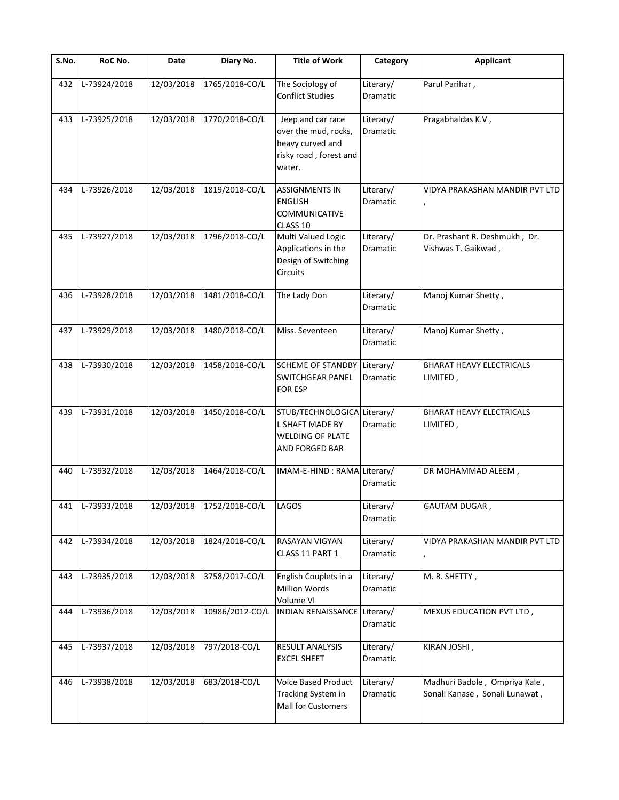| S.No. | RoC No.          | Date       | Diary No.                 | <b>Title of Work</b>                                                                              | Category              | Applicant                                                       |
|-------|------------------|------------|---------------------------|---------------------------------------------------------------------------------------------------|-----------------------|-----------------------------------------------------------------|
| 432   | L-73924/2018     | 12/03/2018 | 1765/2018-CO/L            | The Sociology of<br><b>Conflict Studies</b>                                                       | Literary/<br>Dramatic | Parul Parihar,                                                  |
| 433   | L-73925/2018     | 12/03/2018 | 1770/2018-CO/L            | Jeep and car race<br>over the mud, rocks,<br>heavy curved and<br>risky road, forest and<br>water. | Literary/<br>Dramatic | Pragabhaldas K.V,                                               |
| 434   | L-73926/2018     | 12/03/2018 | 1819/2018-CO/L            | <b>ASSIGNMENTS IN</b><br><b>ENGLISH</b><br><b>COMMUNICATIVE</b><br>CLASS 10                       | Literary/<br>Dramatic | VIDYA PRAKASHAN MANDIR PVT LTD                                  |
| 435   | L-73927/2018     | 12/03/2018 | 1796/2018-CO/L            | Multi Valued Logic<br>Applications in the<br>Design of Switching<br>Circuits                      | Literary/<br>Dramatic | Dr. Prashant R. Deshmukh, Dr.<br>Vishwas T. Gaikwad,            |
| 436   | L-73928/2018     | 12/03/2018 | 1481/2018-CO/L            | The Lady Don                                                                                      | Literary/<br>Dramatic | Manoj Kumar Shetty,                                             |
| 437   | L-73929/2018     | 12/03/2018 | 1480/2018-CO/L            | Miss. Seventeen                                                                                   | Literary/<br>Dramatic | Manoj Kumar Shetty,                                             |
| 438   | L-73930/2018     | 12/03/2018 | 1458/2018-CO/L            | SCHEME OF STANDBY<br>SWITCHGEAR PANEL<br><b>FOR ESP</b>                                           | Literary/<br>Dramatic | <b>BHARAT HEAVY ELECTRICALS</b><br>LIMITED,                     |
| 439   | L-73931/2018     | 12/03/2018 | 1450/2018-CO/L            | STUB/TECHNOLOGICA Literary/<br>L SHAFT MADE BY<br>WELDING OF PLATE<br>AND FORGED BAR              | Dramatic              | BHARAT HEAVY ELECTRICALS<br>LIMITED,                            |
| 440   | L-73932/2018     | 12/03/2018 | 1464/2018-CO/L            | IMAM-E-HIND : RAMA Literary/                                                                      | Dramatic              | DR MOHAMMAD ALEEM,                                              |
|       | 441 L-73933/2018 |            | 12/03/2018 1752/2018-CO/L | <b>LAGOS</b>                                                                                      | Literary/<br>Dramatic | <b>GAUTAM DUGAR,</b>                                            |
| 442   | L-73934/2018     | 12/03/2018 | 1824/2018-CO/L            | RASAYAN VIGYAN<br>CLASS 11 PART 1                                                                 | Literary/<br>Dramatic | VIDYA PRAKASHAN MANDIR PVT LTD                                  |
| 443   | L-73935/2018     | 12/03/2018 | 3758/2017-CO/L            | English Couplets in a<br>Million Words<br>Volume VI                                               | Literary/<br>Dramatic | M. R. SHETTY,                                                   |
| 444   | L-73936/2018     | 12/03/2018 | 10986/2012-CO/L           | <b>INDIAN RENAISSANCE</b>                                                                         | Literary/<br>Dramatic | MEXUS EDUCATION PVT LTD,                                        |
| 445   | L-73937/2018     | 12/03/2018 | 797/2018-CO/L             | RESULT ANALYSIS<br><b>EXCEL SHEET</b>                                                             | Literary/<br>Dramatic | KIRAN JOSHI,                                                    |
| 446   | L-73938/2018     | 12/03/2018 | 683/2018-CO/L             | Voice Based Product<br>Tracking System in<br>Mall for Customers                                   | Literary/<br>Dramatic | Madhuri Badole, Ompriya Kale,<br>Sonali Kanase, Sonali Lunawat, |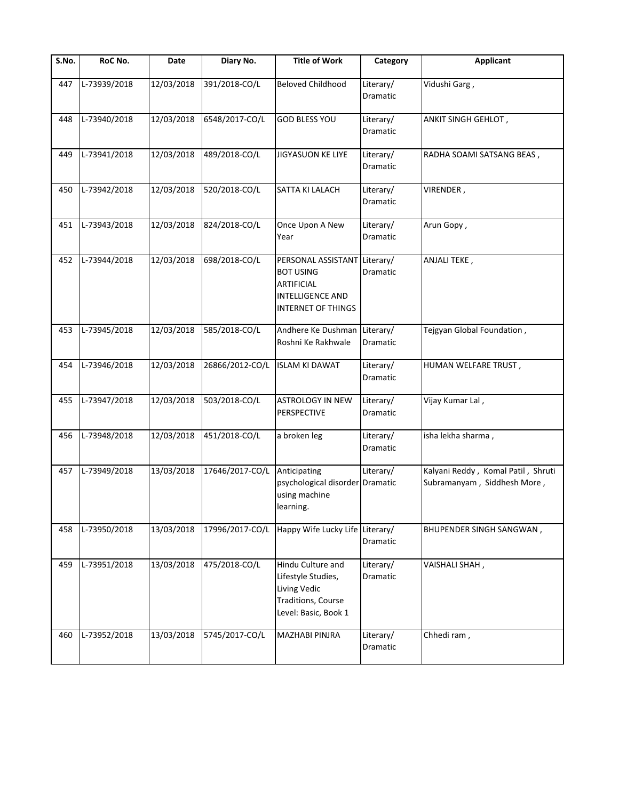| S.No. | RoC No.      | Date       | Diary No.       | <b>Title of Work</b>                                                                                         | Category                     | <b>Applicant</b>                                                  |
|-------|--------------|------------|-----------------|--------------------------------------------------------------------------------------------------------------|------------------------------|-------------------------------------------------------------------|
| 447   | L-73939/2018 | 12/03/2018 | 391/2018-CO/L   | <b>Beloved Childhood</b>                                                                                     | Literary/<br>Dramatic        | Vidushi Garg,                                                     |
| 448   | L-73940/2018 | 12/03/2018 | 6548/2017-CO/L  | <b>GOD BLESS YOU</b>                                                                                         | Literary/<br>Dramatic        | ANKIT SINGH GEHLOT,                                               |
| 449   | L-73941/2018 | 12/03/2018 | 489/2018-CO/L   | JIGYASUON KE LIYE                                                                                            | Literary/<br>Dramatic        | RADHA SOAMI SATSANG BEAS,                                         |
| 450   | L-73942/2018 | 12/03/2018 | 520/2018-CO/L   | SATTA KI LALACH                                                                                              | Literary/<br>Dramatic        | VIRENDER,                                                         |
| 451   | L-73943/2018 | 12/03/2018 | 824/2018-CO/L   | Once Upon A New<br>Year                                                                                      | Literary/<br>Dramatic        | Arun Gopy,                                                        |
| 452   | L-73944/2018 | 12/03/2018 | 698/2018-CO/L   | PERSONAL ASSISTANT<br><b>BOT USING</b><br>ARTIFICIAL<br><b>INTELLIGENCE AND</b><br><b>INTERNET OF THINGS</b> | Literary/<br>Dramatic        | ANJALI TEKE,                                                      |
| 453   | L-73945/2018 | 12/03/2018 | 585/2018-CO/L   | Andhere Ke Dushman<br>Roshni Ke Rakhwale                                                                     | Literary/<br>Dramatic        | Tejgyan Global Foundation,                                        |
| 454   | L-73946/2018 | 12/03/2018 | 26866/2012-CO/L | <b>ISLAM KI DAWAT</b>                                                                                        | Literary/<br>Dramatic        | HUMAN WELFARE TRUST,                                              |
| 455   | L-73947/2018 | 12/03/2018 | 503/2018-CO/L   | <b>ASTROLOGY IN NEW</b><br>PERSPECTIVE                                                                       | Literary/<br><b>Dramatic</b> | Vijay Kumar Lal,                                                  |
| 456   | L-73948/2018 | 12/03/2018 | 451/2018-CO/L   | a broken leg                                                                                                 | Literary/<br>Dramatic        | isha lekha sharma,                                                |
| 457   | L-73949/2018 | 13/03/2018 | 17646/2017-CO/L | Anticipating<br>psychological disorder Dramatic<br>using machine<br>learning.                                | Literary/                    | Kalyani Reddy, Komal Patil, Shruti<br>Subramanyam, Siddhesh More, |
| 458   | L-73950/2018 | 13/03/2018 | 17996/2017-CO/L | Happy Wife Lucky Life Literary/                                                                              | Dramatic                     | <b>BHUPENDER SINGH SANGWAN,</b>                                   |
| 459   | L-73951/2018 | 13/03/2018 | 475/2018-CO/L   | Hindu Culture and<br>Lifestyle Studies,<br>Living Vedic<br>Traditions, Course<br>Level: Basic, Book 1        | Literary/<br>Dramatic        | VAISHALI SHAH,                                                    |
| 460   | L-73952/2018 | 13/03/2018 | 5745/2017-CO/L  | MAZHABI PINJRA                                                                                               | Literary/<br>Dramatic        | Chhedi ram,                                                       |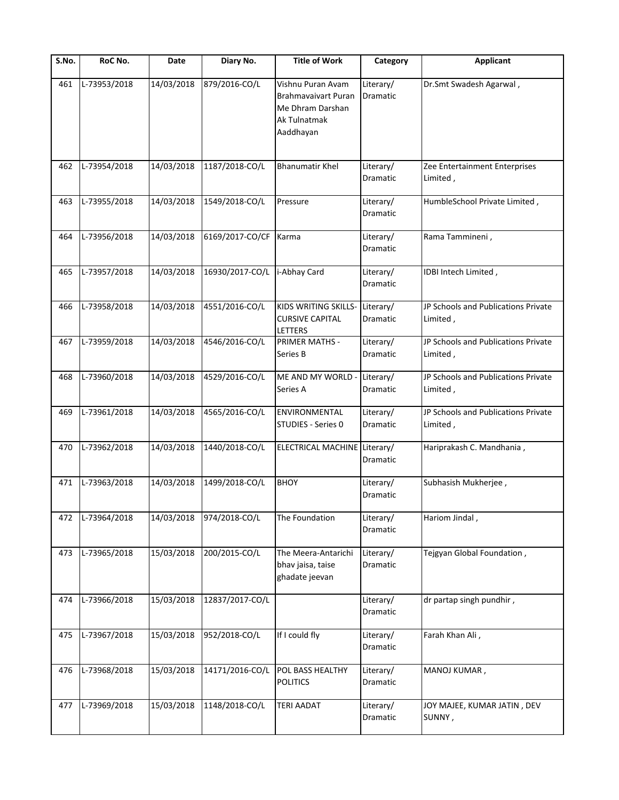| S.No. | RoC No.      | Date       | Diary No.       | <b>Title of Work</b>                                                                      | Category                     | <b>Applicant</b>                                |
|-------|--------------|------------|-----------------|-------------------------------------------------------------------------------------------|------------------------------|-------------------------------------------------|
| 461   | L-73953/2018 | 14/03/2018 | 879/2016-CO/L   | Vishnu Puran Avam<br>Brahmavaivart Puran<br>Me Dhram Darshan<br>Ak Tulnatmak<br>Aaddhayan | Literary/<br>Dramatic        | Dr.Smt Swadesh Agarwal,                         |
| 462   | L-73954/2018 | 14/03/2018 | 1187/2018-CO/L  | <b>Bhanumatir Khel</b>                                                                    | Literary/<br>Dramatic        | Zee Entertainment Enterprises<br>Limited,       |
| 463   | L-73955/2018 | 14/03/2018 | 1549/2018-CO/L  | Pressure                                                                                  | Literary/<br><b>Dramatic</b> | HumbleSchool Private Limited,                   |
| 464   | L-73956/2018 | 14/03/2018 | 6169/2017-CO/CF | Karma                                                                                     | Literary/<br>Dramatic        | Rama Tammineni,                                 |
| 465   | L-73957/2018 | 14/03/2018 | 16930/2017-CO/L | i-Abhay Card                                                                              | Literary/<br>Dramatic        | IDBI Intech Limited,                            |
| 466   | L-73958/2018 | 14/03/2018 | 4551/2016-CO/L  | KIDS WRITING SKILLS-Literary/<br><b>CURSIVE CAPITAL</b><br>LETTERS                        | Dramatic                     | JP Schools and Publications Private<br>Limited, |
| 467   | L-73959/2018 | 14/03/2018 | 4546/2016-CO/L  | <b>PRIMER MATHS -</b><br>Series B                                                         | Literary/<br>Dramatic        | JP Schools and Publications Private<br>Limited, |
| 468   | L-73960/2018 | 14/03/2018 | 4529/2016-CO/L  | ME AND MY WORLD -<br>Series A                                                             | Literary/<br><b>Dramatic</b> | JP Schools and Publications Private<br>Limited, |
| 469   | L-73961/2018 | 14/03/2018 | 4565/2016-CO/L  | <b>ENVIRONMENTAL</b><br>STUDIES - Series 0                                                | Literary/<br>Dramatic        | JP Schools and Publications Private<br>Limited, |
| 470   | L-73962/2018 | 14/03/2018 | 1440/2018-CO/L  | ELECTRICAL MACHINE Literary/                                                              | Dramatic                     | Hariprakash C. Mandhania,                       |
| 471   | L-73963/2018 | 14/03/2018 | 1499/2018-CO/L  | <b>BHOY</b>                                                                               | Literary/<br>Dramatic        | Subhasish Mukherjee,                            |
| 472   | L-73964/2018 | 14/03/2018 | 974/2018-CO/L   | The Foundation                                                                            | Literary/<br>Dramatic        | Hariom Jindal,                                  |
| 473   | L-73965/2018 | 15/03/2018 | 200/2015-CO/L   | The Meera-Antarichi<br>bhav jaisa, taise<br>ghadate jeevan                                | Literary/<br>Dramatic        | Tejgyan Global Foundation,                      |
| 474   | L-73966/2018 | 15/03/2018 | 12837/2017-CO/L |                                                                                           | Literary/<br>Dramatic        | dr partap singh pundhir,                        |
| 475   | L-73967/2018 | 15/03/2018 | 952/2018-CO/L   | If I could fly                                                                            | Literary/<br>Dramatic        | Farah Khan Ali,                                 |
| 476   | L-73968/2018 | 15/03/2018 | 14171/2016-CO/L | POL BASS HEALTHY<br><b>POLITICS</b>                                                       | Literary/<br>Dramatic        | MANOJ KUMAR,                                    |
| 477   | L-73969/2018 | 15/03/2018 | 1148/2018-CO/L  | <b>TERI AADAT</b>                                                                         | Literary/<br>Dramatic        | JOY MAJEE, KUMAR JATIN, DEV<br>SUNNY,           |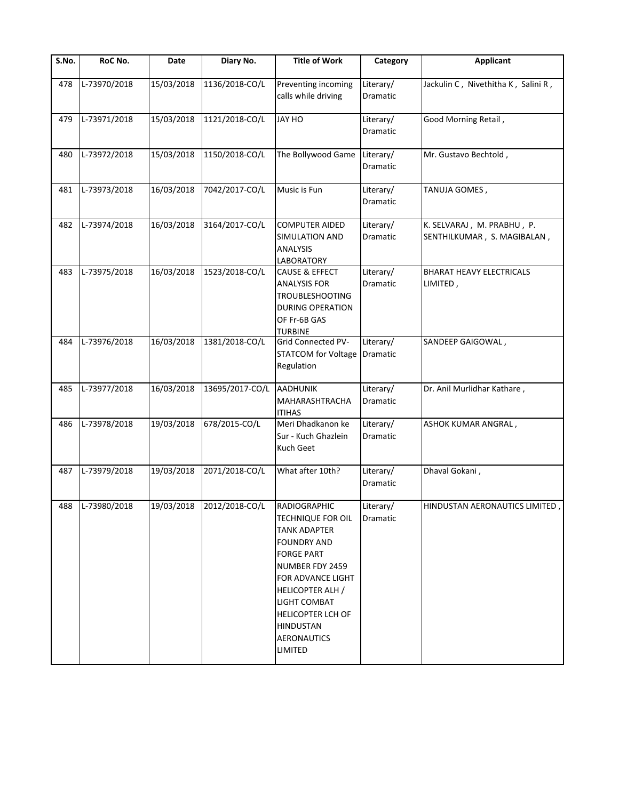| $\overline{\mathsf{S}}$ . No. | RoC No.      | Date       | Diary No.                 | <b>Title of Work</b>                                                                                                                                                                                                                                                                  | Category                     | <b>Applicant</b>                                          |
|-------------------------------|--------------|------------|---------------------------|---------------------------------------------------------------------------------------------------------------------------------------------------------------------------------------------------------------------------------------------------------------------------------------|------------------------------|-----------------------------------------------------------|
| 478                           | L-73970/2018 | 15/03/2018 | 1136/2018-CO/L            | Preventing incoming<br>calls while driving                                                                                                                                                                                                                                            | Literary/<br>Dramatic        | Jackulin C, Nivethitha K, Salini R,                       |
| 479                           | L-73971/2018 | 15/03/2018 | 1121/2018-CO/L            | JAY HO                                                                                                                                                                                                                                                                                | Literary/<br>Dramatic        | Good Morning Retail,                                      |
| 480                           | L-73972/2018 | 15/03/2018 | 1150/2018-CO/L            | The Bollywood Game                                                                                                                                                                                                                                                                    | Literary/<br>Dramatic        | Mr. Gustavo Bechtold,                                     |
| 481                           | L-73973/2018 | 16/03/2018 | 7042/2017-CO/L            | Music is Fun                                                                                                                                                                                                                                                                          | Literary/<br><b>Dramatic</b> | TANUJA GOMES,                                             |
| 482                           | L-73974/2018 | 16/03/2018 | 3164/2017-CO/L            | <b>COMPUTER AIDED</b><br>SIMULATION AND<br><b>ANALYSIS</b><br>LABORATORY                                                                                                                                                                                                              | Literary/<br>Dramatic        | K. SELVARAJ, M. PRABHU, P.<br>SENTHILKUMAR, S. MAGIBALAN, |
| 483                           | L-73975/2018 | 16/03/2018 | 1523/2018-CO/L            | CAUSE & EFFECT<br><b>ANALYSIS FOR</b><br><b>TROUBLESHOOTING</b><br><b>DURING OPERATION</b><br>OF Fr-6B GAS<br><b>TURBINE</b>                                                                                                                                                          | Literary/<br><b>Dramatic</b> | <b>BHARAT HEAVY ELECTRICALS</b><br>LIMITED,               |
| 484                           | L-73976/2018 | 16/03/2018 | 1381/2018-CO/L            | <b>Grid Connected PV-</b><br><b>STATCOM for Voltage</b><br>Regulation                                                                                                                                                                                                                 | Literary/<br>Dramatic        | SANDEEP GAIGOWAL,                                         |
| 485                           | L-73977/2018 | 16/03/2018 | 13695/2017-CO/L           | <b>AADHUNIK</b><br>MAHARASHTRACHA<br><b>ITIHAS</b>                                                                                                                                                                                                                                    | Literary/<br>Dramatic        | Dr. Anil Murlidhar Kathare,                               |
| 486                           | L-73978/2018 | 19/03/2018 | 678/2015-CO/L             | Meri Dhadkanon ke<br>Sur - Kuch Ghazlein<br>Kuch Geet                                                                                                                                                                                                                                 | Literary/<br><b>Dramatic</b> | ASHOK KUMAR ANGRAL,                                       |
| 487                           | L-73979/2018 | 19/03/2018 | 2071/2018-CO/L            | What after 10th?                                                                                                                                                                                                                                                                      | Literary/<br>Dramatic        | Dhaval Gokani,                                            |
| 488                           | L-73980/2018 |            | 19/03/2018 2012/2018-CO/L | <b>RADIOGRAPHIC</b><br><b>TECHNIQUE FOR OIL</b><br><b>TANK ADAPTER</b><br><b>FOUNDRY AND</b><br><b>FORGE PART</b><br>NUMBER FDY 2459<br>FOR ADVANCE LIGHT<br><b>HELICOPTER ALH /</b><br>LIGHT COMBAT<br><b>HELICOPTER LCH OF</b><br><b>HINDUSTAN</b><br><b>AERONAUTICS</b><br>LIMITED | Literary/<br>Dramatic        | HINDUSTAN AERONAUTICS LIMITED,                            |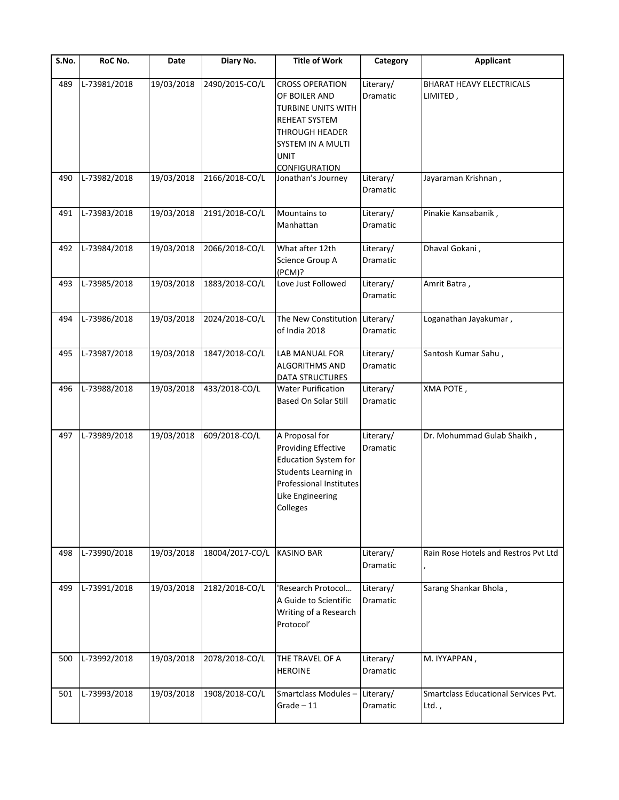| $\overline{\mathsf{S}}$ . No. | RoC No.      | Date       | Diary No.       | <b>Title of Work</b>                                                                                                                                                              | Category                     | <b>Applicant</b>                              |
|-------------------------------|--------------|------------|-----------------|-----------------------------------------------------------------------------------------------------------------------------------------------------------------------------------|------------------------------|-----------------------------------------------|
| 489                           | L-73981/2018 | 19/03/2018 | 2490/2015-CO/L  | <b>CROSS OPERATION</b><br>OF BOILER AND<br><b>TURBINE UNITS WITH</b><br><b>REHEAT SYSTEM</b><br><b>THROUGH HEADER</b><br>SYSTEM IN A MULTI<br><b>UNIT</b><br><b>CONFIGURATION</b> | Literary/<br><b>Dramatic</b> | <b>BHARAT HEAVY ELECTRICALS</b><br>LIMITED,   |
| 490                           | L-73982/2018 | 19/03/2018 | 2166/2018-CO/L  | Jonathan's Journey                                                                                                                                                                | Literary/<br>Dramatic        | Jayaraman Krishnan,                           |
| 491                           | L-73983/2018 | 19/03/2018 | 2191/2018-CO/L  | Mountains to<br>Manhattan                                                                                                                                                         | Literary/<br>Dramatic        | Pinakie Kansabanik,                           |
| 492                           | L-73984/2018 | 19/03/2018 | 2066/2018-CO/L  | What after 12th<br>Science Group A<br>(PCM)?                                                                                                                                      | Literary/<br>Dramatic        | Dhaval Gokani,                                |
| 493                           | L-73985/2018 | 19/03/2018 | 1883/2018-CO/L  | Love Just Followed                                                                                                                                                                | Literary/<br>Dramatic        | Amrit Batra,                                  |
| 494                           | L-73986/2018 | 19/03/2018 | 2024/2018-CO/L  | The New Constitution Literary/<br>of India 2018                                                                                                                                   | Dramatic                     | Loganathan Jayakumar,                         |
| 495                           | L-73987/2018 | 19/03/2018 | 1847/2018-CO/L  | LAB MANUAL FOR<br><b>ALGORITHMS AND</b><br>DATA STRUCTURES                                                                                                                        | Literary/<br>Dramatic        | Santosh Kumar Sahu,                           |
| 496                           | L-73988/2018 | 19/03/2018 | 433/2018-CO/L   | <b>Water Purification</b><br>Based On Solar Still                                                                                                                                 | Literary/<br><b>Dramatic</b> | XMA POTE,                                     |
| 497                           | L-73989/2018 | 19/03/2018 | 609/2018-CO/L   | A Proposal for<br><b>Providing Effective</b><br><b>Education System for</b><br>Students Learning in<br>Professional Institutes<br>Like Engineering<br>Colleges                    | Literary/<br><b>Dramatic</b> | Dr. Mohummad Gulab Shaikh,                    |
| 498                           | L-73990/2018 | 19/03/2018 | 18004/2017-CO/L | <b>KASINO BAR</b>                                                                                                                                                                 | Literary/<br><b>Dramatic</b> | Rain Rose Hotels and Restros Pvt Ltd          |
| 499                           | L-73991/2018 | 19/03/2018 | 2182/2018-CO/L  | 'Research Protocol<br>A Guide to Scientific<br>Writing of a Research<br>Protocol'                                                                                                 | Literary/<br><b>Dramatic</b> | Sarang Shankar Bhola,                         |
| 500                           | L-73992/2018 | 19/03/2018 | 2078/2018-CO/L  | THE TRAVEL OF A<br><b>HEROINE</b>                                                                                                                                                 | Literary/<br>Dramatic        | M. IYYAPPAN,                                  |
| 501                           | L-73993/2018 | 19/03/2018 | 1908/2018-CO/L  | Smartclass Modules-<br>$Grade - 11$                                                                                                                                               | Literary/<br>Dramatic        | Smartclass Educational Services Pvt.<br>Ltd., |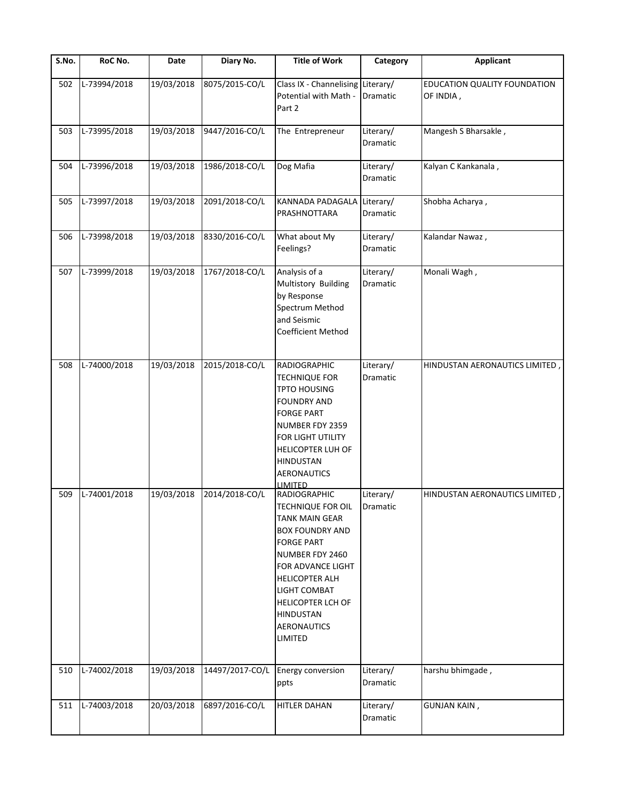| S.No. | RoC No.      | Date       | Diary No.       | <b>Title of Work</b>                                                                                                                                                                                                                                                                                        | Category                     | <b>Applicant</b>                                 |
|-------|--------------|------------|-----------------|-------------------------------------------------------------------------------------------------------------------------------------------------------------------------------------------------------------------------------------------------------------------------------------------------------------|------------------------------|--------------------------------------------------|
| 502   | L-73994/2018 | 19/03/2018 | 8075/2015-CO/L  | Class IX - Channelising<br>Potential with Math -<br>Part 2                                                                                                                                                                                                                                                  | Literary/<br>Dramatic        | <b>EDUCATION QUALITY FOUNDATION</b><br>OF INDIA, |
| 503   | L-73995/2018 | 19/03/2018 | 9447/2016-CO/L  | The Entrepreneur                                                                                                                                                                                                                                                                                            | Literary/<br>Dramatic        | Mangesh S Bharsakle,                             |
| 504   | L-73996/2018 | 19/03/2018 | 1986/2018-CO/L  | Dog Mafia                                                                                                                                                                                                                                                                                                   | Literary/<br>Dramatic        | Kalyan C Kankanala,                              |
| 505   | L-73997/2018 | 19/03/2018 | 2091/2018-CO/L  | <b>KANNADA PADAGALA</b><br>PRASHNOTTARA                                                                                                                                                                                                                                                                     | Literary/<br>Dramatic        | Shobha Acharya,                                  |
| 506   | L-73998/2018 | 19/03/2018 | 8330/2016-CO/L  | What about My<br>Feelings?                                                                                                                                                                                                                                                                                  | Literary/<br>Dramatic        | Kalandar Nawaz,                                  |
| 507   | L-73999/2018 | 19/03/2018 | 1767/2018-CO/L  | Analysis of a<br>Multistory Building<br>by Response<br>Spectrum Method<br>and Seismic<br>Coefficient Method                                                                                                                                                                                                 | Literary/<br><b>Dramatic</b> | Monali Wagh,                                     |
| 508   | L-74000/2018 | 19/03/2018 | 2015/2018-CO/L  | <b>RADIOGRAPHIC</b><br><b>TECHNIQUE FOR</b><br><b>TPTO HOUSING</b><br><b>FOUNDRY AND</b><br><b>FORGE PART</b><br>NUMBER FDY 2359<br>FOR LIGHT UTILITY<br>HELICOPTER LUH OF<br><b>HINDUSTAN</b><br><b>AERONAUTICS</b>                                                                                        | Literary/<br>Dramatic        | HINDUSTAN AERONAUTICS LIMITED,                   |
| 509   | L-74001/2018 | 19/03/2018 | 2014/2018-CO/L  | <b>LIMITED</b><br><b>RADIOGRAPHIC</b><br><b>TECHNIQUE FOR OIL</b><br><b>TANK MAIN GEAR</b><br><b>BOX FOUNDRY AND</b><br><b>FORGE PART</b><br>NUMBER FDY 2460<br>FOR ADVANCE LIGHT<br><b>HELICOPTER ALH</b><br>LIGHT COMBAT<br><b>HELICOPTER LCH OF</b><br><b>HINDUSTAN</b><br><b>AERONAUTICS</b><br>LIMITED | Literary/<br>Dramatic        | HINDUSTAN AERONAUTICS LIMITED,                   |
| 510   | L-74002/2018 | 19/03/2018 | 14497/2017-CO/L | <b>Energy conversion</b><br>ppts                                                                                                                                                                                                                                                                            | Literary/<br>Dramatic        | harshu bhimgade,                                 |
| 511   | L-74003/2018 | 20/03/2018 | 6897/2016-CO/L  | <b>HITLER DAHAN</b>                                                                                                                                                                                                                                                                                         | Literary/<br>Dramatic        | <b>GUNJAN KAIN,</b>                              |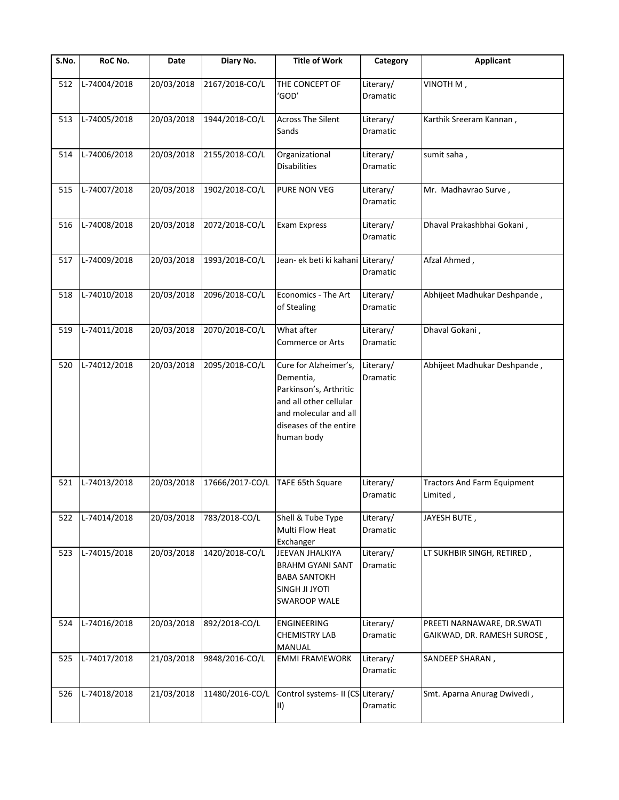| S.No. | RoC No.      | Date       | Diary No.       | <b>Title of Work</b>                                                                                                                                    | Category                     | <b>Applicant</b>                                          |
|-------|--------------|------------|-----------------|---------------------------------------------------------------------------------------------------------------------------------------------------------|------------------------------|-----------------------------------------------------------|
| 512   | L-74004/2018 | 20/03/2018 | 2167/2018-CO/L  | THE CONCEPT OF<br>'GOD'                                                                                                                                 | Literary/<br>Dramatic        | VINOTH M,                                                 |
| 513   | L-74005/2018 | 20/03/2018 | 1944/2018-CO/L  | <b>Across The Silent</b><br>Sands                                                                                                                       | Literary/<br>Dramatic        | Karthik Sreeram Kannan,                                   |
| 514   | L-74006/2018 | 20/03/2018 | 2155/2018-CO/L  | Organizational<br><b>Disabilities</b>                                                                                                                   | Literary/<br>Dramatic        | sumit saha,                                               |
| 515   | L-74007/2018 | 20/03/2018 | 1902/2018-CO/L  | PURE NON VEG                                                                                                                                            | Literary/<br><b>Dramatic</b> | Mr. Madhavrao Surve,                                      |
| 516   | L-74008/2018 | 20/03/2018 | 2072/2018-CO/L  | <b>Exam Express</b>                                                                                                                                     | Literary/<br>Dramatic        | Dhaval Prakashbhai Gokani,                                |
| 517   | L-74009/2018 | 20/03/2018 | 1993/2018-CO/L  | Jean- ek beti ki kahani Literary/                                                                                                                       | Dramatic                     | Afzal Ahmed,                                              |
| 518   | L-74010/2018 | 20/03/2018 | 2096/2018-CO/L  | Economics - The Art<br>of Stealing                                                                                                                      | Literary/<br>Dramatic        | Abhijeet Madhukar Deshpande,                              |
| 519   | L-74011/2018 | 20/03/2018 | 2070/2018-CO/L  | What after<br><b>Commerce or Arts</b>                                                                                                                   | Literary/<br><b>Dramatic</b> | Dhaval Gokani,                                            |
| 520   | L-74012/2018 | 20/03/2018 | 2095/2018-CO/L  | Cure for Alzheimer's,<br>Dementia,<br>Parkinson's, Arthritic<br>and all other cellular<br>and molecular and all<br>diseases of the entire<br>human body | Literary/<br>Dramatic        | Abhijeet Madhukar Deshpande,                              |
| 521   | L-74013/2018 | 20/03/2018 | 17666/2017-CO/L | TAFE 65th Square                                                                                                                                        | Literary/<br>Dramatic        | <b>Tractors And Farm Equipment</b><br>Limited,            |
| 522   | L-74014/2018 | 20/03/2018 | 783/2018-CO/L   | Shell & Tube Type<br><b>Multi Flow Heat</b><br>Exchanger                                                                                                | Literary/<br>Dramatic        | JAYESH BUTE,                                              |
| 523   | L-74015/2018 | 20/03/2018 | 1420/2018-CO/L  | JEEVAN JHALKIYA<br><b>BRAHM GYANI SANT</b><br><b>BABA SANTOKH</b><br><b>SINGH JI JYOTI</b><br><b>SWAROOP WALE</b>                                       | Literary/<br>Dramatic        | LT SUKHBIR SINGH, RETIRED,                                |
| 524   | L-74016/2018 | 20/03/2018 | 892/2018-CO/L   | <b>ENGINEERING</b><br><b>CHEMISTRY LAB</b><br>MANUAL                                                                                                    | Literary/<br>Dramatic        | PREETI NARNAWARE, DR.SWATI<br>GAIKWAD, DR. RAMESH SUROSE, |
| 525   | L-74017/2018 | 21/03/2018 | 9848/2016-CO/L  | <b>EMMI FRAMEWORK</b>                                                                                                                                   | Literary/<br>Dramatic        | SANDEEP SHARAN,                                           |
| 526   | L-74018/2018 | 21/03/2018 | 11480/2016-CO/L | Control systems- II (CS Literary/<br>III)                                                                                                               | Dramatic                     | Smt. Aparna Anurag Dwivedi,                               |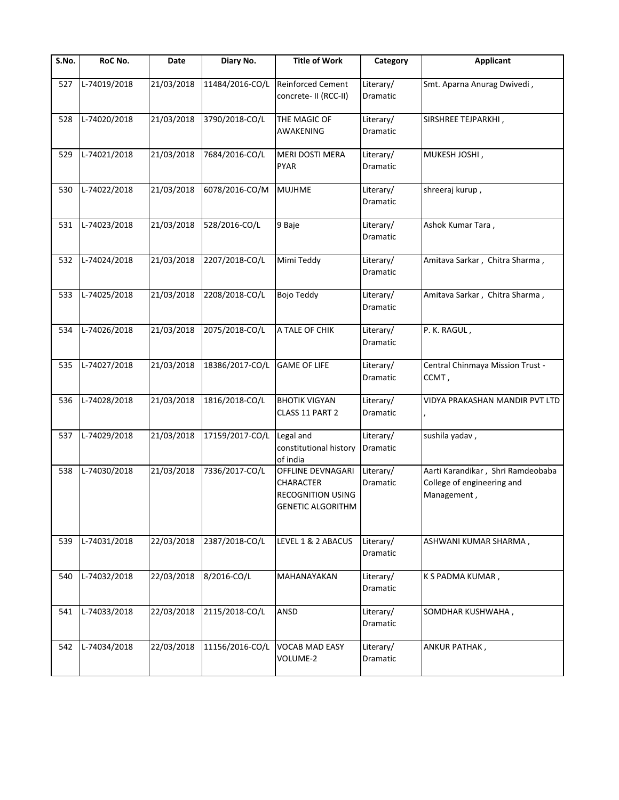| S.No. | RoC No.      | Date       | Diary No.       | <b>Title of Work</b>                                                                   | Category                     | Applicant                                                                      |
|-------|--------------|------------|-----------------|----------------------------------------------------------------------------------------|------------------------------|--------------------------------------------------------------------------------|
| 527   | L-74019/2018 | 21/03/2018 | 11484/2016-CO/L | <b>Reinforced Cement</b><br>concrete- II (RCC-II)                                      | Literary/<br>Dramatic        | Smt. Aparna Anurag Dwivedi,                                                    |
| 528   | L-74020/2018 | 21/03/2018 | 3790/2018-CO/L  | THE MAGIC OF<br>AWAKENING                                                              | Literary/<br>Dramatic        | SIRSHREE TEJPARKHI,                                                            |
| 529   | L-74021/2018 | 21/03/2018 | 7684/2016-CO/L  | MERI DOSTI MERA<br><b>PYAR</b>                                                         | Literary/<br>Dramatic        | MUKESH JOSHI,                                                                  |
| 530   | L-74022/2018 | 21/03/2018 | 6078/2016-CO/M  | <b>MUJHME</b>                                                                          | Literary/<br>Dramatic        | shreeraj kurup,                                                                |
| 531   | L-74023/2018 | 21/03/2018 | 528/2016-CO/L   | 9 Baje                                                                                 | Literary/<br>Dramatic        | Ashok Kumar Tara,                                                              |
| 532   | L-74024/2018 | 21/03/2018 | 2207/2018-CO/L  | Mimi Teddy                                                                             | Literary/<br><b>Dramatic</b> | Amitava Sarkar, Chitra Sharma,                                                 |
| 533   | L-74025/2018 | 21/03/2018 | 2208/2018-CO/L  | Bojo Teddy                                                                             | Literary/<br>Dramatic        | Amitava Sarkar, Chitra Sharma,                                                 |
| 534   | L-74026/2018 | 21/03/2018 | 2075/2018-CO/L  | A TALE OF CHIK                                                                         | Literary/<br>Dramatic        | P. K. RAGUL,                                                                   |
| 535   | L-74027/2018 | 21/03/2018 | 18386/2017-CO/L | <b>GAME OF LIFE</b>                                                                    | Literary/<br>Dramatic        | Central Chinmaya Mission Trust -<br>CCMT,                                      |
| 536   | L-74028/2018 | 21/03/2018 | 1816/2018-CO/L  | <b>BHOTIK VIGYAN</b><br>CLASS 11 PART 2                                                | Literary/<br>Dramatic        | VIDYA PRAKASHAN MANDIR PVT LTD                                                 |
| 537   | L-74029/2018 | 21/03/2018 | 17159/2017-CO/L | Legal and<br>constitutional history<br>of india                                        | Literary/<br>Dramatic        | sushila yadav,                                                                 |
| 538   | L-74030/2018 | 21/03/2018 | 7336/2017-CO/L  | OFFLINE DEVNAGARI<br>CHARACTER<br><b>RECOGNITION USING</b><br><b>GENETIC ALGORITHM</b> | Literary/<br>Dramatic        | Aarti Karandikar, Shri Ramdeobaba<br>College of engineering and<br>Management, |
| 539   | L-74031/2018 | 22/03/2018 | 2387/2018-CO/L  | LEVEL 1 & 2 ABACUS                                                                     | Literary/<br><b>Dramatic</b> | ASHWANI KUMAR SHARMA,                                                          |
| 540   | L-74032/2018 | 22/03/2018 | 8/2016-CO/L     | MAHANAYAKAN                                                                            | Literary/<br>Dramatic        | K S PADMA KUMAR,                                                               |
| 541   | L-74033/2018 | 22/03/2018 | 2115/2018-CO/L  | ANSD                                                                                   | Literary/<br><b>Dramatic</b> | SOMDHAR KUSHWAHA,                                                              |
| 542   | L-74034/2018 | 22/03/2018 | 11156/2016-CO/L | VOCAB MAD EASY<br>VOLUME-2                                                             | Literary/<br>Dramatic        | ANKUR PATHAK,                                                                  |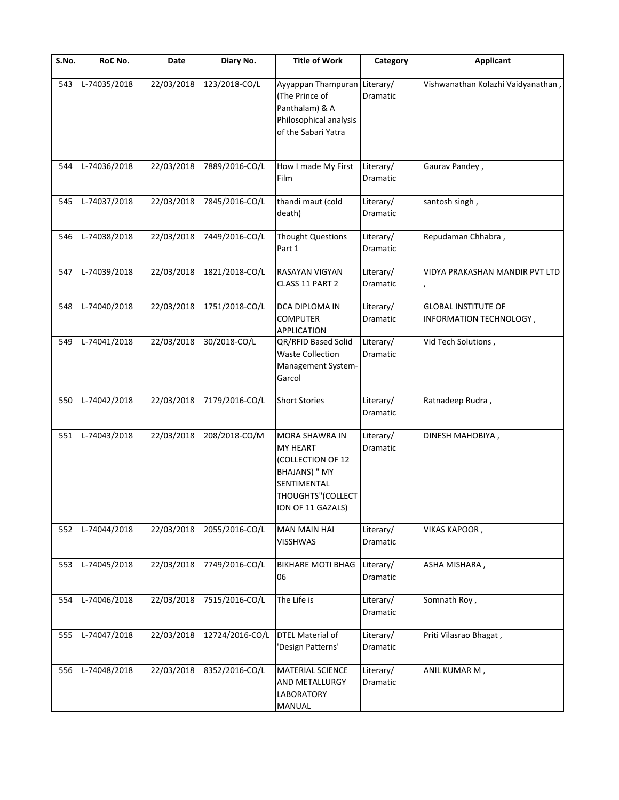| S.No. | RoC No.      | Date       | Diary No.       | <b>Title of Work</b>                                                                                                             | Category                     | <b>Applicant</b>                                      |
|-------|--------------|------------|-----------------|----------------------------------------------------------------------------------------------------------------------------------|------------------------------|-------------------------------------------------------|
| 543   | L-74035/2018 | 22/03/2018 | 123/2018-CO/L   | Ayyappan Thampuran Literary/<br>(The Prince of<br>Panthalam) & A<br>Philosophical analysis<br>of the Sabari Yatra                | Dramatic                     | Vishwanathan Kolazhi Vaidyanathan,                    |
| 544   | L-74036/2018 | 22/03/2018 | 7889/2016-CO/L  | How I made My First<br>Film                                                                                                      | Literary/<br>Dramatic        | Gaurav Pandey,                                        |
| 545   | L-74037/2018 | 22/03/2018 | 7845/2016-CO/L  | thandi maut (cold<br>death)                                                                                                      | Literary/<br>Dramatic        | santosh singh,                                        |
| 546   | L-74038/2018 | 22/03/2018 | 7449/2016-CO/L  | <b>Thought Questions</b><br>Part 1                                                                                               | Literary/<br>Dramatic        | Repudaman Chhabra,                                    |
| 547   | L-74039/2018 | 22/03/2018 | 1821/2018-CO/L  | RASAYAN VIGYAN<br>CLASS 11 PART 2                                                                                                | Literary/<br>Dramatic        | VIDYA PRAKASHAN MANDIR PVT LTD                        |
| 548   | L-74040/2018 | 22/03/2018 | 1751/2018-CO/L  | DCA DIPLOMA IN<br><b>COMPUTER</b><br>APPLICATION                                                                                 | Literary/<br><b>Dramatic</b> | <b>GLOBAL INSTITUTE OF</b><br>INFORMATION TECHNOLOGY, |
| 549   | L-74041/2018 | 22/03/2018 | 30/2018-CO/L    | QR/RFID Based Solid<br><b>Waste Collection</b><br>Management System-<br>Garcol                                                   | Literary/<br>Dramatic        | Vid Tech Solutions,                                   |
| 550   | L-74042/2018 | 22/03/2018 | 7179/2016-CO/L  | <b>Short Stories</b>                                                                                                             | Literary/<br>Dramatic        | Ratnadeep Rudra,                                      |
| 551   | L-74043/2018 | 22/03/2018 | 208/2018-CO/M   | MORA SHAWRA IN<br>MY HEART<br>(COLLECTION OF 12<br><b>BHAJANS) " MY</b><br>SENTIMENTAL<br>THOUGHTS"(COLLECT<br>ION OF 11 GAZALS) | Literary/<br>Dramatic        | DINESH MAHOBIYA,                                      |
| 552   | L-74044/2018 | 22/03/2018 | 2055/2016-CO/L  | <b>MAN MAIN HAI</b><br><b>VISSHWAS</b>                                                                                           | Literary/<br>Dramatic        | VIKAS KAPOOR,                                         |
| 553   | L-74045/2018 | 22/03/2018 | 7749/2016-CO/L  | <b>BIKHARE MOTI BHAG</b><br>06                                                                                                   | Literary/<br>Dramatic        | ASHA MISHARA,                                         |
| 554   | L-74046/2018 | 22/03/2018 | 7515/2016-CO/L  | The Life is                                                                                                                      | Literary/<br>Dramatic        | Somnath Roy,                                          |
| 555   | L-74047/2018 | 22/03/2018 | 12724/2016-CO/L | <b>DTEL Material of</b><br>'Design Patterns'                                                                                     | Literary/<br>Dramatic        | Priti Vilasrao Bhagat,                                |
| 556   | L-74048/2018 | 22/03/2018 | 8352/2016-CO/L  | MATERIAL SCIENCE<br>AND METALLURGY<br>LABORATORY<br>MANUAL                                                                       | Literary/<br>Dramatic        | ANIL KUMAR M,                                         |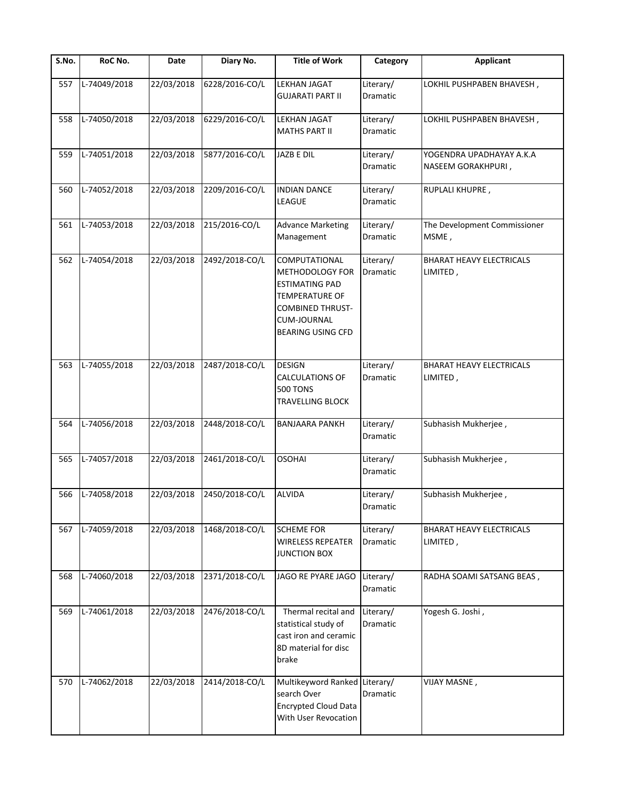| S.No. | RoC No.      | Date       | Diary No.      | <b>Title of Work</b>                                                                                                                                                   | Category              | <b>Applicant</b>                               |
|-------|--------------|------------|----------------|------------------------------------------------------------------------------------------------------------------------------------------------------------------------|-----------------------|------------------------------------------------|
| 557   | L-74049/2018 | 22/03/2018 | 6228/2016-CO/L | LEKHAN JAGAT<br><b>GUJARATI PART II</b>                                                                                                                                | Literary/<br>Dramatic | LOKHIL PUSHPABEN BHAVESH,                      |
| 558   | L-74050/2018 | 22/03/2018 | 6229/2016-CO/L | <b>LEKHAN JAGAT</b><br><b>MATHS PART II</b>                                                                                                                            | Literary/<br>Dramatic | LOKHIL PUSHPABEN BHAVESH,                      |
| 559   | L-74051/2018 | 22/03/2018 | 5877/2016-CO/L | JAZB E DIL                                                                                                                                                             | Literary/<br>Dramatic | YOGENDRA UPADHAYAY A.K.A<br>NASEEM GORAKHPURI, |
| 560   | L-74052/2018 | 22/03/2018 | 2209/2016-CO/L | <b>INDIAN DANCE</b><br>LEAGUE                                                                                                                                          | Literary/<br>Dramatic | RUPLALI KHUPRE,                                |
| 561   | L-74053/2018 | 22/03/2018 | 215/2016-CO/L  | <b>Advance Marketing</b><br>Management                                                                                                                                 | Literary/<br>Dramatic | The Development Commissioner<br>MSME,          |
| 562   | L-74054/2018 | 22/03/2018 | 2492/2018-CO/L | COMPUTATIONAL<br><b>METHODOLOGY FOR</b><br><b>ESTIMATING PAD</b><br><b>TEMPERATURE OF</b><br><b>COMBINED THRUST-</b><br><b>CUM-JOURNAL</b><br><b>BEARING USING CFD</b> | Literary/<br>Dramatic | <b>BHARAT HEAVY ELECTRICALS</b><br>LIMITED,    |
| 563   | L-74055/2018 | 22/03/2018 | 2487/2018-CO/L | <b>DESIGN</b><br><b>CALCULATIONS OF</b><br><b>500 TONS</b><br>TRAVELLING BLOCK                                                                                         | Literary/<br>Dramatic | BHARAT HEAVY ELECTRICALS<br>LIMITED,           |
| 564   | L-74056/2018 | 22/03/2018 | 2448/2018-CO/L | <b>BANJAARA PANKH</b>                                                                                                                                                  | Literary/<br>Dramatic | Subhasish Mukherjee,                           |
| 565   | L-74057/2018 | 22/03/2018 | 2461/2018-CO/L | <b>OSOHAI</b>                                                                                                                                                          | Literary/<br>Dramatic | Subhasish Mukherjee,                           |
| 566   | L-74058/2018 | 22/03/2018 | 2450/2018-CO/L | <b>ALVIDA</b>                                                                                                                                                          | Literary/<br>Dramatic | Subhasish Mukherjee,                           |
| 567   | L-74059/2018 | 22/03/2018 | 1468/2018-CO/L | <b>SCHEME FOR</b><br><b>WIRELESS REPEATER</b><br><b>JUNCTION BOX</b>                                                                                                   | Literary/<br>Dramatic | BHARAT HEAVY ELECTRICALS<br>LIMITED,           |
| 568   | L-74060/2018 | 22/03/2018 | 2371/2018-CO/L | JAGO RE PYARE JAGO                                                                                                                                                     | Literary/<br>Dramatic | RADHA SOAMI SATSANG BEAS,                      |
| 569   | L-74061/2018 | 22/03/2018 | 2476/2018-CO/L | Thermal recital and<br>statistical study of<br>cast iron and ceramic<br>8D material for disc<br>brake                                                                  | Literary/<br>Dramatic | Yogesh G. Joshi,                               |
| 570   | L-74062/2018 | 22/03/2018 | 2414/2018-CO/L | Multikeyword Ranked Literary/<br>search Over<br><b>Encrypted Cloud Data</b><br>With User Revocation                                                                    | Dramatic              | VIJAY MASNE,                                   |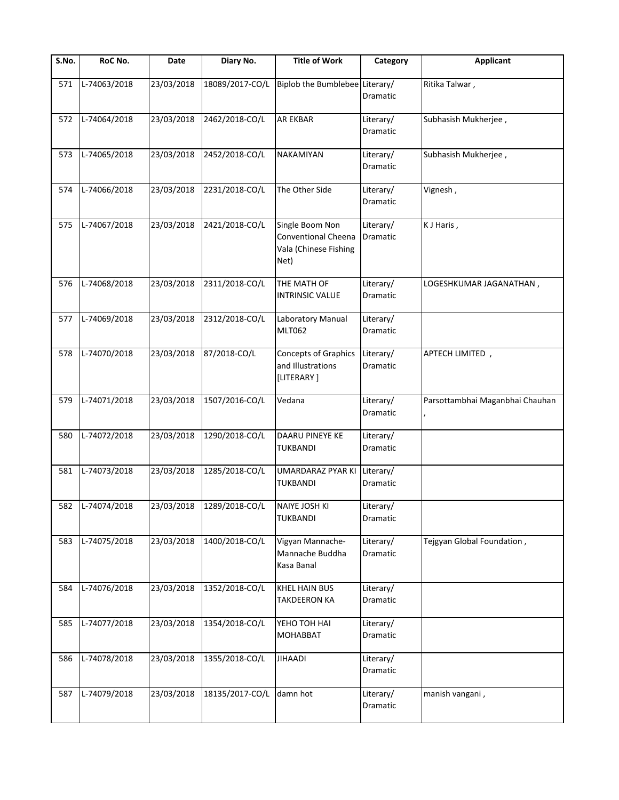| S.No. | RoC No.          | Date       | Diary No.                 | <b>Title of Work</b>                                                    | Category              | Applicant                       |
|-------|------------------|------------|---------------------------|-------------------------------------------------------------------------|-----------------------|---------------------------------|
| 571   | L-74063/2018     | 23/03/2018 | 18089/2017-CO/L           | Biplob the Bumblebee Literary/                                          | Dramatic              | Ritika Talwar,                  |
| 572   | L-74064/2018     | 23/03/2018 | 2462/2018-CO/L            | <b>AR EKBAR</b>                                                         | Literary/<br>Dramatic | Subhasish Mukherjee,            |
| 573   | L-74065/2018     | 23/03/2018 | 2452/2018-CO/L            | NAKAMIYAN                                                               | Literary/<br>Dramatic | Subhasish Mukherjee,            |
| 574   | L-74066/2018     | 23/03/2018 | 2231/2018-CO/L            | The Other Side                                                          | Literary/<br>Dramatic | Vignesh,                        |
| 575   | L-74067/2018     | 23/03/2018 | 2421/2018-CO/L            | Single Boom Non<br>Conventional Cheena<br>Vala (Chinese Fishing<br>Net) | Literary/<br>Dramatic | K J Haris,                      |
| 576   | L-74068/2018     | 23/03/2018 | 2311/2018-CO/L            | THE MATH OF<br><b>INTRINSIC VALUE</b>                                   | Literary/<br>Dramatic | LOGESHKUMAR JAGANATHAN ,        |
| 577   | L-74069/2018     | 23/03/2018 | 2312/2018-CO/L            | Laboratory Manual<br><b>MLT062</b>                                      | Literary/<br>Dramatic |                                 |
| 578   | L-74070/2018     | 23/03/2018 | 87/2018-CO/L              | <b>Concepts of Graphics</b><br>and Illustrations<br>[LITERARY]          | Literary/<br>Dramatic | APTECH LIMITED,                 |
| 579   | L-74071/2018     | 23/03/2018 | 1507/2016-CO/L            | Vedana                                                                  | Literary/<br>Dramatic | Parsottambhai Maganbhai Chauhan |
| 580   | L-74072/2018     | 23/03/2018 | 1290/2018-CO/L            | DAARU PINEYE KE<br>TUKBANDI                                             | Literary/<br>Dramatic |                                 |
| 581   | L-74073/2018     | 23/03/2018 | 1285/2018-CO/L            | UMARDARAZ PYAR KI<br>TUKBANDI                                           | Literary/<br>Dramatic |                                 |
|       | 582 L-74074/2018 |            | 23/03/2018 1289/2018-CO/L | NAIYE JOSH KI<br><b>TUKBANDI</b>                                        | Literary/<br>Dramatic |                                 |
| 583   | L-74075/2018     | 23/03/2018 | 1400/2018-CO/L            | Vigyan Mannache-<br>Mannache Buddha<br>Kasa Banal                       | Literary/<br>Dramatic | Tejgyan Global Foundation,      |
| 584   | L-74076/2018     | 23/03/2018 | 1352/2018-CO/L            | <b>KHEL HAIN BUS</b><br><b>TAKDEERON KA</b>                             | Literary/<br>Dramatic |                                 |
| 585   | L-74077/2018     | 23/03/2018 | 1354/2018-CO/L            | YEHO TOH HAI<br><b>MOHABBAT</b>                                         | Literary/<br>Dramatic |                                 |
| 586   | L-74078/2018     | 23/03/2018 | 1355/2018-CO/L            | <b>JIHAADI</b>                                                          | Literary/<br>Dramatic |                                 |
| 587   | L-74079/2018     | 23/03/2018 | 18135/2017-CO/L           | damn hot                                                                | Literary/<br>Dramatic | manish vangani,                 |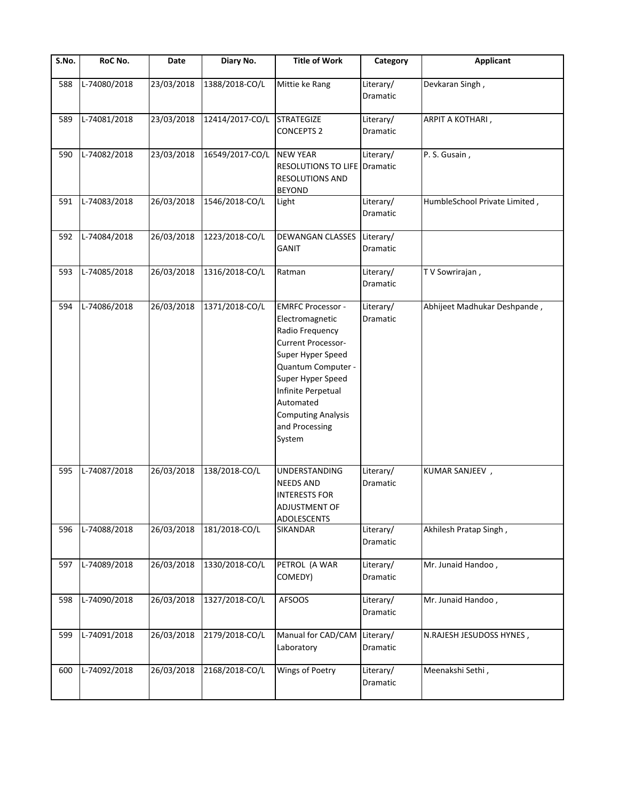| $\overline{\mathsf{S}}$ . No. | RoC No.      | Date       | Diary No.       | <b>Title of Work</b>                                                                                                                                                                                                                                    | Category              | <b>Applicant</b>              |
|-------------------------------|--------------|------------|-----------------|---------------------------------------------------------------------------------------------------------------------------------------------------------------------------------------------------------------------------------------------------------|-----------------------|-------------------------------|
| 588                           | L-74080/2018 | 23/03/2018 | 1388/2018-CO/L  | Mittie ke Rang                                                                                                                                                                                                                                          | Literary/<br>Dramatic | Devkaran Singh,               |
| 589                           | L-74081/2018 | 23/03/2018 | 12414/2017-CO/L | <b>STRATEGIZE</b><br><b>CONCEPTS 2</b>                                                                                                                                                                                                                  | Literary/<br>Dramatic | ARPIT A KOTHARI,              |
| 590                           | L-74082/2018 | 23/03/2018 | 16549/2017-CO/L | <b>NEW YEAR</b><br>RESOLUTIONS TO LIFE Dramatic<br><b>RESOLUTIONS AND</b><br><b>BEYOND</b>                                                                                                                                                              | Literary/             | P. S. Gusain,                 |
| 591                           | L-74083/2018 | 26/03/2018 | 1546/2018-CO/L  | Light                                                                                                                                                                                                                                                   | Literary/<br>Dramatic | HumbleSchool Private Limited, |
| 592                           | L-74084/2018 | 26/03/2018 | 1223/2018-CO/L  | <b>DEWANGAN CLASSES</b><br><b>GANIT</b>                                                                                                                                                                                                                 | Literary/<br>Dramatic |                               |
| 593                           | L-74085/2018 | 26/03/2018 | 1316/2018-CO/L  | Ratman                                                                                                                                                                                                                                                  | Literary/<br>Dramatic | T V Sowrirajan,               |
| 594                           | L-74086/2018 | 26/03/2018 | 1371/2018-CO/L  | <b>EMRFC Processor -</b><br>Electromagnetic<br>Radio Frequency<br><b>Current Processor-</b><br>Super Hyper Speed<br>Quantum Computer -<br>Super Hyper Speed<br>Infinite Perpetual<br>Automated<br><b>Computing Analysis</b><br>and Processing<br>System | Literary/<br>Dramatic | Abhijeet Madhukar Deshpande,  |
| 595                           | L-74087/2018 | 26/03/2018 | 138/2018-CO/L   | <b>UNDERSTANDING</b><br><b>NEEDS AND</b><br><b>INTERESTS FOR</b><br><b>ADJUSTMENT OF</b><br>ADOLESCENTS                                                                                                                                                 | Literary/<br>Dramatic | KUMAR SANJEEV,                |
| 596                           | L-74088/2018 | 26/03/2018 | 181/2018-CO/L   | SIKANDAR                                                                                                                                                                                                                                                | Literary/<br>Dramatic | Akhilesh Pratap Singh,        |
| 597                           | L-74089/2018 | 26/03/2018 | 1330/2018-CO/L  | PETROL (A WAR<br>COMEDY)                                                                                                                                                                                                                                | Literary/<br>Dramatic | Mr. Junaid Handoo,            |
| 598                           | L-74090/2018 | 26/03/2018 | 1327/2018-CO/L  | <b>AFSOOS</b>                                                                                                                                                                                                                                           | Literary/<br>Dramatic | Mr. Junaid Handoo,            |
| 599                           | L-74091/2018 | 26/03/2018 | 2179/2018-CO/L  | Manual for CAD/CAM<br>Laboratory                                                                                                                                                                                                                        | Literary/<br>Dramatic | N.RAJESH JESUDOSS HYNES,      |
| 600                           | L-74092/2018 | 26/03/2018 | 2168/2018-CO/L  | Wings of Poetry                                                                                                                                                                                                                                         | Literary/<br>Dramatic | Meenakshi Sethi,              |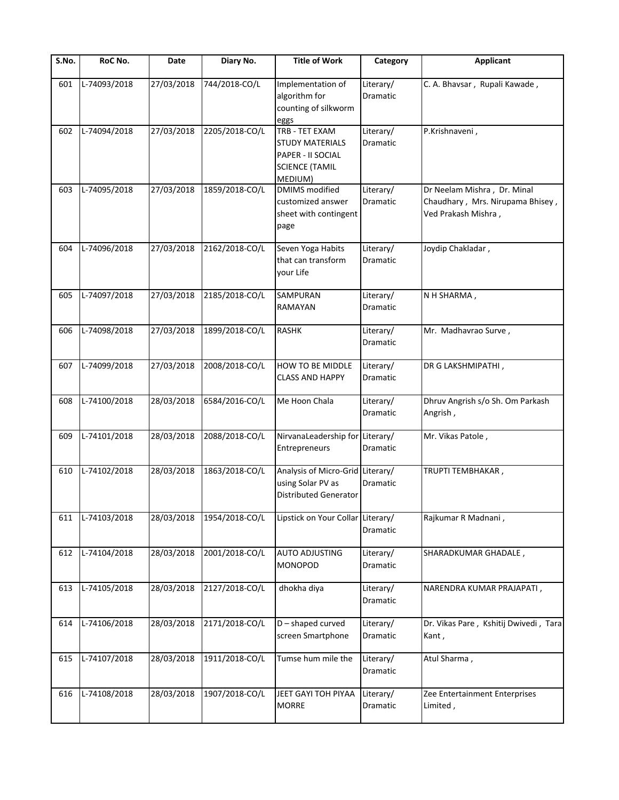| S.No. | RoC No.      | Date       | Diary No.      | <b>Title of Work</b>                                                                              | Category              | <b>Applicant</b>                                                                       |
|-------|--------------|------------|----------------|---------------------------------------------------------------------------------------------------|-----------------------|----------------------------------------------------------------------------------------|
| 601   | L-74093/2018 | 27/03/2018 | 744/2018-CO/L  | Implementation of<br>algorithm for<br>counting of silkworm<br>eggs                                | Literary/<br>Dramatic | C. A. Bhavsar, Rupali Kawade,                                                          |
| 602   | L-74094/2018 | 27/03/2018 | 2205/2018-CO/L | TRB - TET EXAM<br><b>STUDY MATERIALS</b><br>PAPER - II SOCIAL<br><b>SCIENCE (TAMIL</b><br>MEDIUM) | Literary/<br>Dramatic | P.Krishnaveni,                                                                         |
| 603   | L-74095/2018 | 27/03/2018 | 1859/2018-CO/L | <b>DMIMS</b> modified<br>customized answer<br>sheet with contingent<br>page                       | Literary/<br>Dramatic | Dr Neelam Mishra, Dr. Minal<br>Chaudhary, Mrs. Nirupama Bhisey,<br>Ved Prakash Mishra, |
| 604   | L-74096/2018 | 27/03/2018 | 2162/2018-CO/L | Seven Yoga Habits<br>that can transform<br>your Life                                              | Literary/<br>Dramatic | Joydip Chakladar,                                                                      |
| 605   | L-74097/2018 | 27/03/2018 | 2185/2018-CO/L | SAMPURAN<br>RAMAYAN                                                                               | Literary/<br>Dramatic | N H SHARMA,                                                                            |
| 606   | L-74098/2018 | 27/03/2018 | 1899/2018-CO/L | <b>RASHK</b>                                                                                      | Literary/<br>Dramatic | Mr. Madhavrao Surve,                                                                   |
| 607   | L-74099/2018 | 27/03/2018 | 2008/2018-CO/L | HOW TO BE MIDDLE<br><b>CLASS AND HAPPY</b>                                                        | Literary/<br>Dramatic | DR G LAKSHMIPATHI,                                                                     |
| 608   | L-74100/2018 | 28/03/2018 | 6584/2016-CO/L | Me Hoon Chala                                                                                     | Literary/<br>Dramatic | Dhruv Angrish s/o Sh. Om Parkash<br>Angrish,                                           |
| 609   | L-74101/2018 | 28/03/2018 | 2088/2018-CO/L | NirvanaLeadership for<br>Entrepreneurs                                                            | Literary/<br>Dramatic | Mr. Vikas Patole,                                                                      |
| 610   | L-74102/2018 | 28/03/2018 | 1863/2018-CO/L | Analysis of Micro-Grid Literary/<br>using Solar PV as<br><b>Distributed Generator</b>             | Dramatic              | TRUPTI TEMBHAKAR,                                                                      |
| 611   | L-74103/2018 | 28/03/2018 | 1954/2018-CO/L | Lipstick on Your Collar Literary/                                                                 | Dramatic              | Rajkumar R Madnani,                                                                    |
| 612   | L-74104/2018 | 28/03/2018 | 2001/2018-CO/L | <b>AUTO ADJUSTING</b><br><b>MONOPOD</b>                                                           | Literary/<br>Dramatic | SHARADKUMAR GHADALE,                                                                   |
| 613   | L-74105/2018 | 28/03/2018 | 2127/2018-CO/L | dhokha diya                                                                                       | Literary/<br>Dramatic | NARENDRA KUMAR PRAJAPATI,                                                              |
| 614   | L-74106/2018 | 28/03/2018 | 2171/2018-CO/L | D - shaped curved<br>screen Smartphone                                                            | Literary/<br>Dramatic | Dr. Vikas Pare, Kshitij Dwivedi, Tara<br>Kant,                                         |
| 615   | L-74107/2018 | 28/03/2018 | 1911/2018-CO/L | Tumse hum mile the                                                                                | Literary/<br>Dramatic | Atul Sharma,                                                                           |
| 616   | L-74108/2018 | 28/03/2018 | 1907/2018-CO/L | JEET GAYI TOH PIYAA<br><b>MORRE</b>                                                               | Literary/<br>Dramatic | Zee Entertainment Enterprises<br>Limited,                                              |
|       |              |            |                |                                                                                                   |                       |                                                                                        |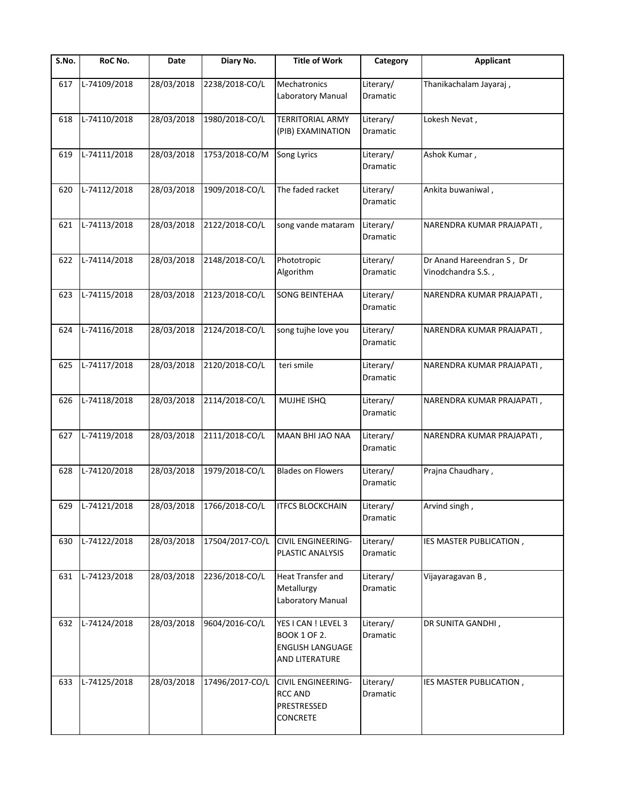| $\overline{\mathsf{S}}$ . No. | RoC No.          | Date       | Diary No.       | <b>Title of Work</b>                                                                    | Category                     | <b>Applicant</b>                                |
|-------------------------------|------------------|------------|-----------------|-----------------------------------------------------------------------------------------|------------------------------|-------------------------------------------------|
| 617                           | L-74109/2018     | 28/03/2018 | 2238/2018-CO/L  | Mechatronics<br>Laboratory Manual                                                       | Literary/<br>Dramatic        | Thanikachalam Jayaraj,                          |
| 618                           | L-74110/2018     | 28/03/2018 | 1980/2018-CO/L  | <b>TERRITORIAL ARMY</b><br>(PIB) EXAMINATION                                            | Literary/<br>Dramatic        | Lokesh Nevat,                                   |
| 619                           | L-74111/2018     | 28/03/2018 | 1753/2018-CO/M  | <b>Song Lyrics</b>                                                                      | Literary/<br>Dramatic        | Ashok Kumar,                                    |
| 620                           | L-74112/2018     | 28/03/2018 | 1909/2018-CO/L  | The faded racket                                                                        | Literary/<br><b>Dramatic</b> | Ankita buwaniwal,                               |
| 621                           | L-74113/2018     | 28/03/2018 | 2122/2018-CO/L  | song vande mataram                                                                      | Literary/<br>Dramatic        | NARENDRA KUMAR PRAJAPATI,                       |
| 622                           | L-74114/2018     | 28/03/2018 | 2148/2018-CO/L  | Phototropic<br>Algorithm                                                                | Literary/<br>Dramatic        | Dr Anand Hareendran S, Dr<br>Vinodchandra S.S., |
| 623                           | L-74115/2018     | 28/03/2018 | 2123/2018-CO/L  | <b>SONG BEINTEHAA</b>                                                                   | Literary/<br>Dramatic        | NARENDRA KUMAR PRAJAPATI,                       |
| 624                           | L-74116/2018     | 28/03/2018 | 2124/2018-CO/L  | song tujhe love you                                                                     | Literary/<br>Dramatic        | NARENDRA KUMAR PRAJAPATI,                       |
| 625                           | L-74117/2018     | 28/03/2018 | 2120/2018-CO/L  | teri smile                                                                              | Literary/<br>Dramatic        | NARENDRA KUMAR PRAJAPATI,                       |
| 626                           | L-74118/2018     | 28/03/2018 | 2114/2018-CO/L  | MUJHE ISHQ                                                                              | Literary/<br>Dramatic        | NARENDRA KUMAR PRAJAPATI,                       |
| 627                           | L-74119/2018     | 28/03/2018 | 2111/2018-CO/L  | MAAN BHI JAO NAA                                                                        | Literary/<br>Dramatic        | NARENDRA KUMAR PRAJAPATI,                       |
| 628                           | L-74120/2018     | 28/03/2018 | 1979/2018-CO/L  | <b>Blades on Flowers</b>                                                                | Literary/<br>Dramatic        | Prajna Chaudhary,                               |
|                               | 629 L-74121/2018 |            |                 | 28/03/2018 1766/2018-CO/L TFCS BLOCKCHAIN                                               | Literary/<br>Dramatic        | Arvind singh,                                   |
| 630                           | L-74122/2018     | 28/03/2018 | 17504/2017-CO/L | <b>CIVIL ENGINEERING-</b><br>PLASTIC ANALYSIS                                           | Literary/<br>Dramatic        | IES MASTER PUBLICATION,                         |
| 631                           | L-74123/2018     | 28/03/2018 | 2236/2018-CO/L  | <b>Heat Transfer and</b><br>Metallurgy<br>Laboratory Manual                             | Literary/<br>Dramatic        | Vijayaragavan B,                                |
| 632                           | L-74124/2018     | 28/03/2018 | 9604/2016-CO/L  | YES I CAN ! LEVEL 3<br><b>BOOK 1 OF 2.</b><br><b>ENGLISH LANGUAGE</b><br>AND LITERATURE | Literary/<br>Dramatic        | DR SUNITA GANDHI,                               |
| 633                           | L-74125/2018     | 28/03/2018 | 17496/2017-CO/L | <b>CIVIL ENGINEERING-</b><br><b>RCC AND</b><br>PRESTRESSED<br><b>CONCRETE</b>           | Literary/<br>Dramatic        | IES MASTER PUBLICATION,                         |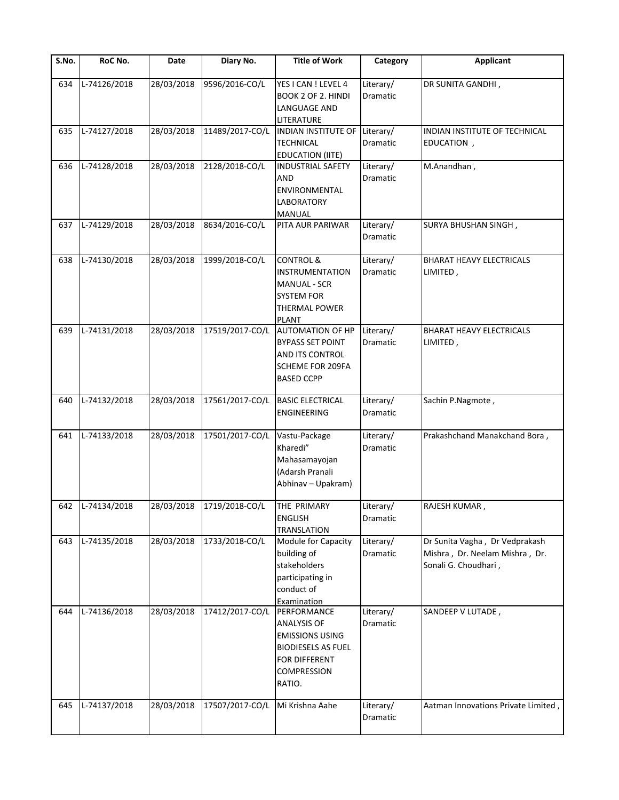| S.No. | RoC No.          | Date       | Diary No.                 | <b>Title of Work</b>                                                                                                               | Category                     | <b>Applicant</b>                                                                         |
|-------|------------------|------------|---------------------------|------------------------------------------------------------------------------------------------------------------------------------|------------------------------|------------------------------------------------------------------------------------------|
| 634   | L-74126/2018     | 28/03/2018 | 9596/2016-CO/L            | YES I CAN ! LEVEL 4<br>BOOK 2 OF 2. HINDI<br>LANGUAGE AND<br>LITERATURE                                                            | Literary/<br>Dramatic        | DR SUNITA GANDHI,                                                                        |
| 635   | L-74127/2018     | 28/03/2018 | 11489/2017-CO/L           | INDIAN INSTITUTE OF Literary/<br><b>TECHNICAL</b><br><b>EDUCATION (IITE)</b>                                                       | Dramatic                     | INDIAN INSTITUTE OF TECHNICAL<br>EDUCATION,                                              |
| 636   | L-74128/2018     | 28/03/2018 | 2128/2018-CO/L            | <b>INDUSTRIAL SAFETY</b><br><b>AND</b><br>ENVIRONMENTAL<br><b>LABORATORY</b><br>MANUAL                                             | Literary/<br>Dramatic        | M.Anandhan,                                                                              |
| 637   | L-74129/2018     | 28/03/2018 | 8634/2016-CO/L            | PITA AUR PARIWAR                                                                                                                   | Literary/<br>Dramatic        | SURYA BHUSHAN SINGH,                                                                     |
| 638   | L-74130/2018     | 28/03/2018 | 1999/2018-CO/L            | <b>CONTROL &amp;</b><br>INSTRUMENTATION<br><b>MANUAL - SCR</b><br><b>SYSTEM FOR</b><br><b>THERMAL POWER</b><br><b>PLANT</b>        | Literary/<br>Dramatic        | BHARAT HEAVY ELECTRICALS<br>LIMITED,                                                     |
| 639   | L-74131/2018     | 28/03/2018 | 17519/2017-CO/L           | <b>AUTOMATION OF HP</b><br><b>BYPASS SET POINT</b><br>AND ITS CONTROL<br><b>SCHEME FOR 209FA</b><br><b>BASED CCPP</b>              | Literary/<br>Dramatic        | <b>BHARAT HEAVY ELECTRICALS</b><br>LIMITED,                                              |
| 640   | L-74132/2018     | 28/03/2018 | 17561/2017-CO/L           | <b>BASIC ELECTRICAL</b><br><b>ENGINEERING</b>                                                                                      | Literary/<br>Dramatic        | Sachin P.Nagmote,                                                                        |
| 641   | L-74133/2018     | 28/03/2018 | 17501/2017-CO/L           | Vastu-Package<br>Kharedi"<br>Mahasamayojan<br>(Adarsh Pranali<br>Abhinav - Upakram)                                                | Literary/<br>Dramatic        | Prakashchand Manakchand Bora,                                                            |
|       | 642 L-74134/2018 |            | 28/03/2018 1719/2018-CO/L | THE PRIMARY<br><b>ENGLISH</b><br><b>TRANSLATION</b>                                                                                | Literary/<br>Dramatic        | RAJESH KUMAR,                                                                            |
| 643   | L-74135/2018     | 28/03/2018 | 1733/2018-CO/L            | Module for Capacity<br>building of<br>stakeholders<br>participating in<br>conduct of<br>Examination                                | Literary/<br><b>Dramatic</b> | Dr Sunita Vagha, Dr Vedprakash<br>Mishra, Dr. Neelam Mishra, Dr.<br>Sonali G. Choudhari, |
| 644   | L-74136/2018     | 28/03/2018 | 17412/2017-CO/L           | PERFORMANCE<br><b>ANALYSIS OF</b><br><b>EMISSIONS USING</b><br><b>BIODIESELS AS FUEL</b><br>FOR DIFFERENT<br>COMPRESSION<br>RATIO. | Literary/<br>Dramatic        | SANDEEP V LUTADE,                                                                        |
| 645   | L-74137/2018     | 28/03/2018 | 17507/2017-CO/L           | Mi Krishna Aahe                                                                                                                    | Literary/<br>Dramatic        | Aatman Innovations Private Limited,                                                      |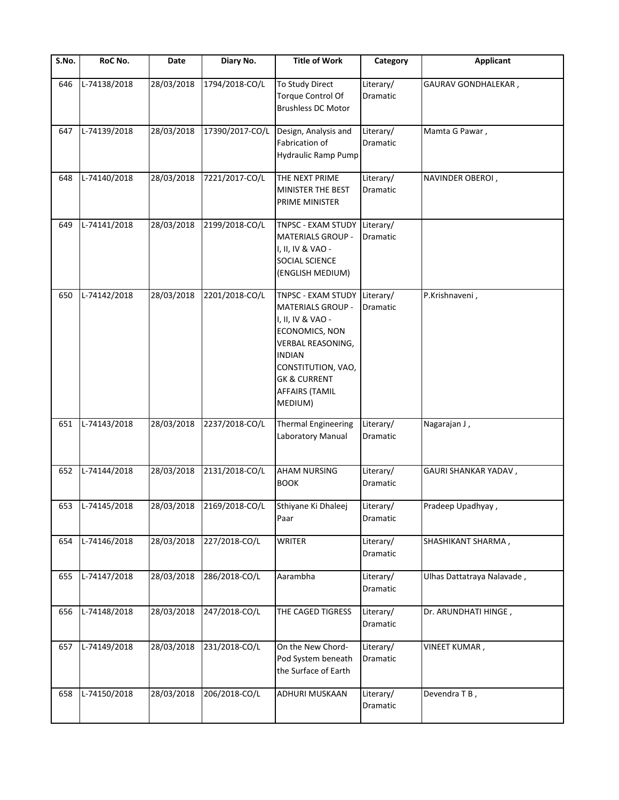| $\overline{\mathsf{S}}$ . No. | RoC No.          | Date       | Diary No.                 | <b>Title of Work</b>                                                                                                                                                                                                    | Category                     | <b>Applicant</b>           |
|-------------------------------|------------------|------------|---------------------------|-------------------------------------------------------------------------------------------------------------------------------------------------------------------------------------------------------------------------|------------------------------|----------------------------|
| 646                           | L-74138/2018     | 28/03/2018 | 1794/2018-CO/L            | To Study Direct<br>Torque Control Of<br><b>Brushless DC Motor</b>                                                                                                                                                       | Literary/<br>Dramatic        | GAURAV GONDHALEKAR,        |
| 647                           | L-74139/2018     | 28/03/2018 | 17390/2017-CO/L           | Design, Analysis and<br>Fabrication of<br>Hydraulic Ramp Pump                                                                                                                                                           | Literary/<br>Dramatic        | Mamta G Pawar,             |
| 648                           | L-74140/2018     | 28/03/2018 | 7221/2017-CO/L            | THE NEXT PRIME<br>MINISTER THE BEST<br>PRIME MINISTER                                                                                                                                                                   | Literary/<br>Dramatic        | NAVINDER OBEROI,           |
| 649                           | L-74141/2018     | 28/03/2018 | 2199/2018-CO/L            | TNPSC - EXAM STUDY<br><b>MATERIALS GROUP -</b><br>I, II, IV & VAO -<br><b>SOCIAL SCIENCE</b><br>(ENGLISH MEDIUM)                                                                                                        | Literary/<br><b>Dramatic</b> |                            |
| 650                           | L-74142/2018     | 28/03/2018 | 2201/2018-CO/L            | TNPSC - EXAM STUDY<br><b>MATERIALS GROUP -</b><br>I, II, IV & VAO -<br>ECONOMICS, NON<br><b>VERBAL REASONING,</b><br><b>INDIAN</b><br>CONSTITUTION, VAO,<br><b>GK &amp; CURRENT</b><br><b>AFFAIRS (TAMIL</b><br>MEDIUM) | Literary/<br>Dramatic        | P.Krishnaveni,             |
| 651                           | L-74143/2018     | 28/03/2018 | 2237/2018-CO/L            | <b>Thermal Engineering</b><br>Laboratory Manual                                                                                                                                                                         | Literary/<br>Dramatic        | Nagarajan J,               |
| 652                           | L-74144/2018     | 28/03/2018 | 2131/2018-CO/L            | <b>AHAM NURSING</b><br><b>BOOK</b>                                                                                                                                                                                      | Literary/<br>Dramatic        | GAURI SHANKAR YADAV,       |
|                               | 653 L-74145/2018 |            | 28/03/2018 2169/2018-CO/L | Sthiyane Ki Dhaleej<br>Paar                                                                                                                                                                                             | Literary/<br>Dramatic        | Pradeep Upadhyay,          |
| 654                           | L-74146/2018     | 28/03/2018 | 227/2018-CO/L             | <b>WRITER</b>                                                                                                                                                                                                           | Literary/<br>Dramatic        | SHASHIKANT SHARMA,         |
| 655                           | L-74147/2018     | 28/03/2018 | 286/2018-CO/L             | Aarambha                                                                                                                                                                                                                | Literary/<br>Dramatic        | Ulhas Dattatraya Nalavade, |
| 656                           | L-74148/2018     | 28/03/2018 | 247/2018-CO/L             | THE CAGED TIGRESS                                                                                                                                                                                                       | Literary/<br>Dramatic        | Dr. ARUNDHATI HINGE,       |
| 657                           | L-74149/2018     | 28/03/2018 | 231/2018-CO/L             | On the New Chord-<br>Pod System beneath<br>the Surface of Earth                                                                                                                                                         | Literary/<br>Dramatic        | <b>VINEET KUMAR,</b>       |
| 658                           | L-74150/2018     | 28/03/2018 | 206/2018-CO/L             | ADHURI MUSKAAN                                                                                                                                                                                                          | Literary/<br>Dramatic        | Devendra T B,              |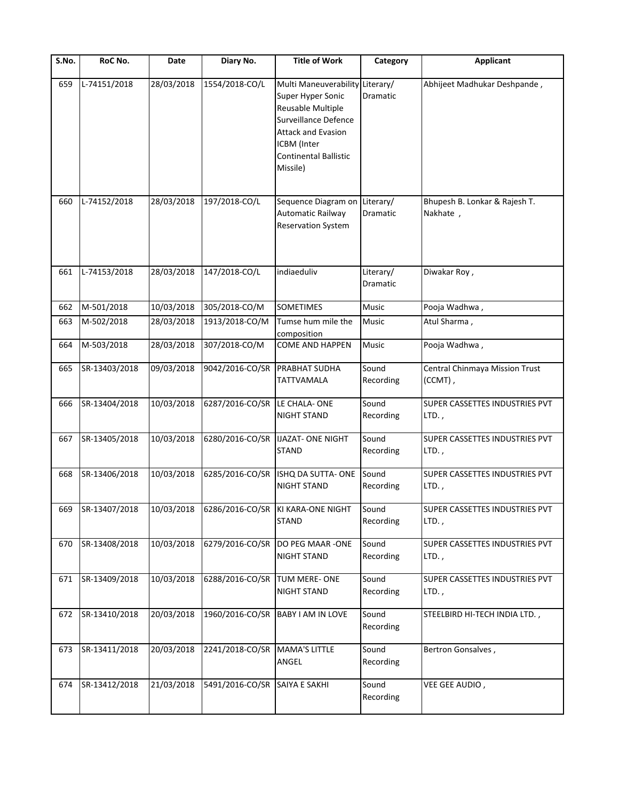| S.No. | RoC No.       | Date       | Diary No.                     | <b>Title of Work</b>                                                                                                                                                                      | Category              | <b>Applicant</b>                           |
|-------|---------------|------------|-------------------------------|-------------------------------------------------------------------------------------------------------------------------------------------------------------------------------------------|-----------------------|--------------------------------------------|
| 659   | L-74151/2018  | 28/03/2018 | 1554/2018-CO/L                | Multi Maneuverability Literary/<br>Super Hyper Sonic<br>Reusable Multiple<br>Surveillance Defence<br><b>Attack and Evasion</b><br>ICBM (Inter<br><b>Continental Ballistic</b><br>Missile) | <b>Dramatic</b>       | Abhijeet Madhukar Deshpande,               |
| 660   | L-74152/2018  | 28/03/2018 | 197/2018-CO/L                 | Sequence Diagram on Literary/<br>Automatic Railway<br><b>Reservation System</b>                                                                                                           | Dramatic              | Bhupesh B. Lonkar & Rajesh T.<br>Nakhate,  |
| 661   | L-74153/2018  | 28/03/2018 | 147/2018-CO/L                 | indiaeduliv                                                                                                                                                                               | Literary/<br>Dramatic | Diwakar Roy,                               |
| 662   | M-501/2018    | 10/03/2018 | 305/2018-CO/M                 | <b>SOMETIMES</b>                                                                                                                                                                          | Music                 | Pooja Wadhwa,                              |
| 663   | M-502/2018    | 28/03/2018 | 1913/2018-CO/M                | Tumse hum mile the<br>composition                                                                                                                                                         | Music                 | Atul Sharma,                               |
| 664   | M-503/2018    | 28/03/2018 | 307/2018-CO/M                 | <b>COME AND HAPPEN</b>                                                                                                                                                                    | <b>Music</b>          | Pooja Wadhwa,                              |
| 665   | SR-13403/2018 | 09/03/2018 | 9042/2016-CO/SR               | <b>PRABHAT SUDHA</b><br>TATTVAMALA                                                                                                                                                        | Sound<br>Recording    | Central Chinmaya Mission Trust<br>(CCMT),  |
| 666   | SR-13404/2018 | 10/03/2018 | 6287/2016-CO/SR LE CHALA- ONE | <b>NIGHT STAND</b>                                                                                                                                                                        | Sound<br>Recording    | SUPER CASSETTES INDUSTRIES PVT<br>$LTD.$ , |
| 667   | SR-13405/2018 | 10/03/2018 | 6280/2016-CO/SR               | <b>IJAZAT- ONE NIGHT</b><br><b>STAND</b>                                                                                                                                                  | Sound<br>Recording    | SUPER CASSETTES INDUSTRIES PVT<br>$LTD.$ , |
| 668   | SR-13406/2018 | 10/03/2018 | 6285/2016-CO/SR               | ISHQ DA SUTTA- ONE<br>NIGHT STAND                                                                                                                                                         | Sound<br>Recording    | SUPER CASSETTES INDUSTRIES PVT<br>$LTD.$ , |
| 669   | SR-13407/2018 | 10/03/2018 |                               | 6286/2016-CO/SR KI KARA-ONE NIGHT<br><b>STAND</b>                                                                                                                                         | Sound<br>Recording    | SUPER CASSETTES INDUSTRIES PVT<br>LTD.,    |
| 670   | SR-13408/2018 | 10/03/2018 | 6279/2016-CO/SR               | DO PEG MAAR -ONE<br>NIGHT STAND                                                                                                                                                           | Sound<br>Recording    | SUPER CASSETTES INDUSTRIES PVT<br>$LTD.$ , |
| 671   | SR-13409/2018 | 10/03/2018 | 6288/2016-CO/SR               | TUM MERE-ONE<br><b>NIGHT STAND</b>                                                                                                                                                        | Sound<br>Recording    | SUPER CASSETTES INDUSTRIES PVT<br>$LTD.$ , |
| 672   | SR-13410/2018 | 20/03/2018 | 1960/2016-CO/SR               | <b>BABY I AM IN LOVE</b>                                                                                                                                                                  | Sound<br>Recording    | STEELBIRD HI-TECH INDIA LTD.,              |
| 673   | SR-13411/2018 | 20/03/2018 | 2241/2018-CO/SR               | MAMA'S LITTLE<br>ANGEL                                                                                                                                                                    | Sound<br>Recording    | Bertron Gonsalves,                         |
| 674   | SR-13412/2018 | 21/03/2018 | 5491/2016-CO/SR               | SAIYA E SAKHI                                                                                                                                                                             | Sound<br>Recording    | VEE GEE AUDIO,                             |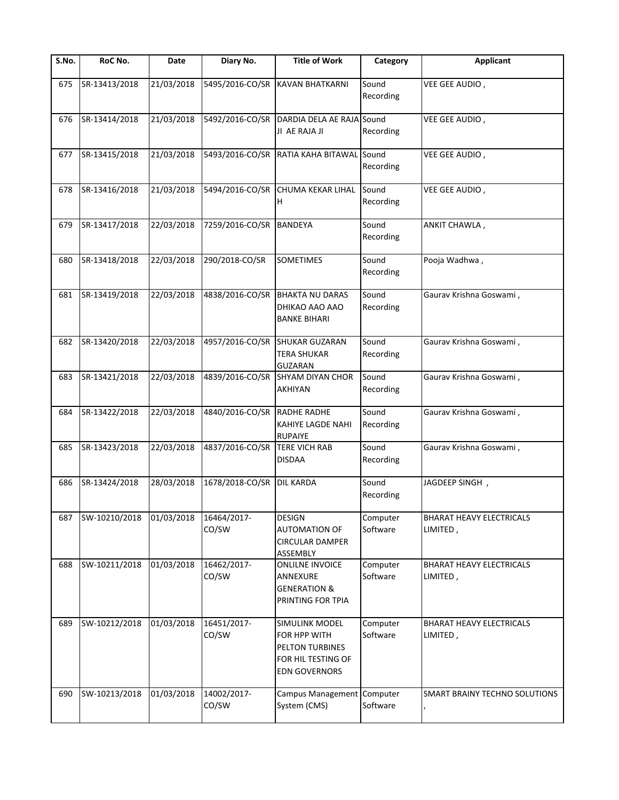| S.No. | RoC No.       | Date       | Diary No.            | <b>Title of Work</b>                                                                            | Category             | <b>Applicant</b>                            |
|-------|---------------|------------|----------------------|-------------------------------------------------------------------------------------------------|----------------------|---------------------------------------------|
| 675   | SR-13413/2018 | 21/03/2018 | 5495/2016-CO/SR      | <b>KAVAN BHATKARNI</b>                                                                          | Sound<br>Recording   | VEE GEE AUDIO,                              |
| 676   | SR-13414/2018 | 21/03/2018 | 5492/2016-CO/SR      | DARDIA DELA AE RAJA Sound<br>JI AE RAJA JI                                                      | Recording            | VEE GEE AUDIO,                              |
| 677   | SR-13415/2018 | 21/03/2018 | 5493/2016-CO/SR      | RATIA KAHA BITAWAL Sound                                                                        | Recording            | VEE GEE AUDIO,                              |
| 678   | SR-13416/2018 | 21/03/2018 | 5494/2016-CO/SR      | CHUMA KEKAR LIHAL<br>н                                                                          | Sound<br>Recording   | VEE GEE AUDIO,                              |
| 679   | SR-13417/2018 | 22/03/2018 | 7259/2016-CO/SR      | <b>BANDEYA</b>                                                                                  | Sound<br>Recording   | ANKIT CHAWLA,                               |
| 680   | SR-13418/2018 | 22/03/2018 | 290/2018-CO/SR       | SOMETIMES                                                                                       | Sound<br>Recording   | Pooja Wadhwa,                               |
| 681   | SR-13419/2018 | 22/03/2018 | 4838/2016-CO/SR      | <b>BHAKTA NU DARAS</b><br>DHIKAO AAO AAO<br><b>BANKE BIHARI</b>                                 | Sound<br>Recording   | Gaurav Krishna Goswami,                     |
| 682   | SR-13420/2018 | 22/03/2018 |                      | 4957/2016-CO/SR SHUKAR GUZARAN<br><b>TERA SHUKAR</b><br><b>GUZARAN</b>                          | Sound<br>Recording   | Gaurav Krishna Goswami,                     |
| 683   | SR-13421/2018 | 22/03/2018 | 4839/2016-CO/SR      | <b>SHYAM DIYAN CHOR</b><br>AKHIYAN                                                              | Sound<br>Recording   | Gaurav Krishna Goswami,                     |
| 684   | SR-13422/2018 | 22/03/2018 | 4840/2016-CO/SR      | <b>RADHE RADHE</b><br>KAHIYE LAGDE NAHI<br><b>RUPAIYE</b>                                       | Sound<br>Recording   | Gaurav Krishna Goswami,                     |
| 685   | SR-13423/2018 | 22/03/2018 | 4837/2016-CO/SR      | <b>TERE VICH RAB</b><br><b>DISDAA</b>                                                           | Sound<br>Recording   | Gaurav Krishna Goswami,                     |
| 686   | SR-13424/2018 | 28/03/2018 | 1678/2018-CO/SR      | <b>DIL KARDA</b>                                                                                | Sound<br>Recording   | JAGDEEP SINGH,                              |
| 687   | SW-10210/2018 | 01/03/2018 | 16464/2017-<br>CO/SW | <b>DESIGN</b><br><b>AUTOMATION OF</b><br><b>CIRCULAR DAMPER</b><br>ASSEMBLY                     | Computer<br>Software | <b>BHARAT HEAVY ELECTRICALS</b><br>LIMITED, |
| 688   | SW-10211/2018 | 01/03/2018 | 16462/2017-<br>CO/SW | <b>ONLILNE INVOICE</b><br>ANNEXURE<br><b>GENERATION &amp;</b><br>PRINTING FOR TPIA              | Computer<br>Software | <b>BHARAT HEAVY ELECTRICALS</b><br>LIMITED, |
| 689   | SW-10212/2018 | 01/03/2018 | 16451/2017-<br>CO/SW | SIMULINK MODEL<br>FOR HPP WITH<br>PELTON TURBINES<br>FOR HIL TESTING OF<br><b>EDN GOVERNORS</b> | Computer<br>Software | <b>BHARAT HEAVY ELECTRICALS</b><br>LIMITED, |
| 690   | SW-10213/2018 | 01/03/2018 | 14002/2017-<br>CO/SW | Campus Management Computer<br>System (CMS)                                                      | Software             | SMART BRAINY TECHNO SOLUTIONS               |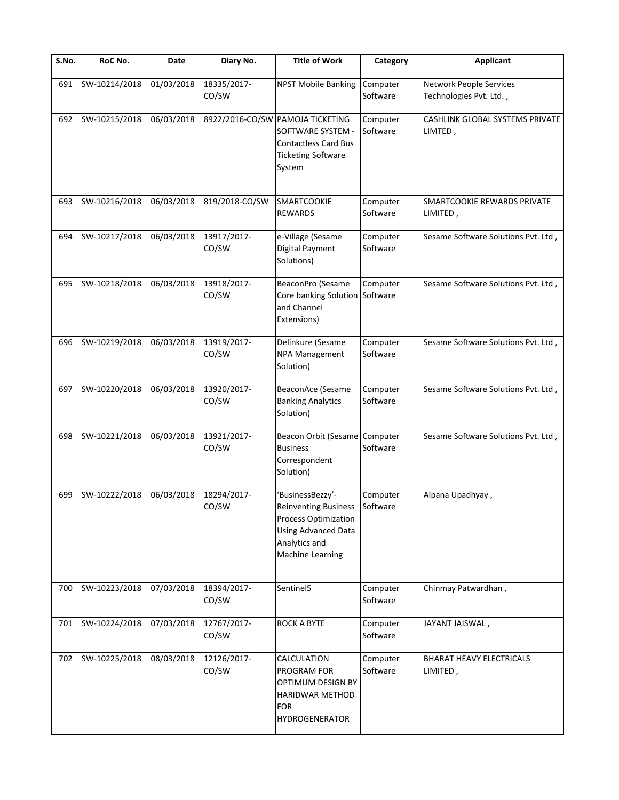| S.No. | RoC No.       | Date       | Diary No.            | <b>Title of Work</b>                                                                                                                              | Category             | <b>Applicant</b>                                          |
|-------|---------------|------------|----------------------|---------------------------------------------------------------------------------------------------------------------------------------------------|----------------------|-----------------------------------------------------------|
| 691   | SW-10214/2018 | 01/03/2018 | 18335/2017-<br>CO/SW | <b>NPST Mobile Banking</b>                                                                                                                        | Computer<br>Software | <b>Network People Services</b><br>Technologies Pvt. Ltd., |
| 692   | SW-10215/2018 | 06/03/2018 |                      | 8922/2016-CO/SW PAMOJA TICKETING<br>SOFTWARE SYSTEM -<br><b>Contactless Card Bus</b><br><b>Ticketing Software</b><br>System                       | Computer<br>Software | CASHLINK GLOBAL SYSTEMS PRIVATE<br>LIMTED,                |
| 693   | SW-10216/2018 | 06/03/2018 | 819/2018-CO/SW       | <b>SMARTCOOKIE</b><br><b>REWARDS</b>                                                                                                              | Computer<br>Software | SMARTCOOKIE REWARDS PRIVATE<br>LIMITED,                   |
| 694   | SW-10217/2018 | 06/03/2018 | 13917/2017-<br>CO/SW | e-Village (Sesame<br>Digital Payment<br>Solutions)                                                                                                | Computer<br>Software | Sesame Software Solutions Pvt. Ltd,                       |
| 695   | SW-10218/2018 | 06/03/2018 | 13918/2017-<br>CO/SW | BeaconPro (Sesame<br>Core banking Solution Software<br>and Channel<br>Extensions)                                                                 | Computer             | Sesame Software Solutions Pvt. Ltd,                       |
| 696   | SW-10219/2018 | 06/03/2018 | 13919/2017-<br>CO/SW | Delinkure (Sesame<br>NPA Management<br>Solution)                                                                                                  | Computer<br>Software | Sesame Software Solutions Pvt. Ltd,                       |
| 697   | SW-10220/2018 | 06/03/2018 | 13920/2017-<br>CO/SW | BeaconAce (Sesame<br><b>Banking Analytics</b><br>Solution)                                                                                        | Computer<br>Software | Sesame Software Solutions Pvt. Ltd,                       |
| 698   | SW-10221/2018 | 06/03/2018 | 13921/2017-<br>CO/SW | <b>Beacon Orbit (Sesame</b><br><b>Business</b><br>Correspondent<br>Solution)                                                                      | Computer<br>Software | Sesame Software Solutions Pvt. Ltd,                       |
| 699   | SW-10222/2018 | 06/03/2018 | 18294/2017-<br>CO/SW | 'BusinessBezzy'-<br><b>Reinventing Business</b><br>Process Optimization<br><b>Using Advanced Data</b><br>Analytics and<br><b>Machine Learning</b> | Computer<br>Software | Alpana Upadhyay,                                          |
| 700   | SW-10223/2018 | 07/03/2018 | 18394/2017-<br>CO/SW | Sentinel5                                                                                                                                         | Computer<br>Software | Chinmay Patwardhan,                                       |
| 701   | SW-10224/2018 | 07/03/2018 | 12767/2017-<br>CO/SW | <b>ROCK A BYTE</b>                                                                                                                                | Computer<br>Software | JAYANT JAISWAL,                                           |
| 702   | SW-10225/2018 | 08/03/2018 | 12126/2017-<br>CO/SW | CALCULATION<br>PROGRAM FOR<br>OPTIMUM DESIGN BY<br><b>HARIDWAR METHOD</b><br><b>FOR</b><br><b>HYDROGENERATOR</b>                                  | Computer<br>Software | <b>BHARAT HEAVY ELECTRICALS</b><br>LIMITED,               |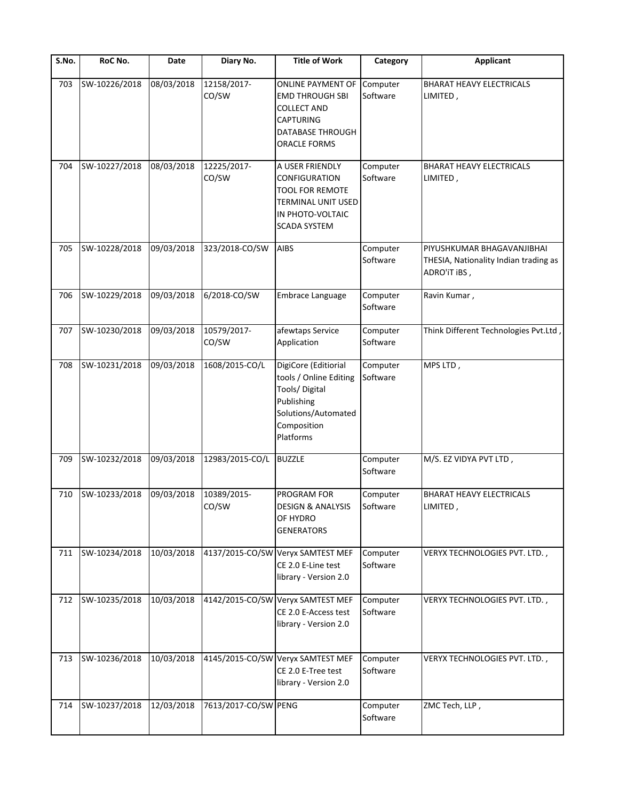| S.No. | RoC No.       | Date       | Diary No.            | <b>Title of Work</b>                                                                                                             | Category             | Applicant                                                                           |
|-------|---------------|------------|----------------------|----------------------------------------------------------------------------------------------------------------------------------|----------------------|-------------------------------------------------------------------------------------|
| 703   | SW-10226/2018 | 08/03/2018 | 12158/2017-<br>CO/SW | ONLINE PAYMENT OF<br><b>EMD THROUGH SBI</b><br>COLLECT AND<br><b>CAPTURING</b><br>DATABASE THROUGH<br>ORACLE FORMS               | Computer<br>Software | <b>BHARAT HEAVY ELECTRICALS</b><br>LIMITED,                                         |
| 704   | SW-10227/2018 | 08/03/2018 | 12225/2017-<br>CO/SW | A USER FRIENDLY<br>CONFIGURATION<br>TOOL FOR REMOTE<br>TERMINAL UNIT USED<br>IN PHOTO-VOLTAIC<br><b>SCADA SYSTEM</b>             | Computer<br>Software | <b>BHARAT HEAVY ELECTRICALS</b><br>LIMITED,                                         |
| 705   | SW-10228/2018 | 09/03/2018 | 323/2018-CO/SW       | <b>AIBS</b>                                                                                                                      | Computer<br>Software | PIYUSHKUMAR BHAGAVANJIBHAI<br>THESIA, Nationality Indian trading as<br>ADRO'IT IBS, |
| 706   | SW-10229/2018 | 09/03/2018 | 6/2018-CO/SW         | Embrace Language                                                                                                                 | Computer<br>Software | Ravin Kumar,                                                                        |
| 707   | SW-10230/2018 | 09/03/2018 | 10579/2017-<br>CO/SW | afewtaps Service<br>Application                                                                                                  | Computer<br>Software | Think Different Technologies Pvt.Ltd                                                |
| 708   | SW-10231/2018 | 09/03/2018 | 1608/2015-CO/L       | DigiCore (Editiorial<br>tools / Online Editing<br>Tools/Digital<br>Publishing<br>Solutions/Automated<br>Composition<br>Platforms | Computer<br>Software | MPS LTD,                                                                            |
| 709   | SW-10232/2018 | 09/03/2018 | 12983/2015-CO/L      | <b>BUZZLE</b>                                                                                                                    | Computer<br>Software | M/S. EZ VIDYA PVT LTD,                                                              |
| 710   | SW-10233/2018 | 09/03/2018 | 10389/2015-<br>CO/SW | PROGRAM FOR<br>DESIGN & ANALYSIS<br>OF HYDRO<br><b>GENERATORS</b>                                                                | Computer<br>Software | <b>BHARAT HEAVY ELECTRICALS</b><br>LIMITED,                                         |
| 711   | SW-10234/2018 | 10/03/2018 |                      | 4137/2015-CO/SW Veryx SAMTEST MEF<br>CE 2.0 E-Line test<br>library - Version 2.0                                                 | Computer<br>Software | VERYX TECHNOLOGIES PVT. LTD.,                                                       |
| 712   | SW-10235/2018 | 10/03/2018 |                      | 4142/2015-CO/SW Veryx SAMTEST MEF<br>CE 2.0 E-Access test<br>library - Version 2.0                                               | Computer<br>Software | VERYX TECHNOLOGIES PVT. LTD.,                                                       |
| 713   | SW-10236/2018 | 10/03/2018 |                      | 4145/2015-CO/SW Veryx SAMTEST MEF<br>CE 2.0 E-Tree test<br>library - Version 2.0                                                 | Computer<br>Software | VERYX TECHNOLOGIES PVT. LTD.,                                                       |
| 714   | SW-10237/2018 | 12/03/2018 | 7613/2017-CO/SW PENG |                                                                                                                                  | Computer<br>Software | ZMC Tech, LLP,                                                                      |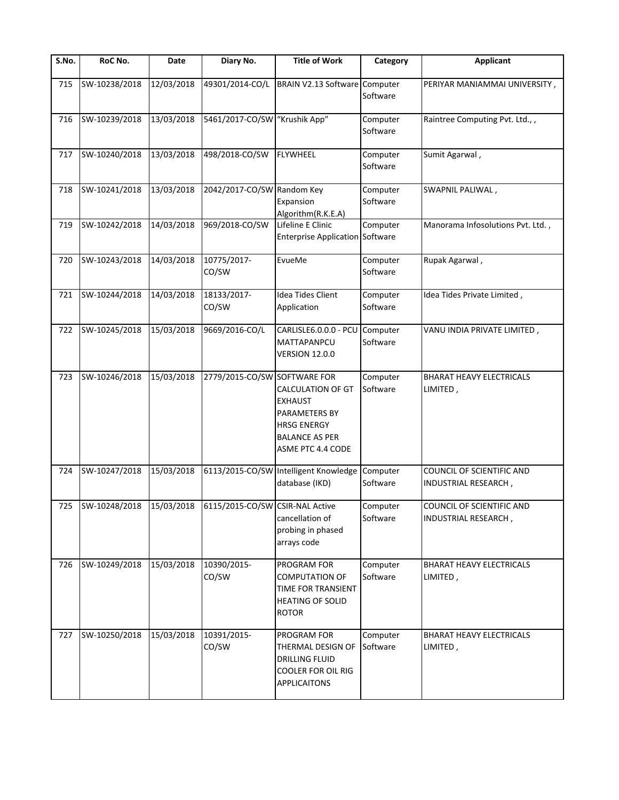| $\overline{\mathsf{S}}$ . No. | RoC No.       | Date       | Diary No.                                                       | <b>Title of Work</b>                                                                                                            | Category             | <b>Applicant</b>                                  |
|-------------------------------|---------------|------------|-----------------------------------------------------------------|---------------------------------------------------------------------------------------------------------------------------------|----------------------|---------------------------------------------------|
| 715                           | SW-10238/2018 | 12/03/2018 | 49301/2014-CO/L                                                 | BRAIN V2.13 Software Computer                                                                                                   | Software             | PERIYAR MANIAMMAI UNIVERSITY,                     |
| 716                           | SW-10239/2018 | 13/03/2018 | 5461/2017-CO/SW "Krushik App"                                   |                                                                                                                                 | Computer<br>Software | Raintree Computing Pvt. Ltd.,,                    |
| 717                           | SW-10240/2018 | 13/03/2018 | 498/2018-CO/SW                                                  | <b>FLYWHEEL</b>                                                                                                                 | Computer<br>Software | Sumit Agarwal,                                    |
| 718                           | SW-10241/2018 | 13/03/2018 | 2042/2017-CO/SW Random Key                                      | Expansion<br>Algorithm(R.K.E.A)                                                                                                 | Computer<br>Software | SWAPNIL PALIWAL,                                  |
| 719                           | SW-10242/2018 | 14/03/2018 | 969/2018-CO/SW                                                  | Lifeline E Clinic<br><b>Enterprise Application Software</b>                                                                     | Computer             | Manorama Infosolutions Pvt. Ltd.,                 |
| 720                           | SW-10243/2018 | 14/03/2018 | 10775/2017-<br>CO/SW                                            | EvueMe                                                                                                                          | Computer<br>Software | Rupak Agarwal,                                    |
| 721                           | SW-10244/2018 | 14/03/2018 | 18133/2017-<br>CO/SW                                            | Idea Tides Client<br>Application                                                                                                | Computer<br>Software | Idea Tides Private Limited,                       |
| 722                           | SW-10245/2018 | 15/03/2018 | 9669/2016-CO/L                                                  | CARLISLE6.0.0.0 - PCU<br>MATTAPANPCU<br><b>VERSION 12.0.0</b>                                                                   | Computer<br>Software | VANU INDIA PRIVATE LIMITED,                       |
| 723                           | SW-10246/2018 | 15/03/2018 | 2779/2015-CO/SW SOFTWARE FOR                                    | <b>CALCULATION OF GT</b><br><b>EXHAUST</b><br>PARAMETERS BY<br><b>HRSG ENERGY</b><br><b>BALANCE AS PER</b><br>ASME PTC 4.4 CODE | Computer<br>Software | <b>BHARAT HEAVY ELECTRICALS</b><br>LIMITED,       |
| 724                           | SW-10247/2018 | 15/03/2018 |                                                                 | 6113/2015-CO/SW Intelligent Knowledge<br>database (IKD)                                                                         | Computer<br>Software | COUNCIL OF SCIENTIFIC AND<br>INDUSTRIAL RESEARCH, |
|                               |               |            | 725  SW-10248/2018  15/03/2018  6115/2015-CO/SW CSIR-NAL Active | cancellation of<br>probing in phased<br>arrays code                                                                             | Computer<br>Software | COUNCIL OF SCIENTIFIC AND<br>INDUSTRIAL RESEARCH, |
| 726                           | SW-10249/2018 | 15/03/2018 | 10390/2015-<br>CO/SW                                            | PROGRAM FOR<br><b>COMPUTATION OF</b><br>TIME FOR TRANSIENT<br><b>HEATING OF SOLID</b><br><b>ROTOR</b>                           | Computer<br>Software | <b>BHARAT HEAVY ELECTRICALS</b><br>LIMITED,       |
| 727                           | SW-10250/2018 | 15/03/2018 | 10391/2015-<br>CO/SW                                            | PROGRAM FOR<br>THERMAL DESIGN OF<br><b>DRILLING FLUID</b><br><b>COOLER FOR OIL RIG</b><br><b>APPLICAITONS</b>                   | Computer<br>Software | <b>BHARAT HEAVY ELECTRICALS</b><br>LIMITED,       |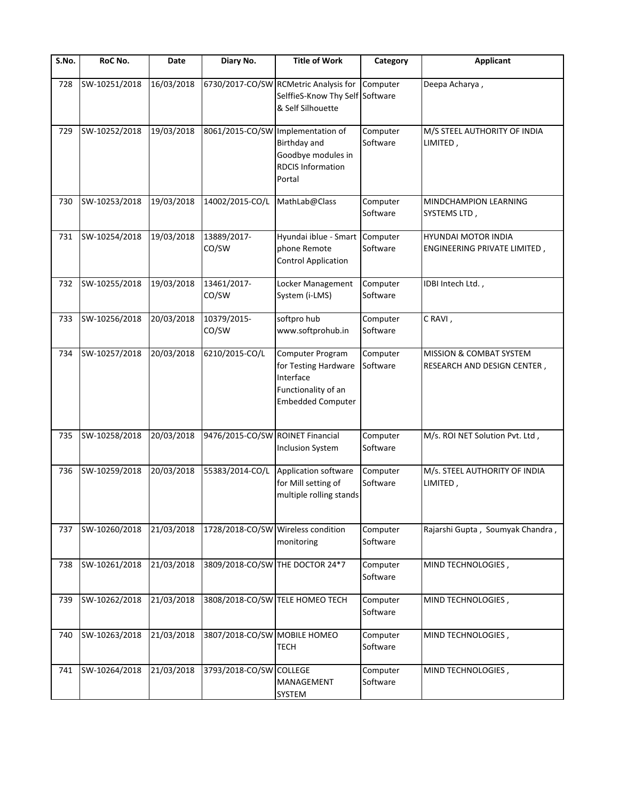| S.No. | RoC No.       | Date       | Diary No.                          | <b>Title of Work</b>                                                                                     | Category             | <b>Applicant</b>                                                  |
|-------|---------------|------------|------------------------------------|----------------------------------------------------------------------------------------------------------|----------------------|-------------------------------------------------------------------|
| 728   | SW-10251/2018 | 16/03/2018 |                                    | 6730/2017-CO/SW RCMetric Analysis for<br>SelffieS-Know Thy Self Software<br>& Self Silhouette            | Computer             | Deepa Acharya,                                                    |
| 729   | SW-10252/2018 | 19/03/2018 | 8061/2015-CO/SW Implementation of  | Birthday and<br>Goodbye modules in<br><b>RDCIS Information</b><br>Portal                                 | Computer<br>Software | M/S STEEL AUTHORITY OF INDIA<br>LIMITED,                          |
| 730   | SW-10253/2018 | 19/03/2018 | 14002/2015-CO/L                    | MathLab@Class                                                                                            | Computer<br>Software | MINDCHAMPION LEARNING<br>SYSTEMS LTD,                             |
| 731   | SW-10254/2018 | 19/03/2018 | 13889/2017-<br>CO/SW               | Hyundai iblue - Smart<br>phone Remote<br><b>Control Application</b>                                      | Computer<br>Software | HYUNDAI MOTOR INDIA<br>ENGINEERING PRIVATE LIMITED,               |
| 732   | SW-10255/2018 | 19/03/2018 | 13461/2017-<br>CO/SW               | Locker Management<br>System (i-LMS)                                                                      | Computer<br>Software | IDBI Intech Ltd.,                                                 |
| 733   | SW-10256/2018 | 20/03/2018 | 10379/2015-<br>CO/SW               | softpro hub<br>www.softprohub.in                                                                         | Computer<br>Software | CRAVI,                                                            |
| 734   | SW-10257/2018 | 20/03/2018 | 6210/2015-CO/L                     | Computer Program<br>for Testing Hardware<br>Interface<br>Functionality of an<br><b>Embedded Computer</b> | Computer<br>Software | <b>MISSION &amp; COMBAT SYSTEM</b><br>RESEARCH AND DESIGN CENTER, |
| 735   | SW-10258/2018 | 20/03/2018 | 9476/2015-CO/SW ROINET Financial   | <b>Inclusion System</b>                                                                                  | Computer<br>Software | M/s. ROI NET Solution Pvt. Ltd,                                   |
| 736   | SW-10259/2018 | 20/03/2018 | 55383/2014-CO/L                    | Application software<br>for Mill setting of<br>multiple rolling stands                                   | Computer<br>Software | M/s. STEEL AUTHORITY OF INDIA<br>LIMITED,                         |
| 737   | SW-10260/2018 | 21/03/2018 | 1728/2018-CO/SW Wireless condition | monitoring                                                                                               | Computer<br>Software | Rajarshi Gupta, Soumyak Chandra,                                  |
| 738   | SW-10261/2018 | 21/03/2018 |                                    | 3809/2018-CO/SW THE DOCTOR 24*7                                                                          | Computer<br>Software | MIND TECHNOLOGIES,                                                |
| 739   | SW-10262/2018 | 21/03/2018 |                                    | 3808/2018-CO/SW TELE HOMEO TECH                                                                          | Computer<br>Software | MIND TECHNOLOGIES,                                                |
| 740   | SW-10263/2018 | 21/03/2018 | 3807/2018-CO/SW MOBILE HOMEO       | <b>TECH</b>                                                                                              | Computer<br>Software | MIND TECHNOLOGIES,                                                |
| 741   | SW-10264/2018 | 21/03/2018 | 3793/2018-CO/SW COLLEGE            | MANAGEMENT<br>SYSTEM                                                                                     | Computer<br>Software | MIND TECHNOLOGIES,                                                |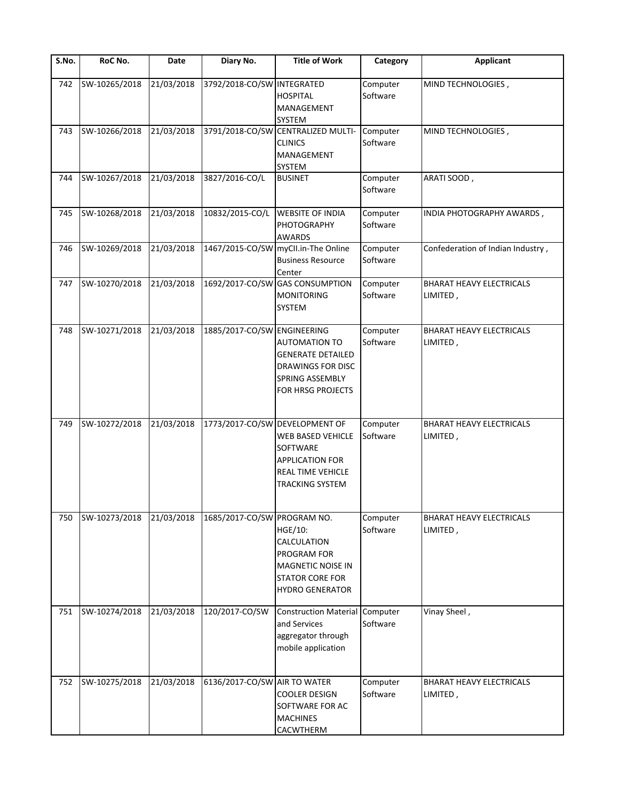| S.No. | RoC No.       | Date       | Diary No.                    | <b>Title of Work</b>                                                                                                                            | Category             | <b>Applicant</b>                            |
|-------|---------------|------------|------------------------------|-------------------------------------------------------------------------------------------------------------------------------------------------|----------------------|---------------------------------------------|
| 742   | SW-10265/2018 | 21/03/2018 | 3792/2018-CO/SW INTEGRATED   | <b>HOSPITAL</b><br>MANAGEMENT<br>SYSTEM                                                                                                         | Computer<br>Software | MIND TECHNOLOGIES,                          |
| 743   | SW-10266/2018 | 21/03/2018 |                              | 3791/2018-CO/SW CENTRALIZED MULTI-<br><b>CLINICS</b><br>MANAGEMENT<br><b>SYSTEM</b>                                                             | Computer<br>Software | MIND TECHNOLOGIES,                          |
| 744   | SW-10267/2018 | 21/03/2018 | 3827/2016-CO/L               | <b>BUSINET</b>                                                                                                                                  | Computer<br>Software | ARATI SOOD,                                 |
| 745   | SW-10268/2018 | 21/03/2018 | 10832/2015-CO/L              | <b>WEBSITE OF INDIA</b><br>PHOTOGRAPHY<br><b>AWARDS</b>                                                                                         | Computer<br>Software | INDIA PHOTOGRAPHY AWARDS,                   |
| 746   | SW-10269/2018 | 21/03/2018 |                              | 1467/2015-CO/SW myCll.in-The Online<br><b>Business Resource</b><br>Center                                                                       | Computer<br>Software | Confederation of Indian Industry,           |
| 747   | SW-10270/2018 | 21/03/2018 |                              | 1692/2017-CO/SW GAS CONSUMPTION<br><b>MONITORING</b><br>SYSTEM                                                                                  | Computer<br>Software | <b>BHARAT HEAVY ELECTRICALS</b><br>LIMITED, |
| 748   | SW-10271/2018 | 21/03/2018 | 1885/2017-CO/SW ENGINEERING  | AUTOMATION TO<br><b>GENERATE DETAILED</b><br><b>DRAWINGS FOR DISC</b><br><b>SPRING ASSEMBLY</b><br>FOR HRSG PROJECTS                            | Computer<br>Software | <b>BHARAT HEAVY ELECTRICALS</b><br>LIMITED, |
| 749   | SW-10272/2018 | 21/03/2018 |                              | 1773/2017-CO/SW DEVELOPMENT OF<br><b>WEB BASED VEHICLE</b><br>SOFTWARE<br><b>APPLICATION FOR</b><br>REAL TIME VEHICLE<br><b>TRACKING SYSTEM</b> | Computer<br>Software | BHARAT HEAVY ELECTRICALS<br>LIMITED,        |
| 750   | SW-10273/2018 | 21/03/2018 | 1685/2017-CO/SW PROGRAM NO.  | HGE/10:<br><b>CALCULATION</b><br>PROGRAM FOR<br><b>MAGNETIC NOISE IN</b><br><b>STATOR CORE FOR</b><br><b>HYDRO GENERATOR</b>                    | Computer<br>Software | <b>BHARAT HEAVY ELECTRICALS</b><br>LIMITED, |
| 751   | SW-10274/2018 | 21/03/2018 | 120/2017-CO/SW               | <b>Construction Material</b><br>and Services<br>aggregator through<br>mobile application                                                        | Computer<br>Software | Vinay Sheel,                                |
| 752   | SW-10275/2018 | 21/03/2018 | 6136/2017-CO/SW AIR TO WATER | <b>COOLER DESIGN</b><br>SOFTWARE FOR AC<br><b>MACHINES</b><br>CACWTHERM                                                                         | Computer<br>Software | <b>BHARAT HEAVY ELECTRICALS</b><br>LIMITED, |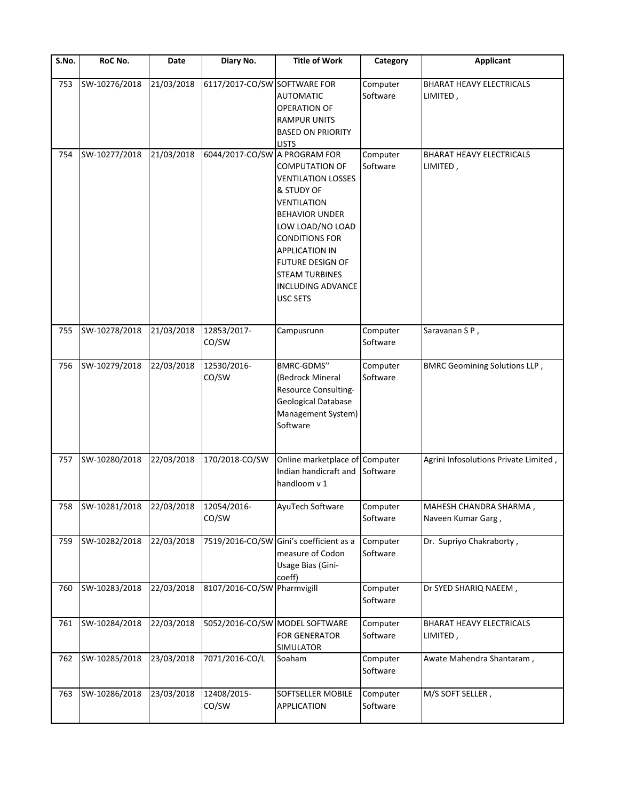| $\overline{\mathsf{S}}$ . No. | RoC No.                                  | Date       | Diary No.                     | <b>Title of Work</b>                                                                                                                                                                                                                                                              | Category             | <b>Applicant</b>                             |
|-------------------------------|------------------------------------------|------------|-------------------------------|-----------------------------------------------------------------------------------------------------------------------------------------------------------------------------------------------------------------------------------------------------------------------------------|----------------------|----------------------------------------------|
| 753                           | SW-10276/2018                            | 21/03/2018 | 6117/2017-CO/SW SOFTWARE FOR  | <b>AUTOMATIC</b><br>OPERATION OF<br><b>RAMPUR UNITS</b><br><b>BASED ON PRIORITY</b><br><b>LISTS</b>                                                                                                                                                                               | Computer<br>Software | <b>BHARAT HEAVY ELECTRICALS</b><br>LIMITED,  |
| 754                           | SW-10277/2018                            | 21/03/2018 | 6044/2017-CO/SW A PROGRAM FOR | <b>COMPUTATION OF</b><br><b>VENTILATION LOSSES</b><br>& STUDY OF<br><b>VENTILATION</b><br><b>BEHAVIOR UNDER</b><br>LOW LOAD/NO LOAD<br><b>CONDITIONS FOR</b><br><b>APPLICATION IN</b><br>FUTURE DESIGN OF<br><b>STEAM TURBINES</b><br><b>INCLUDING ADVANCE</b><br><b>USC SETS</b> | Computer<br>Software | <b>BHARAT HEAVY ELECTRICALS</b><br>LIMITED,  |
| 755                           | SW-10278/2018                            | 21/03/2018 | 12853/2017-<br>CO/SW          | Campusrunn                                                                                                                                                                                                                                                                        | Computer<br>Software | Saravanan SP,                                |
| 756                           | SW-10279/2018                            | 22/03/2018 | 12530/2016-<br>CO/SW          | BMRC-GDMS"<br>(Bedrock Mineral<br>Resource Consulting-<br>Geological Database<br>Management System)<br>Software                                                                                                                                                                   | Computer<br>Software | <b>BMRC Geomining Solutions LLP,</b>         |
| 757                           | SW-10280/2018                            | 22/03/2018 | 170/2018-CO/SW                | Online marketplace of Computer<br>Indian handicraft and<br>handloom v 1                                                                                                                                                                                                           | Software             | Agrini Infosolutions Private Limited,        |
|                               | 758 SW-10281/2018 22/03/2018 12054/2016- |            | CO/SW                         | AyuTech Software                                                                                                                                                                                                                                                                  | Computer<br>Software | MAHESH CHANDRA SHARMA,<br>Naveen Kumar Garg, |
| 759                           | SW-10282/2018                            | 22/03/2018 |                               | 7519/2016-CO/SW Gini's coefficient as a<br>measure of Codon<br>Usage Bias (Gini-<br>coeff)                                                                                                                                                                                        | Computer<br>Software | Dr. Supriyo Chakraborty,                     |
| 760                           | SW-10283/2018                            | 22/03/2018 | 8107/2016-CO/SW Pharmvigill   |                                                                                                                                                                                                                                                                                   | Computer<br>Software | Dr SYED SHARIQ NAEEM,                        |
| 761                           | SW-10284/2018                            | 22/03/2018 |                               | 5052/2016-CO/SW MODEL SOFTWARE<br><b>FOR GENERATOR</b><br>SIMULATOR                                                                                                                                                                                                               | Computer<br>Software | <b>BHARAT HEAVY ELECTRICALS</b><br>LIMITED,  |
| 762                           | SW-10285/2018                            | 23/03/2018 | 7071/2016-CO/L                | Soaham                                                                                                                                                                                                                                                                            | Computer<br>Software | Awate Mahendra Shantaram,                    |
| 763                           | SW-10286/2018                            | 23/03/2018 | 12408/2015-<br>CO/SW          | SOFTSELLER MOBILE<br>APPLICATION                                                                                                                                                                                                                                                  | Computer<br>Software | M/S SOFT SELLER,                             |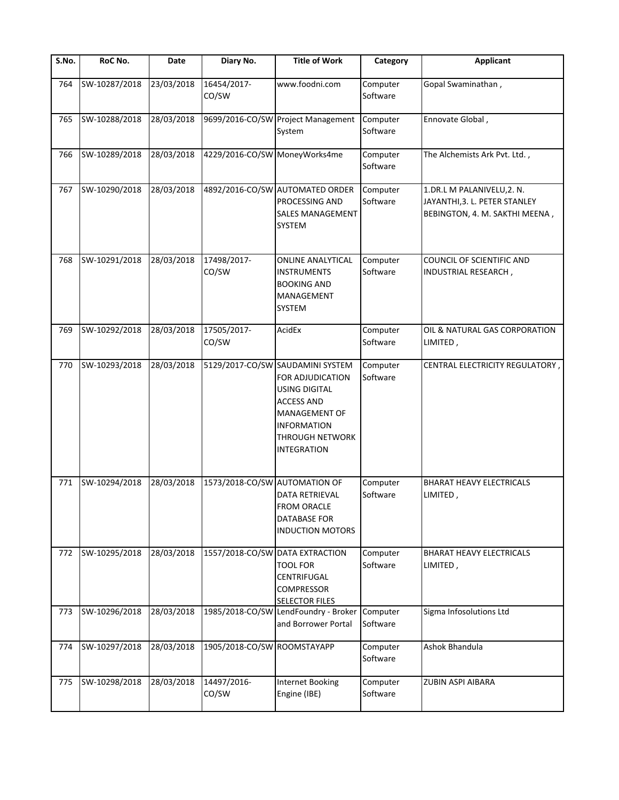| S.No. | RoC No.       | <b>Date</b> | Diary No.                     | <b>Title of Work</b>                                                                                                                                                                            | Category             | <b>Applicant</b>                                                                              |
|-------|---------------|-------------|-------------------------------|-------------------------------------------------------------------------------------------------------------------------------------------------------------------------------------------------|----------------------|-----------------------------------------------------------------------------------------------|
| 764   | SW-10287/2018 | 23/03/2018  | 16454/2017-<br>CO/SW          | www.foodni.com                                                                                                                                                                                  | Computer<br>Software | Gopal Swaminathan,                                                                            |
| 765   | SW-10288/2018 | 28/03/2018  |                               | 9699/2016-CO/SW Project Management<br>System                                                                                                                                                    | Computer<br>Software | Ennovate Global,                                                                              |
| 766   | SW-10289/2018 | 28/03/2018  | 4229/2016-CO/SW MoneyWorks4me |                                                                                                                                                                                                 | Computer<br>Software | The Alchemists Ark Pvt. Ltd.,                                                                 |
| 767   | SW-10290/2018 | 28/03/2018  |                               | 4892/2016-CO/SW AUTOMATED ORDER<br>PROCESSING AND<br><b>SALES MANAGEMENT</b><br>SYSTEM                                                                                                          | Computer<br>Software | 1.DR.L M PALANIVELU, 2. N.<br>JAYANTHI, 3. L. PETER STANLEY<br>BEBINGTON, 4. M. SAKTHI MEENA, |
| 768   | SW-10291/2018 | 28/03/2018  | 17498/2017-<br>CO/SW          | <b>ONLINE ANALYTICAL</b><br><b>INSTRUMENTS</b><br><b>BOOKING AND</b><br>MANAGEMENT<br>SYSTEM                                                                                                    | Computer<br>Software | COUNCIL OF SCIENTIFIC AND<br>INDUSTRIAL RESEARCH,                                             |
| 769   | SW-10292/2018 | 28/03/2018  | 17505/2017-<br>CO/SW          | AcidEx                                                                                                                                                                                          | Computer<br>Software | OIL & NATURAL GAS CORPORATION<br>LIMITED,                                                     |
| 770   | SW-10293/2018 | 28/03/2018  |                               | 5129/2017-CO/SW SAUDAMINI SYSTEM<br>FOR ADJUDICATION<br><b>USING DIGITAL</b><br><b>ACCESS AND</b><br><b>MANAGEMENT OF</b><br><b>INFORMATION</b><br><b>THROUGH NETWORK</b><br><b>INTEGRATION</b> | Computer<br>Software | CENTRAL ELECTRICITY REGULATORY,                                                               |
| 771   | SW-10294/2018 | 28/03/2018  | 1573/2018-CO/SW AUTOMATION OF | DATA RETRIEVAL<br>FROM ORACLE<br>DATABASE FOR<br><b>INDUCTION MOTORS</b>                                                                                                                        | Computer<br>Software | <b>BHARAT HEAVY ELECTRICALS</b><br>LIMITED,                                                   |
| 772   | SW-10295/2018 | 28/03/2018  |                               | 1557/2018-CO/SW DATA EXTRACTION<br><b>TOOL FOR</b><br>CENTRIFUGAL<br>COMPRESSOR<br><b>SELECTOR FILES</b>                                                                                        | Computer<br>Software | <b>BHARAT HEAVY ELECTRICALS</b><br>LIMITED,                                                   |
| 773   | SW-10296/2018 | 28/03/2018  | 1985/2018-CO/SW               | LendFoundry - Broker<br>and Borrower Portal                                                                                                                                                     | Computer<br>Software | Sigma Infosolutions Ltd                                                                       |
| 774   | SW-10297/2018 | 28/03/2018  | 1905/2018-CO/SW ROOMSTAYAPP   |                                                                                                                                                                                                 | Computer<br>Software | Ashok Bhandula                                                                                |
| 775   | SW-10298/2018 | 28/03/2018  | 14497/2016-<br>CO/SW          | <b>Internet Booking</b><br>Engine (IBE)                                                                                                                                                         | Computer<br>Software | ZUBIN ASPI AIBARA                                                                             |